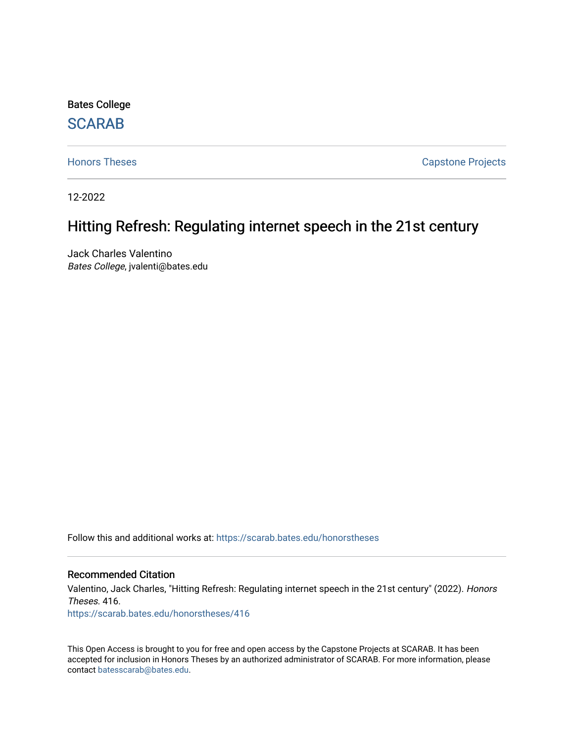Bates College

## **SCARAB**

[Honors Theses](https://scarab.bates.edu/honorstheses) **Capstone Projects** 

12-2022

# Hitting Refresh: Regulating internet speech in the 21st century

Jack Charles Valentino Bates College, jvalenti@bates.edu

Follow this and additional works at: [https://scarab.bates.edu/honorstheses](https://scarab.bates.edu/honorstheses?utm_source=scarab.bates.edu%2Fhonorstheses%2F416&utm_medium=PDF&utm_campaign=PDFCoverPages) 

#### Recommended Citation

Valentino, Jack Charles, "Hitting Refresh: Regulating internet speech in the 21st century" (2022). Honors Theses. 416.

[https://scarab.bates.edu/honorstheses/416](https://scarab.bates.edu/honorstheses/416?utm_source=scarab.bates.edu%2Fhonorstheses%2F416&utm_medium=PDF&utm_campaign=PDFCoverPages) 

This Open Access is brought to you for free and open access by the Capstone Projects at SCARAB. It has been accepted for inclusion in Honors Theses by an authorized administrator of SCARAB. For more information, please contact [batesscarab@bates.edu](mailto:batesscarab@bates.edu).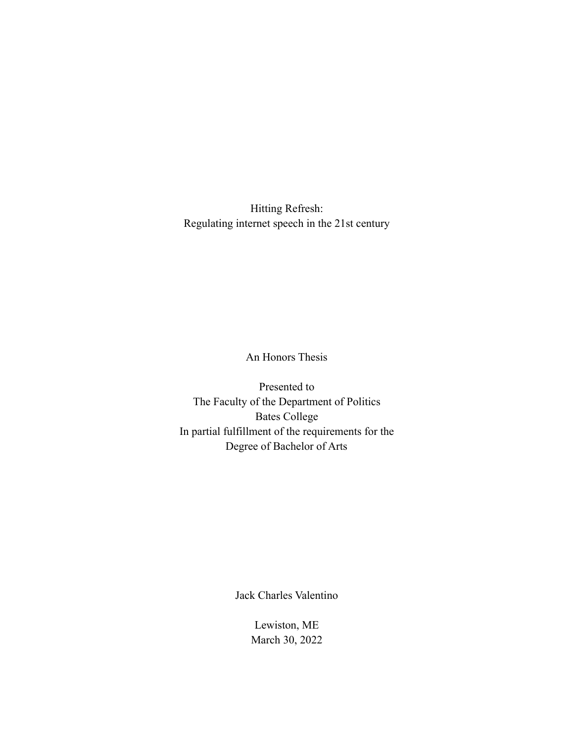Hitting Refresh: Regulating internet speech in the 21st century

An Honors Thesis

Presented to The Faculty of the Department of Politics Bates College In partial fulfillment of the requirements for the Degree of Bachelor of Arts

Jack Charles Valentino

Lewiston, ME March 30, 2022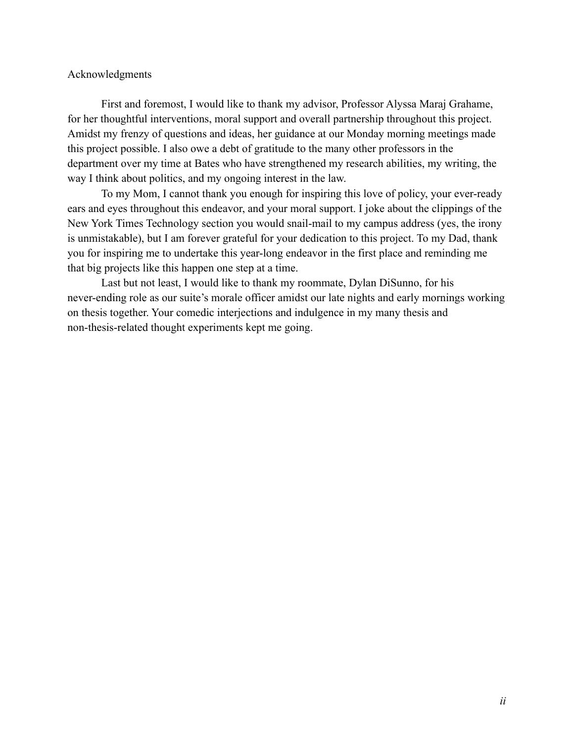### Acknowledgments

First and foremost, I would like to thank my advisor, Professor Alyssa Maraj Grahame, for her thoughtful interventions, moral support and overall partnership throughout this project. Amidst my frenzy of questions and ideas, her guidance at our Monday morning meetings made this project possible. I also owe a debt of gratitude to the many other professors in the department over my time at Bates who have strengthened my research abilities, my writing, the way I think about politics, and my ongoing interest in the law.

To my Mom, I cannot thank you enough for inspiring this love of policy, your ever-ready ears and eyes throughout this endeavor, and your moral support. I joke about the clippings of the New York Times Technology section you would snail-mail to my campus address (yes, the irony is unmistakable), but I am forever grateful for your dedication to this project. To my Dad, thank you for inspiring me to undertake this year-long endeavor in the first place and reminding me that big projects like this happen one step at a time.

Last but not least, I would like to thank my roommate, Dylan DiSunno, for his never-ending role as our suite's morale officer amidst our late nights and early mornings working on thesis together. Your comedic interjections and indulgence in my many thesis and non-thesis-related thought experiments kept me going.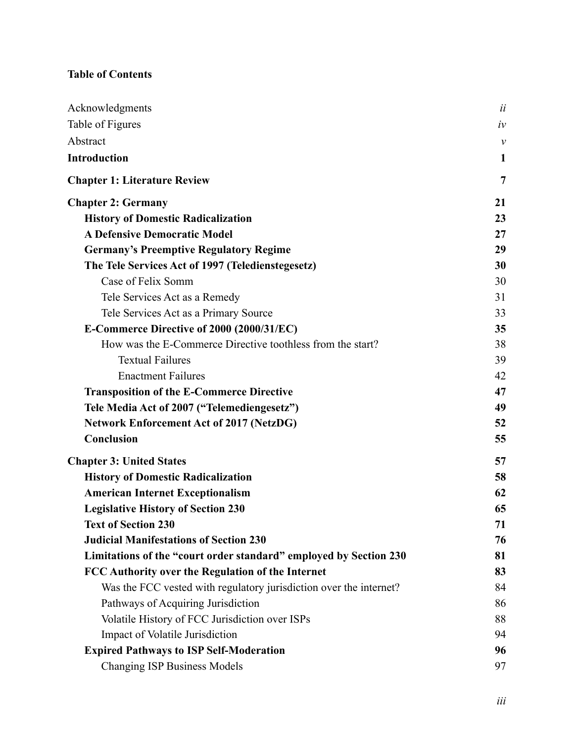## **Table of Contents**

| Acknowledgments                                                    | ii           |
|--------------------------------------------------------------------|--------------|
| Table of Figures                                                   | $i\nu$       |
| Abstract                                                           | $\mathcal V$ |
| <b>Introduction</b>                                                | $\mathbf{1}$ |
| <b>Chapter 1: Literature Review</b>                                | 7            |
| <b>Chapter 2: Germany</b>                                          | 21           |
| <b>History of Domestic Radicalization</b>                          | 23           |
| <b>A Defensive Democratic Model</b>                                | 27           |
| <b>Germany's Preemptive Regulatory Regime</b>                      | 29           |
| The Tele Services Act of 1997 (Teledienstegesetz)                  | 30           |
| Case of Felix Somm                                                 | 30           |
| Tele Services Act as a Remedy                                      | 31           |
| Tele Services Act as a Primary Source                              | 33           |
| E-Commerce Directive of 2000 (2000/31/EC)                          | 35           |
| How was the E-Commerce Directive toothless from the start?         | 38           |
| <b>Textual Failures</b>                                            | 39           |
| <b>Enactment Failures</b>                                          | 42           |
| <b>Transposition of the E-Commerce Directive</b>                   | 47           |
| Tele Media Act of 2007 ("Telemediengesetz")                        | 49           |
| <b>Network Enforcement Act of 2017 (NetzDG)</b>                    | 52           |
| Conclusion                                                         | 55           |
| <b>Chapter 3: United States</b>                                    | 57           |
| <b>History of Domestic Radicalization</b>                          | 58           |
| <b>American Internet Exceptionalism</b>                            | 62           |
| <b>Legislative History of Section 230</b>                          | 65           |
| <b>Text of Section 230</b>                                         | 71           |
| <b>Judicial Manifestations of Section 230</b>                      | 76           |
| Limitations of the "court order standard" employed by Section 230  | 81           |
| FCC Authority over the Regulation of the Internet                  | 83           |
| Was the FCC vested with regulatory jurisdiction over the internet? | 84           |
| Pathways of Acquiring Jurisdiction                                 | 86           |
| Volatile History of FCC Jurisdiction over ISPs                     | 88           |
| Impact of Volatile Jurisdiction                                    | 94           |
| <b>Expired Pathways to ISP Self-Moderation</b>                     | 96           |
| <b>Changing ISP Business Models</b>                                | 97           |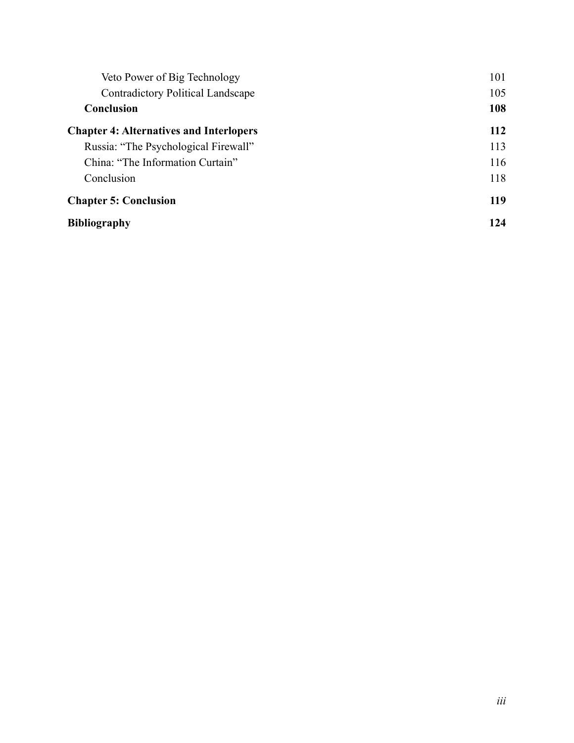| Veto Power of Big Technology                   | 101 |
|------------------------------------------------|-----|
| <b>Contradictory Political Landscape</b>       | 105 |
| Conclusion                                     | 108 |
| <b>Chapter 4: Alternatives and Interlopers</b> | 112 |
| Russia: "The Psychological Firewall"           | 113 |
| China: "The Information Curtain"               | 116 |
| Conclusion                                     | 118 |
| <b>Chapter 5: Conclusion</b>                   | 119 |
| <b>Bibliography</b>                            | 124 |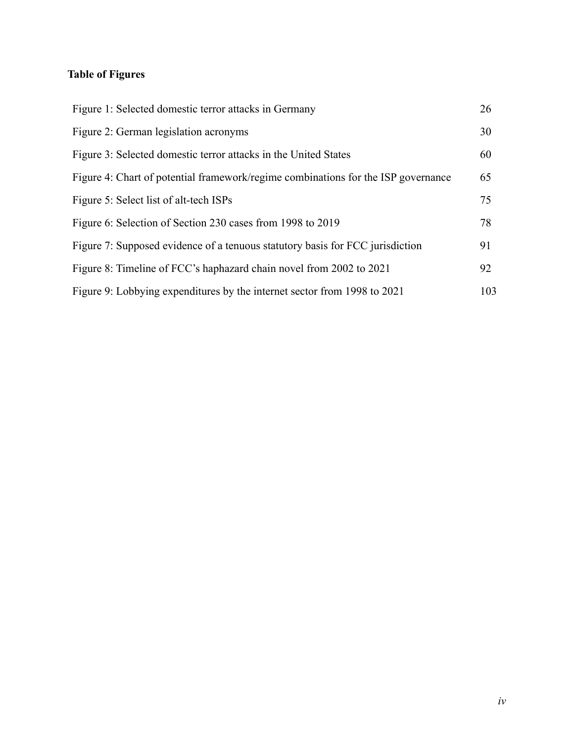## **Table of Figures**

| Figure 1: Selected domestic terror attacks in Germany                             | 26  |
|-----------------------------------------------------------------------------------|-----|
| Figure 2: German legislation acronyms                                             | 30  |
| Figure 3: Selected domestic terror attacks in the United States                   | 60  |
| Figure 4: Chart of potential framework/regime combinations for the ISP governance | 65  |
| Figure 5: Select list of alt-tech ISPs                                            | 75  |
| Figure 6: Selection of Section 230 cases from 1998 to 2019                        | 78  |
| Figure 7: Supposed evidence of a tenuous statutory basis for FCC jurisdiction     | 91  |
| Figure 8: Timeline of FCC's haphazard chain novel from 2002 to 2021               | 92  |
| Figure 9: Lobbying expenditures by the internet sector from 1998 to 2021          | 103 |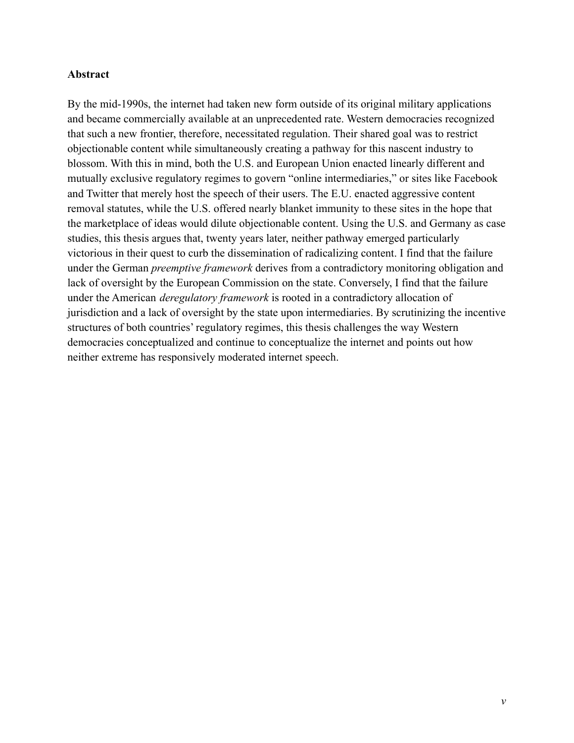### **Abstract**

By the mid-1990s, the internet had taken new form outside of its original military applications and became commercially available at an unprecedented rate. Western democracies recognized that such a new frontier, therefore, necessitated regulation. Their shared goal was to restrict objectionable content while simultaneously creating a pathway for this nascent industry to blossom. With this in mind, both the U.S. and European Union enacted linearly different and mutually exclusive regulatory regimes to govern "online intermediaries," or sites like Facebook and Twitter that merely host the speech of their users. The E.U. enacted aggressive content removal statutes, while the U.S. offered nearly blanket immunity to these sites in the hope that the marketplace of ideas would dilute objectionable content. Using the U.S. and Germany as case studies, this thesis argues that, twenty years later, neither pathway emerged particularly victorious in their quest to curb the dissemination of radicalizing content. I find that the failure under the German *preemptive framework* derives from a contradictory monitoring obligation and lack of oversight by the European Commission on the state. Conversely, I find that the failure under the American *deregulatory framework* is rooted in a contradictory allocation of jurisdiction and a lack of oversight by the state upon intermediaries. By scrutinizing the incentive structures of both countries' regulatory regimes, this thesis challenges the way Western democracies conceptualized and continue to conceptualize the internet and points out how neither extreme has responsively moderated internet speech.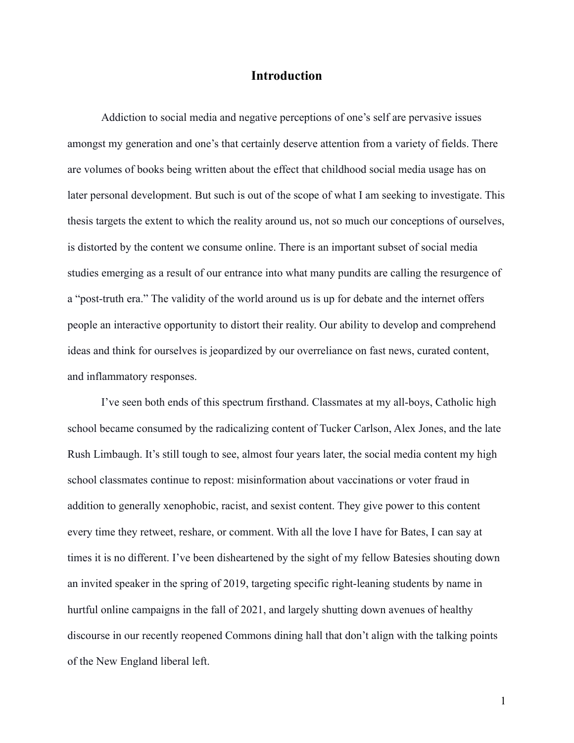## **Introduction**

<span id="page-7-0"></span>Addiction to social media and negative perceptions of one's self are pervasive issues amongst my generation and one's that certainly deserve attention from a variety of fields. There are volumes of books being written about the effect that childhood social media usage has on later personal development. But such is out of the scope of what I am seeking to investigate. This thesis targets the extent to which the reality around us, not so much our conceptions of ourselves, is distorted by the content we consume online. There is an important subset of social media studies emerging as a result of our entrance into what many pundits are calling the resurgence of a "post-truth era." The validity of the world around us is up for debate and the internet offers people an interactive opportunity to distort their reality. Our ability to develop and comprehend ideas and think for ourselves is jeopardized by our overreliance on fast news, curated content, and inflammatory responses.

I've seen both ends of this spectrum firsthand. Classmates at my all-boys, Catholic high school became consumed by the radicalizing content of Tucker Carlson, Alex Jones, and the late Rush Limbaugh. It's still tough to see, almost four years later, the social media content my high school classmates continue to repost: misinformation about vaccinations or voter fraud in addition to generally xenophobic, racist, and sexist content. They give power to this content every time they retweet, reshare, or comment. With all the love I have for Bates, I can say at times it is no different. I've been disheartened by the sight of my fellow Batesies shouting down an invited speaker in the spring of 2019, targeting specific right-leaning students by name in hurtful online campaigns in the fall of 2021, and largely shutting down avenues of healthy discourse in our recently reopened Commons dining hall that don't align with the talking points of the New England liberal left.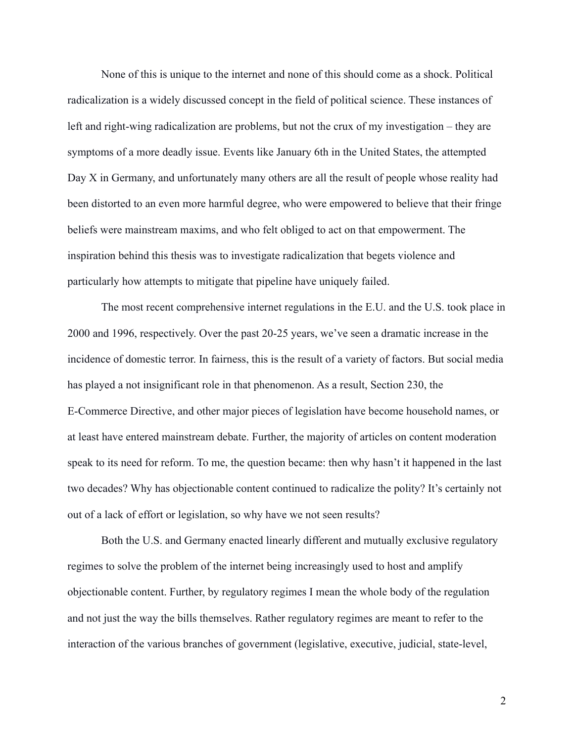None of this is unique to the internet and none of this should come as a shock. Political radicalization is a widely discussed concept in the field of political science. These instances of left and right-wing radicalization are problems, but not the crux of my investigation – they are symptoms of a more deadly issue. Events like January 6th in the United States, the attempted Day X in Germany, and unfortunately many others are all the result of people whose reality had been distorted to an even more harmful degree, who were empowered to believe that their fringe beliefs were mainstream maxims, and who felt obliged to act on that empowerment. The inspiration behind this thesis was to investigate radicalization that begets violence and particularly how attempts to mitigate that pipeline have uniquely failed.

The most recent comprehensive internet regulations in the E.U. and the U.S. took place in 2000 and 1996, respectively. Over the past 20-25 years, we've seen a dramatic increase in the incidence of domestic terror. In fairness, this is the result of a variety of factors. But social media has played a not insignificant role in that phenomenon. As a result, Section 230, the E-Commerce Directive, and other major pieces of legislation have become household names, or at least have entered mainstream debate. Further, the majority of articles on content moderation speak to its need for reform. To me, the question became: then why hasn't it happened in the last two decades? Why has objectionable content continued to radicalize the polity? It's certainly not out of a lack of effort or legislation, so why have we not seen results?

Both the U.S. and Germany enacted linearly different and mutually exclusive regulatory regimes to solve the problem of the internet being increasingly used to host and amplify objectionable content. Further, by regulatory regimes I mean the whole body of the regulation and not just the way the bills themselves. Rather regulatory regimes are meant to refer to the interaction of the various branches of government (legislative, executive, judicial, state-level,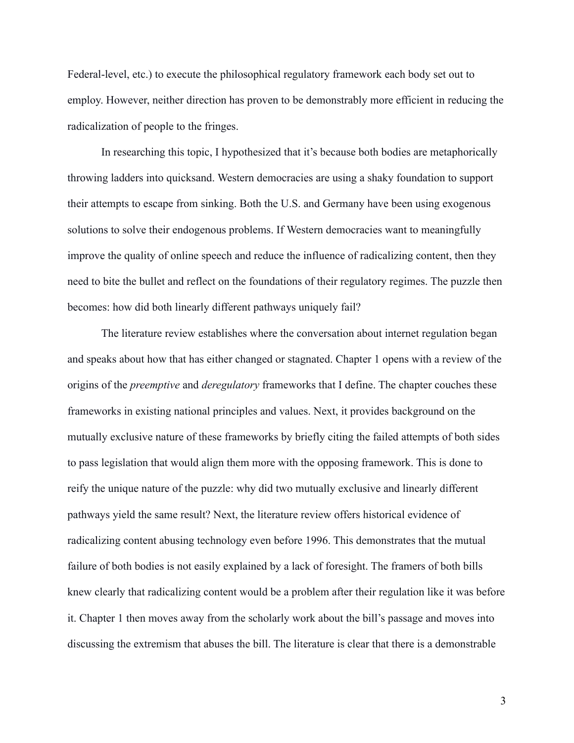Federal-level, etc.) to execute the philosophical regulatory framework each body set out to employ. However, neither direction has proven to be demonstrably more efficient in reducing the radicalization of people to the fringes.

In researching this topic, I hypothesized that it's because both bodies are metaphorically throwing ladders into quicksand. Western democracies are using a shaky foundation to support their attempts to escape from sinking. Both the U.S. and Germany have been using exogenous solutions to solve their endogenous problems. If Western democracies want to meaningfully improve the quality of online speech and reduce the influence of radicalizing content, then they need to bite the bullet and reflect on the foundations of their regulatory regimes. The puzzle then becomes: how did both linearly different pathways uniquely fail?

The literature review establishes where the conversation about internet regulation began and speaks about how that has either changed or stagnated. Chapter 1 opens with a review of the origins of the *preemptive* and *deregulatory* frameworks that I define. The chapter couches these frameworks in existing national principles and values. Next, it provides background on the mutually exclusive nature of these frameworks by briefly citing the failed attempts of both sides to pass legislation that would align them more with the opposing framework. This is done to reify the unique nature of the puzzle: why did two mutually exclusive and linearly different pathways yield the same result? Next, the literature review offers historical evidence of radicalizing content abusing technology even before 1996. This demonstrates that the mutual failure of both bodies is not easily explained by a lack of foresight. The framers of both bills knew clearly that radicalizing content would be a problem after their regulation like it was before it. Chapter 1 then moves away from the scholarly work about the bill's passage and moves into discussing the extremism that abuses the bill. The literature is clear that there is a demonstrable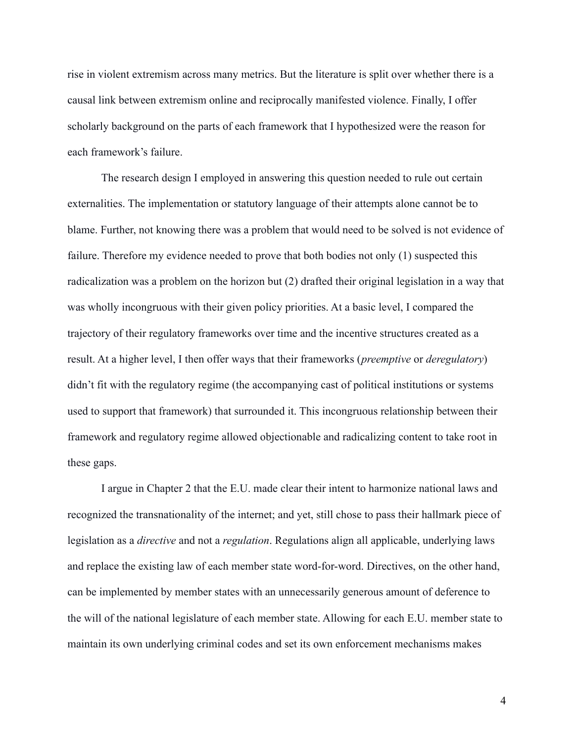rise in violent extremism across many metrics. But the literature is split over whether there is a causal link between extremism online and reciprocally manifested violence. Finally, I offer scholarly background on the parts of each framework that I hypothesized were the reason for each framework's failure.

The research design I employed in answering this question needed to rule out certain externalities. The implementation or statutory language of their attempts alone cannot be to blame. Further, not knowing there was a problem that would need to be solved is not evidence of failure. Therefore my evidence needed to prove that both bodies not only (1) suspected this radicalization was a problem on the horizon but (2) drafted their original legislation in a way that was wholly incongruous with their given policy priorities. At a basic level, I compared the trajectory of their regulatory frameworks over time and the incentive structures created as a result. At a higher level, I then offer ways that their frameworks (*preemptive* or *deregulatory*) didn't fit with the regulatory regime (the accompanying cast of political institutions or systems used to support that framework) that surrounded it. This incongruous relationship between their framework and regulatory regime allowed objectionable and radicalizing content to take root in these gaps.

I argue in Chapter 2 that the E.U. made clear their intent to harmonize national laws and recognized the transnationality of the internet; and yet, still chose to pass their hallmark piece of legislation as a *directive* and not a *regulation*. Regulations align all applicable, underlying laws and replace the existing law of each member state word-for-word. Directives, on the other hand, can be implemented by member states with an unnecessarily generous amount of deference to the will of the national legislature of each member state. Allowing for each E.U. member state to maintain its own underlying criminal codes and set its own enforcement mechanisms makes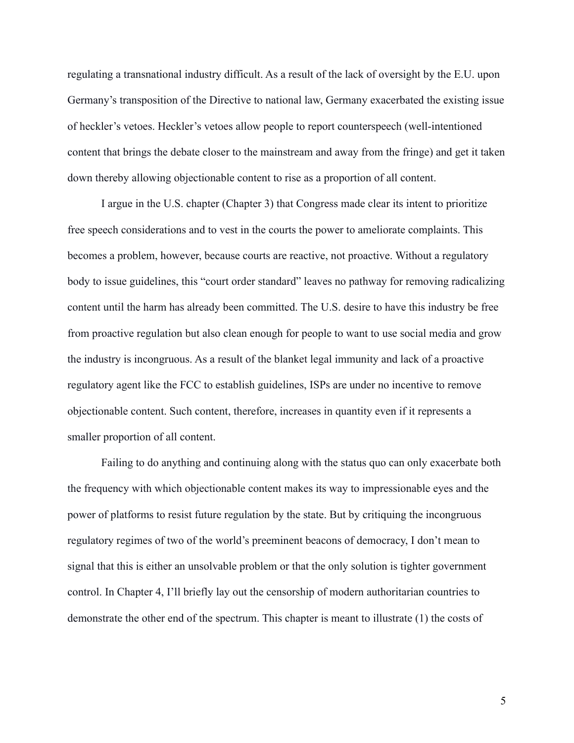regulating a transnational industry difficult. As a result of the lack of oversight by the E.U. upon Germany's transposition of the Directive to national law, Germany exacerbated the existing issue of heckler's vetoes. Heckler's vetoes allow people to report counterspeech (well-intentioned content that brings the debate closer to the mainstream and away from the fringe) and get it taken down thereby allowing objectionable content to rise as a proportion of all content.

I argue in the U.S. chapter (Chapter 3) that Congress made clear its intent to prioritize free speech considerations and to vest in the courts the power to ameliorate complaints. This becomes a problem, however, because courts are reactive, not proactive. Without a regulatory body to issue guidelines, this "court order standard" leaves no pathway for removing radicalizing content until the harm has already been committed. The U.S. desire to have this industry be free from proactive regulation but also clean enough for people to want to use social media and grow the industry is incongruous. As a result of the blanket legal immunity and lack of a proactive regulatory agent like the FCC to establish guidelines, ISPs are under no incentive to remove objectionable content. Such content, therefore, increases in quantity even if it represents a smaller proportion of all content.

Failing to do anything and continuing along with the status quo can only exacerbate both the frequency with which objectionable content makes its way to impressionable eyes and the power of platforms to resist future regulation by the state. But by critiquing the incongruous regulatory regimes of two of the world's preeminent beacons of democracy, I don't mean to signal that this is either an unsolvable problem or that the only solution is tighter government control. In Chapter 4, I'll briefly lay out the censorship of modern authoritarian countries to demonstrate the other end of the spectrum. This chapter is meant to illustrate (1) the costs of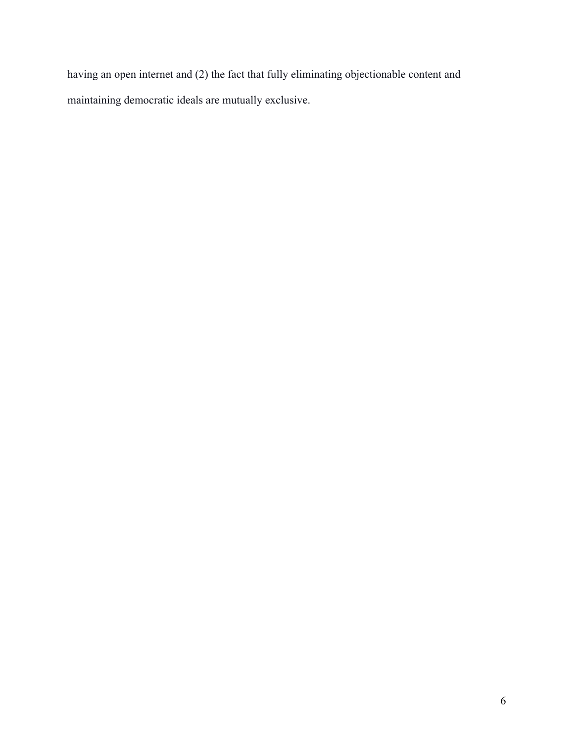having an open internet and (2) the fact that fully eliminating objectionable content and maintaining democratic ideals are mutually exclusive.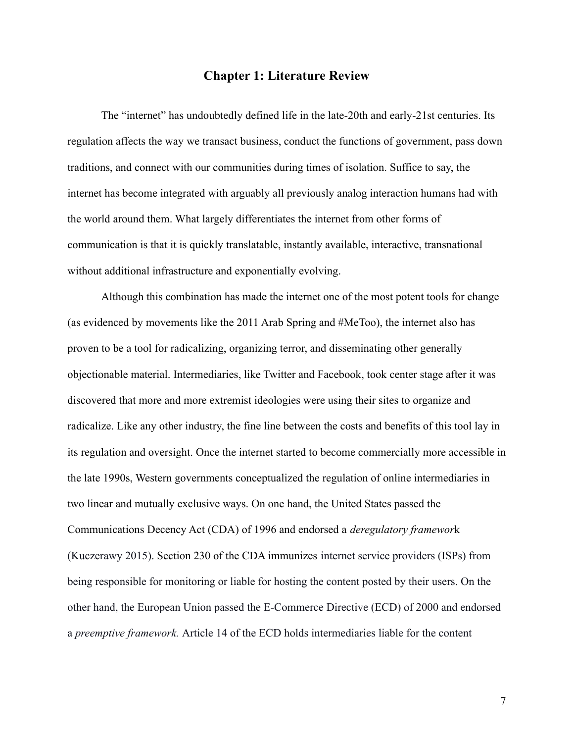## **Chapter 1: Literature Review**

<span id="page-13-0"></span>The "internet" has undoubtedly defined life in the late-20th and early-21st centuries. Its regulation affects the way we transact business, conduct the functions of government, pass down traditions, and connect with our communities during times of isolation. Suffice to say, the internet has become integrated with arguably all previously analog interaction humans had with the world around them. What largely differentiates the internet from other forms of communication is that it is quickly translatable, instantly available, interactive, transnational without additional infrastructure and exponentially evolving.

Although this combination has made the internet one of the most potent tools for change (as evidenced by movements like the 2011 Arab Spring and #MeToo), the internet also has proven to be a tool for radicalizing, organizing terror, and disseminating other generally objectionable material. Intermediaries, like Twitter and Facebook, took center stage after it was discovered that more and more extremist ideologies were using their sites to organize and radicalize. Like any other industry, the fine line between the costs and benefits of this tool lay in its regulation and oversight. Once the internet started to become commercially more accessible in the late 1990s, Western governments conceptualized the regulation of online intermediaries in two linear and mutually exclusive ways. On one hand, the United States passed the Communications Decency Act (CDA) of 1996 and endorsed a *deregulatory framewor*k (Kuczerawy 2015). Section 230 of the CDA immunizes internet service providers (ISPs) from being responsible for monitoring or liable for hosting the content posted by their users. On the other hand, the European Union passed the E-Commerce Directive (ECD) of 2000 and endorsed a *preemptive framework.* Article 14 of the ECD holds intermediaries liable for the content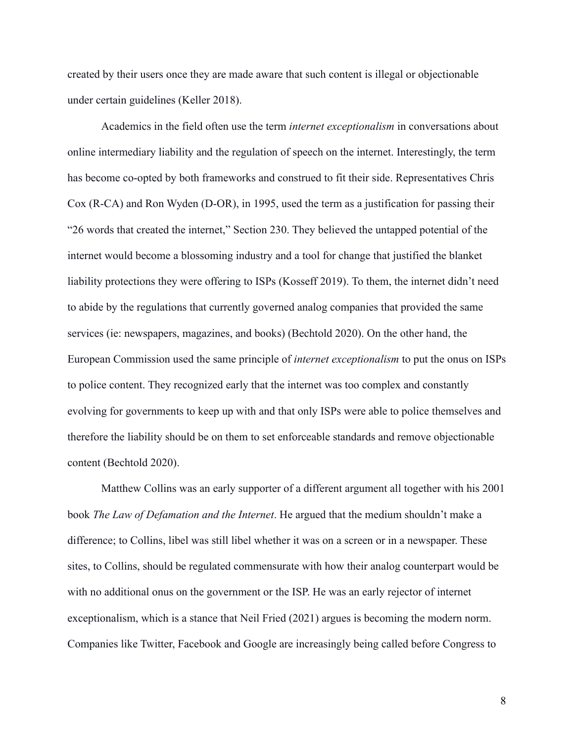created by their users once they are made aware that such content is illegal or objectionable under certain guidelines (Keller 2018).

Academics in the field often use the term *internet exceptionalism* in conversations about online intermediary liability and the regulation of speech on the internet. Interestingly, the term has become co-opted by both frameworks and construed to fit their side. Representatives Chris Cox (R-CA) and Ron Wyden (D-OR), in 1995, used the term as a justification for passing their "26 words that created the internet," Section 230. They believed the untapped potential of the internet would become a blossoming industry and a tool for change that justified the blanket liability protections they were offering to ISPs (Kosseff 2019). To them, the internet didn't need to abide by the regulations that currently governed analog companies that provided the same services (ie: newspapers, magazines, and books) (Bechtold 2020). On the other hand, the European Commission used the same principle of *internet exceptionalism* to put the onus on ISPs to police content. They recognized early that the internet was too complex and constantly evolving for governments to keep up with and that only ISPs were able to police themselves and therefore the liability should be on them to set enforceable standards and remove objectionable content (Bechtold 2020).

Matthew Collins was an early supporter of a different argument all together with his 2001 book *The Law of Defamation and the Internet*. He argued that the medium shouldn't make a difference; to Collins, libel was still libel whether it was on a screen or in a newspaper. These sites, to Collins, should be regulated commensurate with how their analog counterpart would be with no additional onus on the government or the ISP. He was an early rejector of internet exceptionalism, which is a stance that Neil Fried (2021) argues is becoming the modern norm. Companies like Twitter, Facebook and Google are increasingly being called before Congress to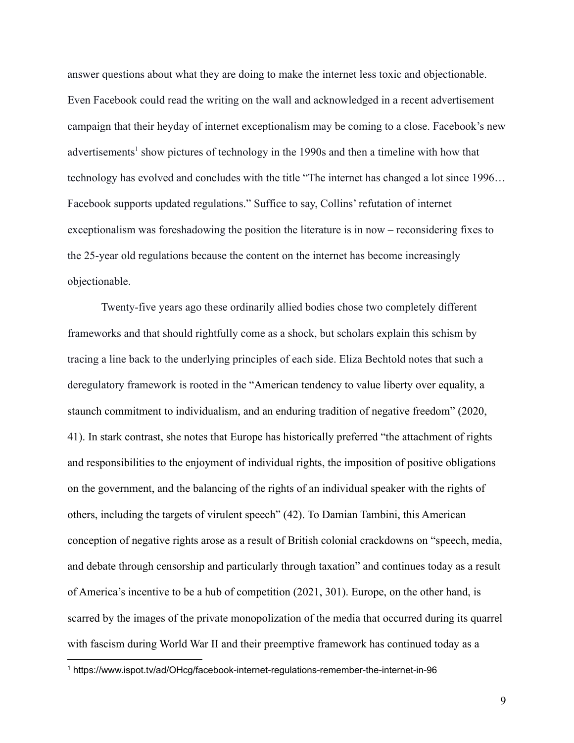answer questions about what they are doing to make the internet less toxic and objectionable. Even Facebook could read the writing on the wall and acknowledged in a recent advertisement campaign that their heyday of internet exceptionalism may be coming to a close. Facebook's new advertisements<sup>1</sup> show pictures of technology in the 1990s and then a timeline with how that technology has evolved and concludes with the title "The internet has changed a lot since 1996… Facebook supports updated regulations." Suffice to say, Collins' refutation of internet exceptionalism was foreshadowing the position the literature is in now – reconsidering fixes to the 25-year old regulations because the content on the internet has become increasingly objectionable.

Twenty-five years ago these ordinarily allied bodies chose two completely different frameworks and that should rightfully come as a shock, but scholars explain this schism by tracing a line back to the underlying principles of each side. Eliza Bechtold notes that such a deregulatory framework is rooted in the "American tendency to value liberty over equality, a staunch commitment to individualism, and an enduring tradition of negative freedom" (2020, 41). In stark contrast, she notes that Europe has historically preferred "the attachment of rights and responsibilities to the enjoyment of individual rights, the imposition of positive obligations on the government, and the balancing of the rights of an individual speaker with the rights of others, including the targets of virulent speech" (42). To Damian Tambini, this American conception of negative rights arose as a result of British colonial crackdowns on "speech, media, and debate through censorship and particularly through taxation" and continues today as a result of America's incentive to be a hub of competition (2021, 301). Europe, on the other hand, is scarred by the images of the private monopolization of the media that occurred during its quarrel with fascism during World War II and their preemptive framework has continued today as a

<sup>1</sup> https://www.ispot.tv/ad/OHcg/facebook-internet-regulations-remember-the-internet-in-96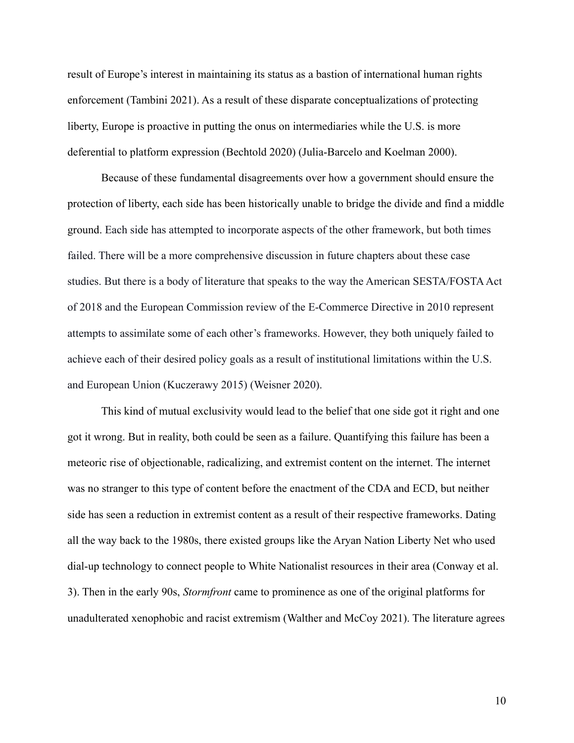result of Europe's interest in maintaining its status as a bastion of international human rights enforcement (Tambini 2021). As a result of these disparate conceptualizations of protecting liberty, Europe is proactive in putting the onus on intermediaries while the U.S. is more deferential to platform expression (Bechtold 2020) (Julia-Barcelo and Koelman 2000).

Because of these fundamental disagreements over how a government should ensure the protection of liberty, each side has been historically unable to bridge the divide and find a middle ground. Each side has attempted to incorporate aspects of the other framework, but both times failed. There will be a more comprehensive discussion in future chapters about these case studies. But there is a body of literature that speaks to the way the American SESTA/FOSTA Act of 2018 and the European Commission review of the E-Commerce Directive in 2010 represent attempts to assimilate some of each other's frameworks. However, they both uniquely failed to achieve each of their desired policy goals as a result of institutional limitations within the U.S. and European Union (Kuczerawy 2015) (Weisner 2020).

This kind of mutual exclusivity would lead to the belief that one side got it right and one got it wrong. But in reality, both could be seen as a failure. Quantifying this failure has been a meteoric rise of objectionable, radicalizing, and extremist content on the internet. The internet was no stranger to this type of content before the enactment of the CDA and ECD, but neither side has seen a reduction in extremist content as a result of their respective frameworks. Dating all the way back to the 1980s, there existed groups like the Aryan Nation Liberty Net who used dial-up technology to connect people to White Nationalist resources in their area (Conway et al. 3). Then in the early 90s, *Stormfront* came to prominence as one of the original platforms for unadulterated xenophobic and racist extremism (Walther and McCoy 2021). The literature agrees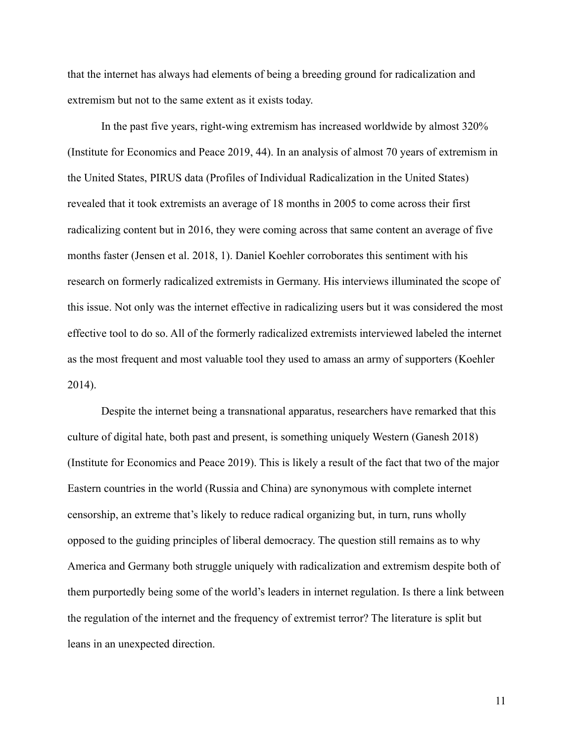that the internet has always had elements of being a breeding ground for radicalization and extremism but not to the same extent as it exists today.

In the past five years, right-wing extremism has increased worldwide by almost 320% (Institute for Economics and Peace 2019, 44). In an analysis of almost 70 years of extremism in the United States, PIRUS data (Profiles of Individual Radicalization in the United States) revealed that it took extremists an average of 18 months in 2005 to come across their first radicalizing content but in 2016, they were coming across that same content an average of five months faster (Jensen et al. 2018, 1). Daniel Koehler corroborates this sentiment with his research on formerly radicalized extremists in Germany. His interviews illuminated the scope of this issue. Not only was the internet effective in radicalizing users but it was considered the most effective tool to do so. All of the formerly radicalized extremists interviewed labeled the internet as the most frequent and most valuable tool they used to amass an army of supporters (Koehler 2014).

Despite the internet being a transnational apparatus, researchers have remarked that this culture of digital hate, both past and present, is something uniquely Western (Ganesh 2018) (Institute for Economics and Peace 2019). This is likely a result of the fact that two of the major Eastern countries in the world (Russia and China) are synonymous with complete internet censorship, an extreme that's likely to reduce radical organizing but, in turn, runs wholly opposed to the guiding principles of liberal democracy. The question still remains as to why America and Germany both struggle uniquely with radicalization and extremism despite both of them purportedly being some of the world's leaders in internet regulation. Is there a link between the regulation of the internet and the frequency of extremist terror? The literature is split but leans in an unexpected direction.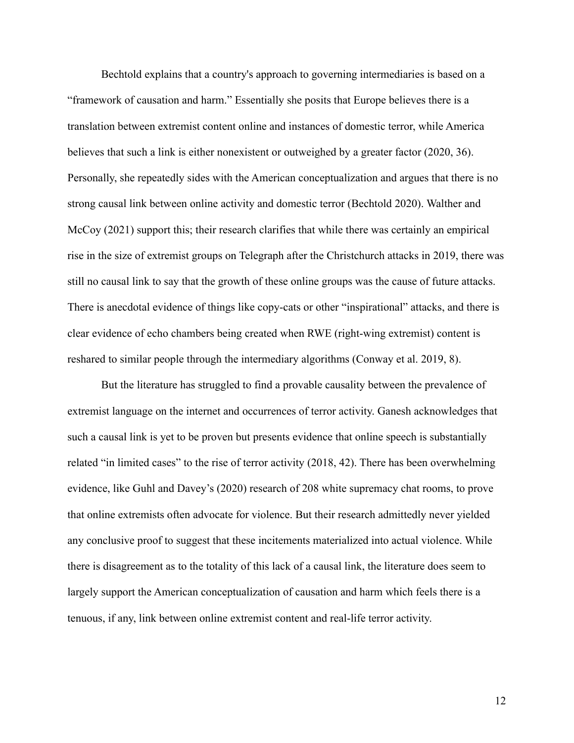Bechtold explains that a country's approach to governing intermediaries is based on a "framework of causation and harm." Essentially she posits that Europe believes there is a translation between extremist content online and instances of domestic terror, while America believes that such a link is either nonexistent or outweighed by a greater factor (2020, 36). Personally, she repeatedly sides with the American conceptualization and argues that there is no strong causal link between online activity and domestic terror (Bechtold 2020). Walther and McCoy (2021) support this; their research clarifies that while there was certainly an empirical rise in the size of extremist groups on Telegraph after the Christchurch attacks in 2019, there was still no causal link to say that the growth of these online groups was the cause of future attacks. There is anecdotal evidence of things like copy-cats or other "inspirational" attacks, and there is clear evidence of echo chambers being created when RWE (right-wing extremist) content is reshared to similar people through the intermediary algorithms (Conway et al. 2019, 8).

But the literature has struggled to find a provable causality between the prevalence of extremist language on the internet and occurrences of terror activity. Ganesh acknowledges that such a causal link is yet to be proven but presents evidence that online speech is substantially related "in limited cases" to the rise of terror activity (2018, 42). There has been overwhelming evidence, like Guhl and Davey's (2020) research of 208 white supremacy chat rooms, to prove that online extremists often advocate for violence. But their research admittedly never yielded any conclusive proof to suggest that these incitements materialized into actual violence. While there is disagreement as to the totality of this lack of a causal link, the literature does seem to largely support the American conceptualization of causation and harm which feels there is a tenuous, if any, link between online extremist content and real-life terror activity.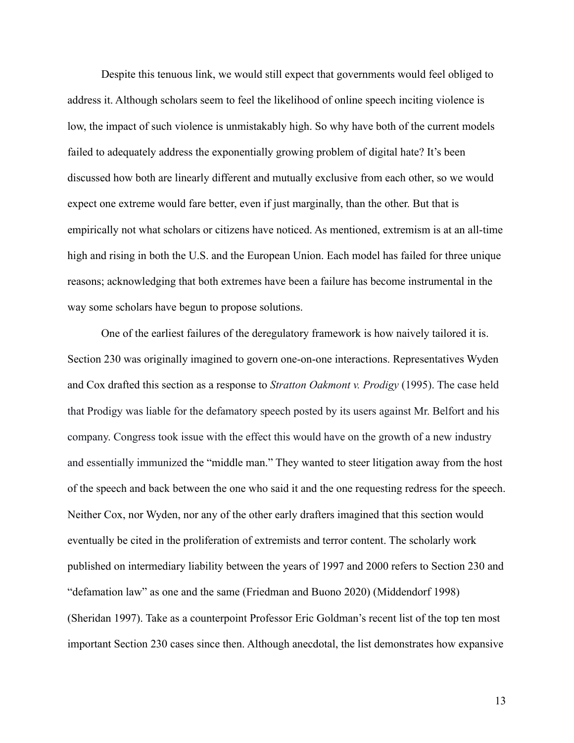Despite this tenuous link, we would still expect that governments would feel obliged to address it. Although scholars seem to feel the likelihood of online speech inciting violence is low, the impact of such violence is unmistakably high. So why have both of the current models failed to adequately address the exponentially growing problem of digital hate? It's been discussed how both are linearly different and mutually exclusive from each other, so we would expect one extreme would fare better, even if just marginally, than the other. But that is empirically not what scholars or citizens have noticed. As mentioned, extremism is at an all-time high and rising in both the U.S. and the European Union. Each model has failed for three unique reasons; acknowledging that both extremes have been a failure has become instrumental in the way some scholars have begun to propose solutions.

One of the earliest failures of the deregulatory framework is how naively tailored it is. Section 230 was originally imagined to govern one-on-one interactions. Representatives Wyden and Cox drafted this section as a response to *Stratton Oakmont v. Prodigy* (1995). The case held that Prodigy was liable for the defamatory speech posted by its users against Mr. Belfort and his company. Congress took issue with the effect this would have on the growth of a new industry and essentially immunized the "middle man." They wanted to steer litigation away from the host of the speech and back between the one who said it and the one requesting redress for the speech. Neither Cox, nor Wyden, nor any of the other early drafters imagined that this section would eventually be cited in the proliferation of extremists and terror content. The scholarly work published on intermediary liability between the years of 1997 and 2000 refers to Section 230 and "defamation law" as one and the same (Friedman and Buono 2020) (Middendorf 1998) (Sheridan 1997). Take as a counterpoint Professor Eric Goldman's recent list of the top ten most important Section 230 cases since then. Although anecdotal, the list demonstrates how expansive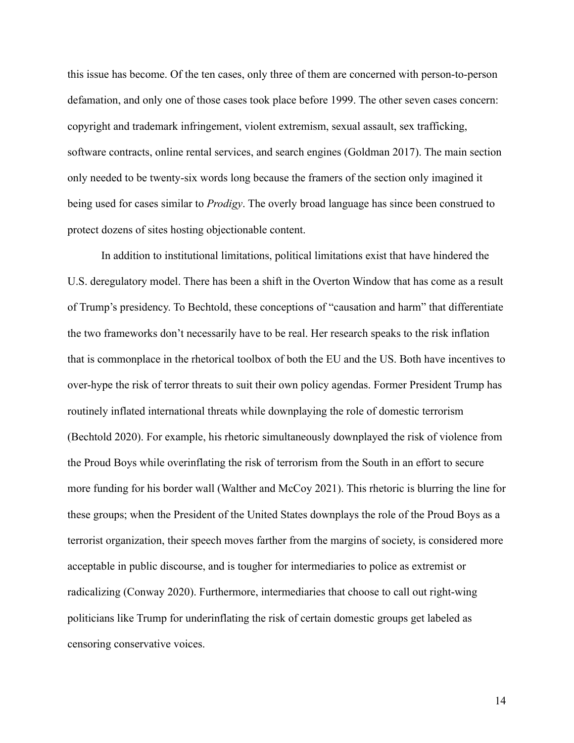this issue has become. Of the ten cases, only three of them are concerned with person-to-person defamation, and only one of those cases took place before 1999. The other seven cases concern: copyright and trademark infringement, violent extremism, sexual assault, sex trafficking, software contracts, online rental services, and search engines (Goldman 2017). The main section only needed to be twenty-six words long because the framers of the section only imagined it being used for cases similar to *Prodigy*. The overly broad language has since been construed to protect dozens of sites hosting objectionable content.

In addition to institutional limitations, political limitations exist that have hindered the U.S. deregulatory model. There has been a shift in the Overton Window that has come as a result of Trump's presidency. To Bechtold, these conceptions of "causation and harm" that differentiate the two frameworks don't necessarily have to be real. Her research speaks to the risk inflation that is commonplace in the rhetorical toolbox of both the EU and the US. Both have incentives to over-hype the risk of terror threats to suit their own policy agendas. Former President Trump has routinely inflated international threats while downplaying the role of domestic terrorism (Bechtold 2020). For example, his rhetoric simultaneously downplayed the risk of violence from the Proud Boys while overinflating the risk of terrorism from the South in an effort to secure more funding for his border wall (Walther and McCoy 2021). This rhetoric is blurring the line for these groups; when the President of the United States downplays the role of the Proud Boys as a terrorist organization, their speech moves farther from the margins of society, is considered more acceptable in public discourse, and is tougher for intermediaries to police as extremist or radicalizing (Conway 2020). Furthermore, intermediaries that choose to call out right-wing politicians like Trump for underinflating the risk of certain domestic groups get labeled as censoring conservative voices.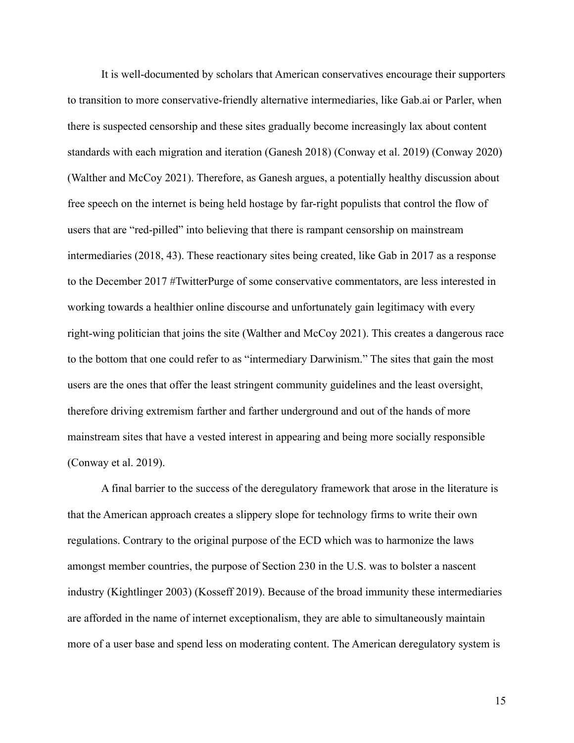It is well-documented by scholars that American conservatives encourage their supporters to transition to more conservative-friendly alternative intermediaries, like Gab.ai or Parler, when there is suspected censorship and these sites gradually become increasingly lax about content standards with each migration and iteration (Ganesh 2018) (Conway et al. 2019) (Conway 2020) (Walther and McCoy 2021). Therefore, as Ganesh argues, a potentially healthy discussion about free speech on the internet is being held hostage by far-right populists that control the flow of users that are "red-pilled" into believing that there is rampant censorship on mainstream intermediaries (2018, 43). These reactionary sites being created, like Gab in 2017 as a response to the December 2017 #TwitterPurge of some conservative commentators, are less interested in working towards a healthier online discourse and unfortunately gain legitimacy with every right-wing politician that joins the site (Walther and McCoy 2021). This creates a dangerous race to the bottom that one could refer to as "intermediary Darwinism." The sites that gain the most users are the ones that offer the least stringent community guidelines and the least oversight, therefore driving extremism farther and farther underground and out of the hands of more mainstream sites that have a vested interest in appearing and being more socially responsible (Conway et al. 2019).

A final barrier to the success of the deregulatory framework that arose in the literature is that the American approach creates a slippery slope for technology firms to write their own regulations. Contrary to the original purpose of the ECD which was to harmonize the laws amongst member countries, the purpose of Section 230 in the U.S. was to bolster a nascent industry (Kightlinger 2003) (Kosseff 2019). Because of the broad immunity these intermediaries are afforded in the name of internet exceptionalism, they are able to simultaneously maintain more of a user base and spend less on moderating content. The American deregulatory system is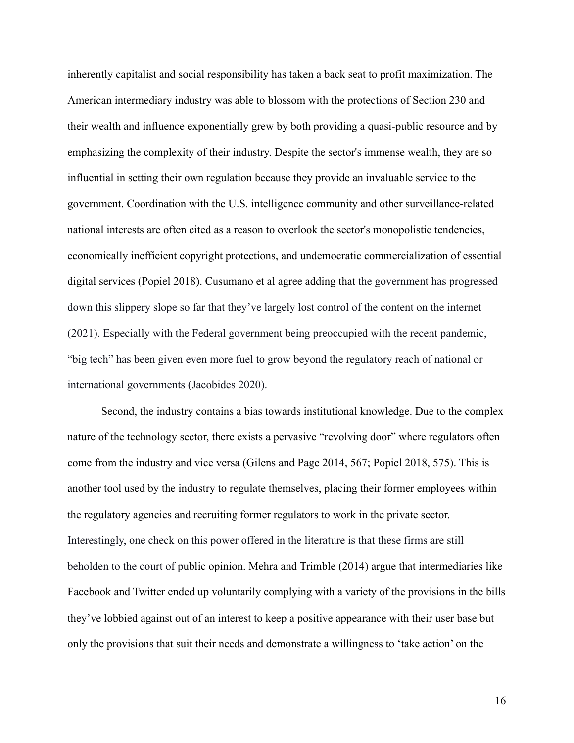inherently capitalist and social responsibility has taken a back seat to profit maximization. The American intermediary industry was able to blossom with the protections of Section 230 and their wealth and influence exponentially grew by both providing a quasi-public resource and by emphasizing the complexity of their industry. Despite the sector's immense wealth, they are so influential in setting their own regulation because they provide an invaluable service to the government. Coordination with the U.S. intelligence community and other surveillance-related national interests are often cited as a reason to overlook the sector's monopolistic tendencies, economically inefficient copyright protections, and undemocratic commercialization of essential digital services (Popiel 2018). Cusumano et al agree adding that the government has progressed down this slippery slope so far that they've largely lost control of the content on the internet (2021). Especially with the Federal government being preoccupied with the recent pandemic, "big tech" has been given even more fuel to grow beyond the regulatory reach of national or international governments (Jacobides 2020).

Second, the industry contains a bias towards institutional knowledge. Due to the complex nature of the technology sector, there exists a pervasive "revolving door" where regulators often come from the industry and vice versa (Gilens and Page 2014, 567; Popiel 2018, 575). This is another tool used by the industry to regulate themselves, placing their former employees within the regulatory agencies and recruiting former regulators to work in the private sector. Interestingly, one check on this power offered in the literature is that these firms are still beholden to the court of public opinion. Mehra and Trimble (2014) argue that intermediaries like Facebook and Twitter ended up voluntarily complying with a variety of the provisions in the bills they've lobbied against out of an interest to keep a positive appearance with their user base but only the provisions that suit their needs and demonstrate a willingness to 'take action' on the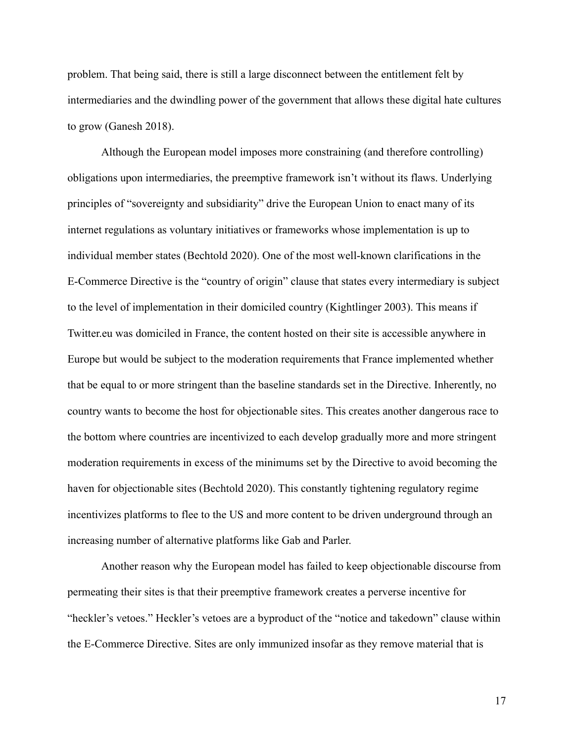problem. That being said, there is still a large disconnect between the entitlement felt by intermediaries and the dwindling power of the government that allows these digital hate cultures to grow (Ganesh 2018).

Although the European model imposes more constraining (and therefore controlling) obligations upon intermediaries, the preemptive framework isn't without its flaws. Underlying principles of "sovereignty and subsidiarity" drive the European Union to enact many of its internet regulations as voluntary initiatives or frameworks whose implementation is up to individual member states (Bechtold 2020). One of the most well-known clarifications in the E-Commerce Directive is the "country of origin" clause that states every intermediary is subject to the level of implementation in their domiciled country (Kightlinger 2003). This means if Twitter.eu was domiciled in France, the content hosted on their site is accessible anywhere in Europe but would be subject to the moderation requirements that France implemented whether that be equal to or more stringent than the baseline standards set in the Directive. Inherently, no country wants to become the host for objectionable sites. This creates another dangerous race to the bottom where countries are incentivized to each develop gradually more and more stringent moderation requirements in excess of the minimums set by the Directive to avoid becoming the haven for objectionable sites (Bechtold 2020). This constantly tightening regulatory regime incentivizes platforms to flee to the US and more content to be driven underground through an increasing number of alternative platforms like Gab and Parler.

Another reason why the European model has failed to keep objectionable discourse from permeating their sites is that their preemptive framework creates a perverse incentive for "heckler's vetoes." Heckler's vetoes are a byproduct of the "notice and takedown" clause within the E-Commerce Directive. Sites are only immunized insofar as they remove material that is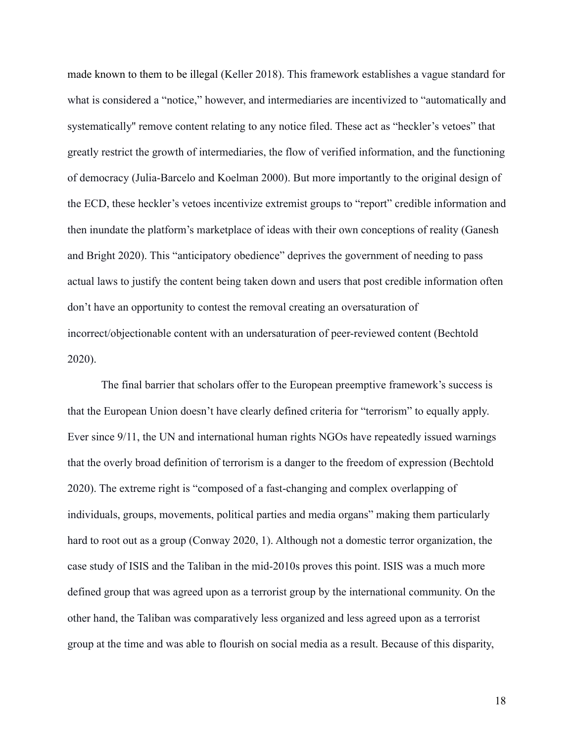made known to them to be illegal (Keller 2018). This framework establishes a vague standard for what is considered a "notice," however, and intermediaries are incentivized to "automatically and systematically'' remove content relating to any notice filed. These act as "heckler's vetoes" that greatly restrict the growth of intermediaries, the flow of verified information, and the functioning of democracy (Julia-Barcelo and Koelman 2000). But more importantly to the original design of the ECD, these heckler's vetoes incentivize extremist groups to "report" credible information and then inundate the platform's marketplace of ideas with their own conceptions of reality (Ganesh and Bright 2020). This "anticipatory obedience" deprives the government of needing to pass actual laws to justify the content being taken down and users that post credible information often don't have an opportunity to contest the removal creating an oversaturation of incorrect/objectionable content with an undersaturation of peer-reviewed content (Bechtold 2020).

The final barrier that scholars offer to the European preemptive framework's success is that the European Union doesn't have clearly defined criteria for "terrorism" to equally apply. Ever since 9/11, the UN and international human rights NGOs have repeatedly issued warnings that the overly broad definition of terrorism is a danger to the freedom of expression (Bechtold 2020). The extreme right is "composed of a fast-changing and complex overlapping of individuals, groups, movements, political parties and media organs" making them particularly hard to root out as a group (Conway 2020, 1). Although not a domestic terror organization, the case study of ISIS and the Taliban in the mid-2010s proves this point. ISIS was a much more defined group that was agreed upon as a terrorist group by the international community. On the other hand, the Taliban was comparatively less organized and less agreed upon as a terrorist group at the time and was able to flourish on social media as a result. Because of this disparity,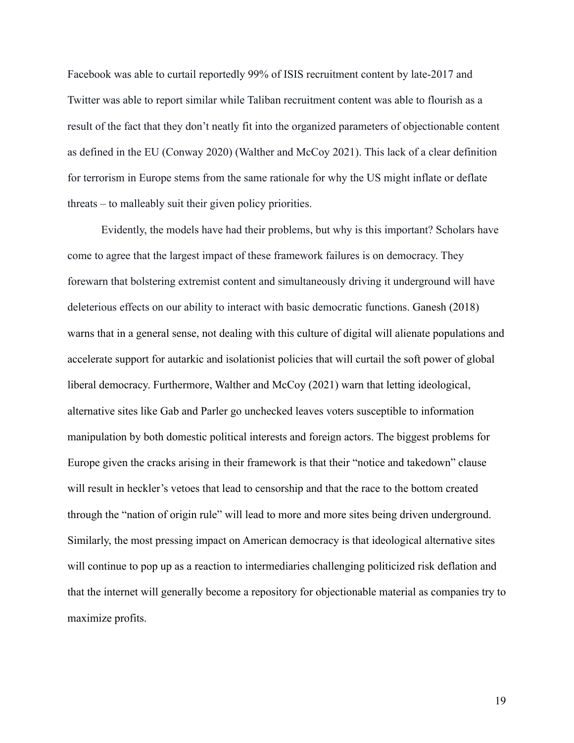Facebook was able to curtail reportedly 99% of ISIS recruitment content by late-2017 and Twitter was able to report similar while Taliban recruitment content was able to flourish as a result of the fact that they don't neatly fit into the organized parameters of objectionable content as defined in the EU (Conway 2020) (Walther and McCoy 2021). This lack of a clear definition for terrorism in Europe stems from the same rationale for why the US might inflate or deflate threats – to malleably suit their given policy priorities.

Evidently, the models have had their problems, but why is this important? Scholars have come to agree that the largest impact of these framework failures is on democracy. They forewarn that bolstering extremist content and simultaneously driving it underground will have deleterious effects on our ability to interact with basic democratic functions. Ganesh (2018) warns that in a general sense, not dealing with this culture of digital will alienate populations and accelerate support for autarkic and isolationist policies that will curtail the soft power of global liberal democracy. Furthermore, Walther and McCoy (2021) warn that letting ideological, alternative sites like Gab and Parler go unchecked leaves voters susceptible to information manipulation by both domestic political interests and foreign actors. The biggest problems for Europe given the cracks arising in their framework is that their "notice and takedown" clause will result in heckler's vetoes that lead to censorship and that the race to the bottom created through the "nation of origin rule" will lead to more and more sites being driven underground. Similarly, the most pressing impact on American democracy is that ideological alternative sites will continue to pop up as a reaction to intermediaries challenging politicized risk deflation and that the internet will generally become a repository for objectionable material as companies try to maximize profits.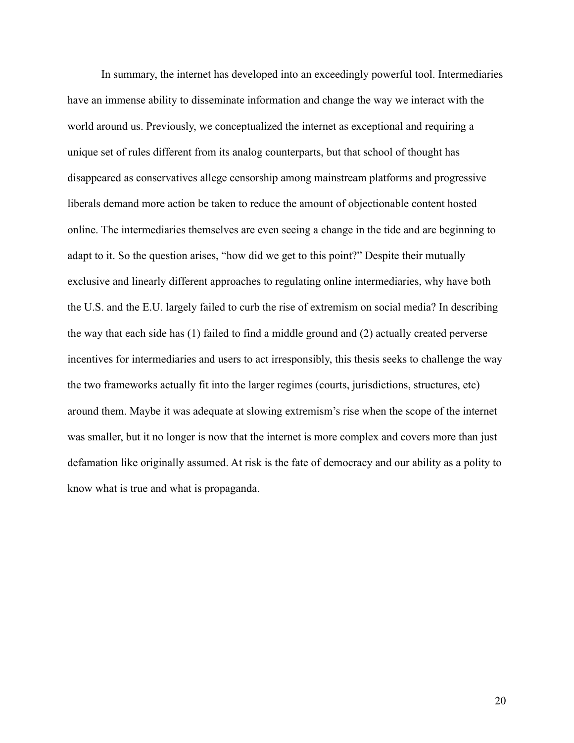In summary, the internet has developed into an exceedingly powerful tool. Intermediaries have an immense ability to disseminate information and change the way we interact with the world around us. Previously, we conceptualized the internet as exceptional and requiring a unique set of rules different from its analog counterparts, but that school of thought has disappeared as conservatives allege censorship among mainstream platforms and progressive liberals demand more action be taken to reduce the amount of objectionable content hosted online. The intermediaries themselves are even seeing a change in the tide and are beginning to adapt to it. So the question arises, "how did we get to this point?" Despite their mutually exclusive and linearly different approaches to regulating online intermediaries, why have both the U.S. and the E.U. largely failed to curb the rise of extremism on social media? In describing the way that each side has (1) failed to find a middle ground and (2) actually created perverse incentives for intermediaries and users to act irresponsibly, this thesis seeks to challenge the way the two frameworks actually fit into the larger regimes (courts, jurisdictions, structures, etc) around them. Maybe it was adequate at slowing extremism's rise when the scope of the internet was smaller, but it no longer is now that the internet is more complex and covers more than just defamation like originally assumed. At risk is the fate of democracy and our ability as a polity to know what is true and what is propaganda.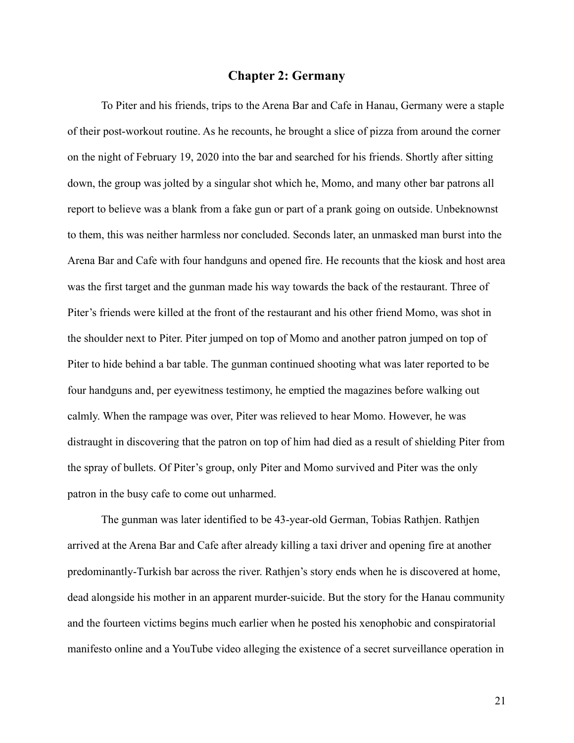## **Chapter 2: Germany**

<span id="page-27-0"></span>To Piter and his friends, trips to the Arena Bar and Cafe in Hanau, Germany were a staple of their post-workout routine. As he recounts, he brought a slice of pizza from around the corner on the night of February 19, 2020 into the bar and searched for his friends. Shortly after sitting down, the group was jolted by a singular shot which he, Momo, and many other bar patrons all report to believe was a blank from a fake gun or part of a prank going on outside. Unbeknownst to them, this was neither harmless nor concluded. Seconds later, an unmasked man burst into the Arena Bar and Cafe with four handguns and opened fire. He recounts that the kiosk and host area was the first target and the gunman made his way towards the back of the restaurant. Three of Piter's friends were killed at the front of the restaurant and his other friend Momo, was shot in the shoulder next to Piter. Piter jumped on top of Momo and another patron jumped on top of Piter to hide behind a bar table. The gunman continued shooting what was later reported to be four handguns and, per eyewitness testimony, he emptied the magazines before walking out calmly. When the rampage was over, Piter was relieved to hear Momo. However, he was distraught in discovering that the patron on top of him had died as a result of shielding Piter from the spray of bullets. Of Piter's group, only Piter and Momo survived and Piter was the only patron in the busy cafe to come out unharmed.

The gunman was later identified to be 43-year-old German, Tobias Rathjen. Rathjen arrived at the Arena Bar and Cafe after already killing a taxi driver and opening fire at another predominantly-Turkish bar across the river. Rathjen's story ends when he is discovered at home, dead alongside his mother in an apparent murder-suicide. But the story for the Hanau community and the fourteen victims begins much earlier when he posted his xenophobic and conspiratorial manifesto online and a YouTube video alleging the existence of a secret surveillance operation in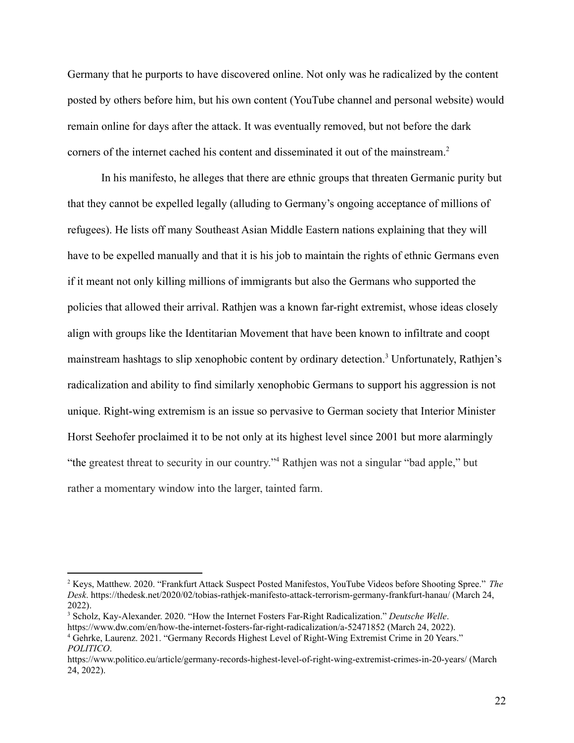Germany that he purports to have discovered online. Not only was he radicalized by the content posted by others before him, but his own content (YouTube channel and personal website) would remain online for days after the attack. It was eventually removed, but not before the dark corners of the internet cached his content and disseminated it out of the mainstream.<sup>2</sup>

In his manifesto, he alleges that there are ethnic groups that threaten Germanic purity but that they cannot be expelled legally (alluding to Germany's ongoing acceptance of millions of refugees). He lists off many Southeast Asian Middle Eastern nations explaining that they will have to be expelled manually and that it is his job to maintain the rights of ethnic Germans even if it meant not only killing millions of immigrants but also the Germans who supported the policies that allowed their arrival. Rathjen was a known far-right extremist, whose ideas closely align with groups like the Identitarian Movement that have been known to infiltrate and coopt mainstream hashtags to slip xenophobic content by ordinary detection.<sup>3</sup> Unfortunately, Rathjen's radicalization and ability to find similarly xenophobic Germans to support his aggression is not unique. Right-wing extremism is an issue so pervasive to German society that Interior Minister Horst Seehofer proclaimed it to be not only at its highest level since 2001 but more alarmingly "the greatest threat to security in our country."<sup>4</sup> Rathjen was not a singular "bad apple," but rather a momentary window into the larger, tainted farm.

<sup>2</sup> Keys, Matthew. 2020. "Frankfurt Attack Suspect Posted Manifestos, YouTube Videos before Shooting Spree." *The Desk*. https://thedesk.net/2020/02/tobias-rathjek-manifesto-attack-terrorism-germany-frankfurt-hanau/ (March 24, 2022).

<sup>4</sup> Gehrke, Laurenz. 2021. "Germany Records Highest Level of Right-Wing Extremist Crime in 20 Years." <sup>3</sup> Scholz, Kay-Alexander. 2020. "How the Internet Fosters Far-Right Radicalization." *Deutsche Welle*. https://www.dw.com/en/how-the-internet-fosters-far-right-radicalization/a-52471852 (March 24, 2022).

*POLITICO*.

https://www.politico.eu/article/germany-records-highest-level-of-right-wing-extremist-crimes-in-20-years/ (March 24, 2022).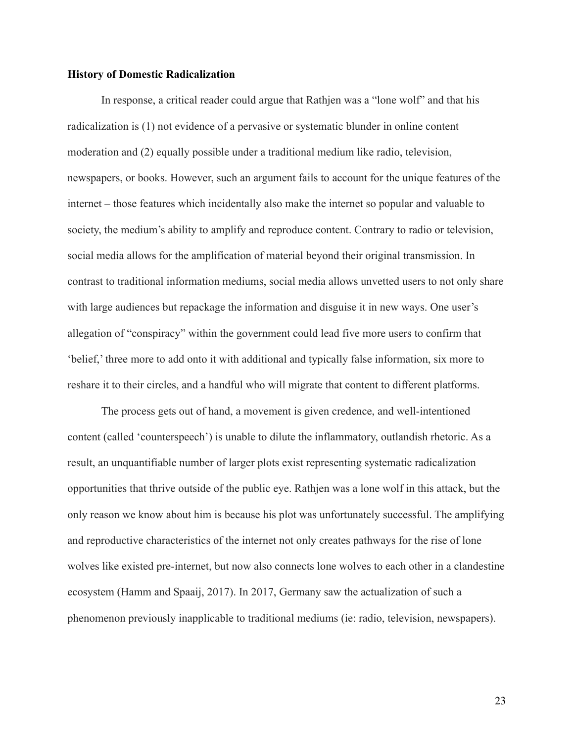#### <span id="page-29-0"></span>**History of Domestic Radicalization**

In response, a critical reader could argue that Rathjen was a "lone wolf" and that his radicalization is (1) not evidence of a pervasive or systematic blunder in online content moderation and (2) equally possible under a traditional medium like radio, television, newspapers, or books. However, such an argument fails to account for the unique features of the internet – those features which incidentally also make the internet so popular and valuable to society, the medium's ability to amplify and reproduce content. Contrary to radio or television, social media allows for the amplification of material beyond their original transmission. In contrast to traditional information mediums, social media allows unvetted users to not only share with large audiences but repackage the information and disguise it in new ways. One user's allegation of "conspiracy" within the government could lead five more users to confirm that 'belief,' three more to add onto it with additional and typically false information, six more to reshare it to their circles, and a handful who will migrate that content to different platforms.

The process gets out of hand, a movement is given credence, and well-intentioned content (called 'counterspeech') is unable to dilute the inflammatory, outlandish rhetoric. As a result, an unquantifiable number of larger plots exist representing systematic radicalization opportunities that thrive outside of the public eye. Rathjen was a lone wolf in this attack, but the only reason we know about him is because his plot was unfortunately successful. The amplifying and reproductive characteristics of the internet not only creates pathways for the rise of lone wolves like existed pre-internet, but now also connects lone wolves to each other in a clandestine ecosystem (Hamm and Spaaij, 2017). In 2017, Germany saw the actualization of such a phenomenon previously inapplicable to traditional mediums (ie: radio, television, newspapers).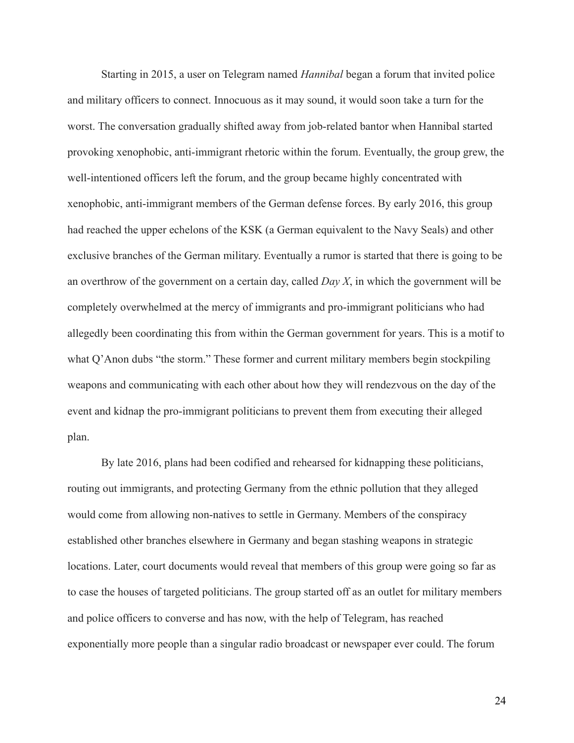Starting in 2015, a user on Telegram named *Hannibal* began a forum that invited police and military officers to connect. Innocuous as it may sound, it would soon take a turn for the worst. The conversation gradually shifted away from job-related bantor when Hannibal started provoking xenophobic, anti-immigrant rhetoric within the forum. Eventually, the group grew, the well-intentioned officers left the forum, and the group became highly concentrated with xenophobic, anti-immigrant members of the German defense forces. By early 2016, this group had reached the upper echelons of the KSK (a German equivalent to the Navy Seals) and other exclusive branches of the German military. Eventually a rumor is started that there is going to be an overthrow of the government on a certain day, called *Day X*, in which the government will be completely overwhelmed at the mercy of immigrants and pro-immigrant politicians who had allegedly been coordinating this from within the German government for years. This is a motif to what Q'Anon dubs "the storm." These former and current military members begin stockpiling weapons and communicating with each other about how they will rendezvous on the day of the event and kidnap the pro-immigrant politicians to prevent them from executing their alleged plan.

By late 2016, plans had been codified and rehearsed for kidnapping these politicians, routing out immigrants, and protecting Germany from the ethnic pollution that they alleged would come from allowing non-natives to settle in Germany. Members of the conspiracy established other branches elsewhere in Germany and began stashing weapons in strategic locations. Later, court documents would reveal that members of this group were going so far as to case the houses of targeted politicians. The group started off as an outlet for military members and police officers to converse and has now, with the help of Telegram, has reached exponentially more people than a singular radio broadcast or newspaper ever could. The forum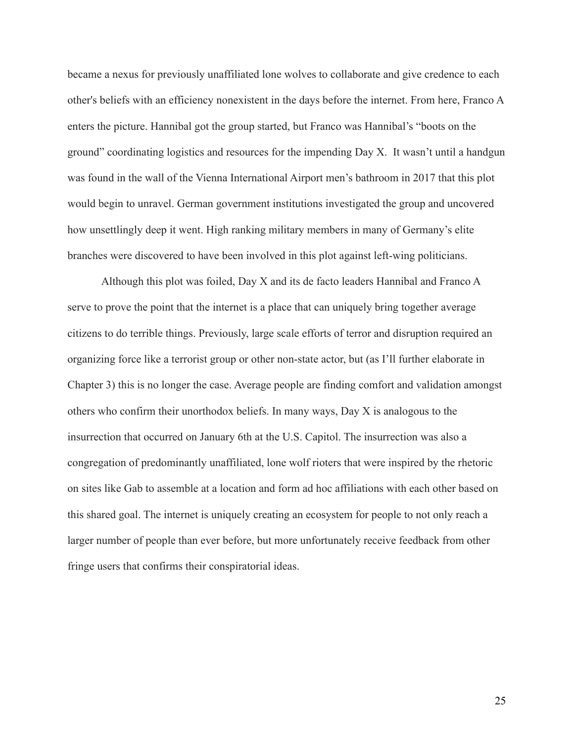became a nexus for previously unaffiliated lone wolves to collaborate and give credence to each other's beliefs with an efficiency nonexistent in the days before the internet. From here, Franco A enters the picture. Hannibal got the group started, but Franco was Hannibal's "boots on the ground" coordinating logistics and resources for the impending Day X. It wasn't until a handgun was found in the wall of the Vienna International Airport men's bathroom in 2017 that this plot would begin to unravel. German government institutions investigated the group and uncovered how unsettlingly deep it went. High ranking military members in many of Germany's elite branches were discovered to have been involved in this plot against left-wing politicians.

Although this plot was foiled, Day X and its de facto leaders Hannibal and Franco A serve to prove the point that the internet is a place that can uniquely bring together average citizens to do terrible things. Previously, large scale efforts of terror and disruption required an organizing force like a terrorist group or other non-state actor, but (as I'll further elaborate in Chapter 3) this is no longer the case. Average people are finding comfort and validation amongst others who confirm their unorthodox beliefs. In many ways, Day X is analogous to the insurrection that occurred on January 6th at the U.S. Capitol. The insurrection was also a congregation of predominantly unaffiliated, lone wolf rioters that were inspired by the rhetoric on sites like Gab to assemble at a location and form ad hoc affiliations with each other based on this shared goal. The internet is uniquely creating an ecosystem for people to not only reach a larger number of people than ever before, but more unfortunately receive feedback from other fringe users that confirms their conspiratorial ideas.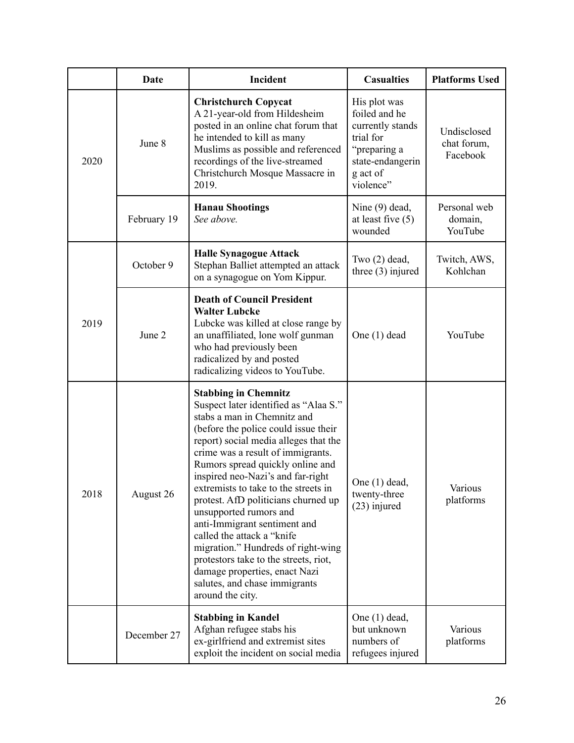|      | Date        | Incident                                                                                                                                                                                                                                                                                                                                                                                                                                                                                                                                                                                                                                        | <b>Casualties</b>                                                                                                           | <b>Platforms Used</b>                  |
|------|-------------|-------------------------------------------------------------------------------------------------------------------------------------------------------------------------------------------------------------------------------------------------------------------------------------------------------------------------------------------------------------------------------------------------------------------------------------------------------------------------------------------------------------------------------------------------------------------------------------------------------------------------------------------------|-----------------------------------------------------------------------------------------------------------------------------|----------------------------------------|
| 2020 | June 8      | <b>Christchurch Copycat</b><br>A 21-year-old from Hildesheim<br>posted in an online chat forum that<br>he intended to kill as many<br>Muslims as possible and referenced<br>recordings of the live-streamed<br>Christchurch Mosque Massacre in<br>2019.                                                                                                                                                                                                                                                                                                                                                                                         | His plot was<br>foiled and he<br>currently stands<br>trial for<br>"preparing a<br>state-endangerin<br>g act of<br>violence" | Undisclosed<br>chat forum,<br>Facebook |
|      | February 19 | <b>Hanau Shootings</b><br>See above.                                                                                                                                                                                                                                                                                                                                                                                                                                                                                                                                                                                                            | Nine (9) dead,<br>at least five $(5)$<br>wounded                                                                            | Personal web<br>domain,<br>YouTube     |
| 2019 | October 9   | <b>Halle Synagogue Attack</b><br>Stephan Balliet attempted an attack<br>on a synagogue on Yom Kippur.                                                                                                                                                                                                                                                                                                                                                                                                                                                                                                                                           | Two $(2)$ dead,<br>three $(3)$ injured                                                                                      | Twitch, AWS,<br>Kohlchan               |
|      | June 2      | <b>Death of Council President</b><br><b>Walter Lubcke</b><br>Lubcke was killed at close range by<br>an unaffiliated, lone wolf gunman<br>who had previously been<br>radicalized by and posted<br>radicalizing videos to YouTube.                                                                                                                                                                                                                                                                                                                                                                                                                | One $(1)$ dead                                                                                                              | YouTube                                |
| 2018 | August 26   | <b>Stabbing in Chemnitz</b><br>Suspect later identified as "Alaa S."<br>stabs a man in Chemnitz and<br>(before the police could issue their<br>report) social media alleges that the<br>crime was a result of immigrants.<br>Rumors spread quickly online and<br>inspired neo-Nazi's and far-right<br>extremists to take to the streets in<br>protest. AfD politicians churned up<br>unsupported rumors and<br>anti-Immigrant sentiment and<br>called the attack a "knife"<br>migration." Hundreds of right-wing<br>protestors take to the streets, riot,<br>damage properties, enact Nazi<br>salutes, and chase immigrants<br>around the city. | One $(1)$ dead,<br>twenty-three<br>$(23)$ injured                                                                           | Various<br>platforms                   |
|      | December 27 | <b>Stabbing in Kandel</b><br>Afghan refugee stabs his<br>ex-girlfriend and extremist sites<br>exploit the incident on social media                                                                                                                                                                                                                                                                                                                                                                                                                                                                                                              | One $(1)$ dead,<br>but unknown<br>numbers of<br>refugees injured                                                            | Various<br>platforms                   |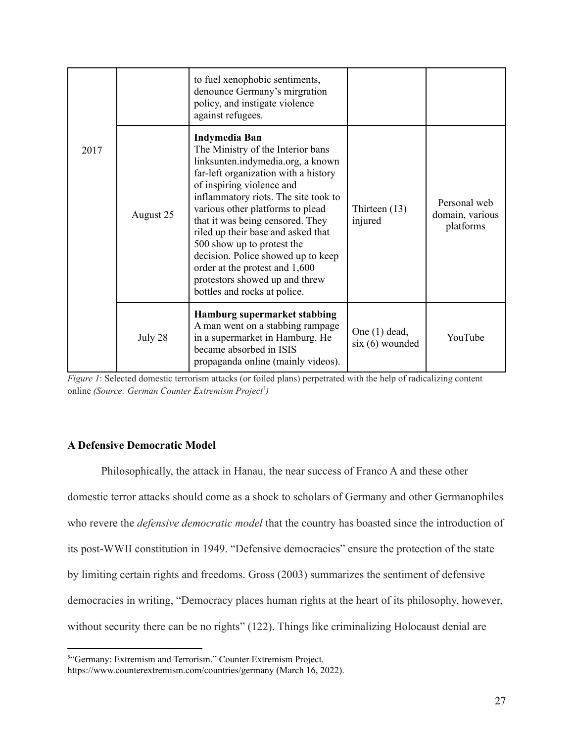|      |           | to fuel xenophobic sentiments,<br>denounce Germany's mirgration<br>policy, and instigate violence<br>against refugees.                                                                                                                                                                                                                                                                                                                                                                            |                                         |                                              |
|------|-----------|---------------------------------------------------------------------------------------------------------------------------------------------------------------------------------------------------------------------------------------------------------------------------------------------------------------------------------------------------------------------------------------------------------------------------------------------------------------------------------------------------|-----------------------------------------|----------------------------------------------|
| 2017 | August 25 | <b>Indymedia Ban</b><br>The Ministry of the Interior bans<br>linksunten.indymedia.org, a known<br>far-left organization with a history<br>of inspiring violence and<br>inflammatory riots. The site took to<br>various other platforms to plead<br>that it was being censored. They<br>riled up their base and asked that<br>500 show up to protest the<br>decision. Police showed up to keep<br>order at the protest and 1,600<br>protestors showed up and threw<br>bottles and rocks at police. | Thirteen $(13)$<br>injured              | Personal web<br>domain, various<br>platforms |
|      | July 28   | Hamburg supermarket stabbing<br>A man went on a stabbing rampage<br>in a supermarket in Hamburg. He<br>became absorbed in ISIS<br>propaganda online (mainly videos).                                                                                                                                                                                                                                                                                                                              | One $(1)$ dead,<br>$s$ ix $(6)$ wounded | YouTube                                      |

*Figure* 1: Selected domestic terrorism attacks (or foiled plans) perpetrated with the help of radicalizing content online *(Source: German Counter Extremism Project 5 )*

### <span id="page-33-0"></span>**A Defensive Democratic Model**

Philosophically, the attack in Hanau, the near success of Franco A and these other domestic terror attacks should come as a shock to scholars of Germany and other Germanophiles who revere the *defensive democratic model* that the country has boasted since the introduction of its post-WWII constitution in 1949. "Defensive democracies" ensure the protection of the state by limiting certain rights and freedoms. Gross (2003) summarizes the sentiment of defensive democracies in writing, "Democracy places human rights at the heart of its philosophy, however, without security there can be no rights" (122). Things like criminalizing Holocaust denial are

<sup>&</sup>lt;sup>5</sup>"Germany: Extremism and Terrorism." Counter Extremism Project.

https://www.counterextremism.com/countries/germany (March 16, 2022).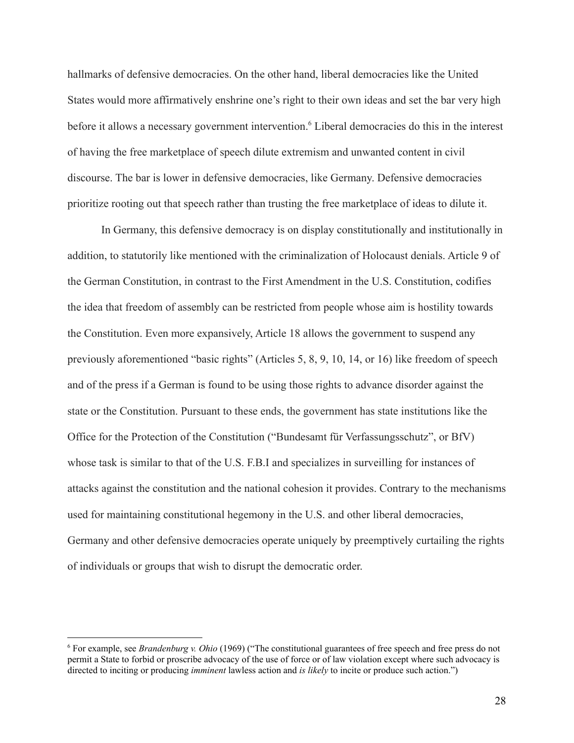hallmarks of defensive democracies. On the other hand, liberal democracies like the United States would more affirmatively enshrine one's right to their own ideas and set the bar very high before it allows a necessary government intervention.<sup>6</sup> Liberal democracies do this in the interest of having the free marketplace of speech dilute extremism and unwanted content in civil discourse. The bar is lower in defensive democracies, like Germany. Defensive democracies prioritize rooting out that speech rather than trusting the free marketplace of ideas to dilute it.

In Germany, this defensive democracy is on display constitutionally and institutionally in addition, to statutorily like mentioned with the criminalization of Holocaust denials. Article 9 of the German Constitution, in contrast to the First Amendment in the U.S. Constitution, codifies the idea that freedom of assembly can be restricted from people whose aim is hostility towards the Constitution. Even more expansively, Article 18 allows the government to suspend any previously aforementioned "basic rights" (Articles 5, 8, 9, 10, 14, or 16) like freedom of speech and of the press if a German is found to be using those rights to advance disorder against the state or the Constitution. Pursuant to these ends, the government has state institutions like the Office for the Protection of the Constitution ("Bundesamt für Verfassungsschutz", or BfV) whose task is similar to that of the U.S. F.B.I and specializes in surveilling for instances of attacks against the constitution and the national cohesion it provides. Contrary to the mechanisms used for maintaining constitutional hegemony in the U.S. and other liberal democracies, Germany and other defensive democracies operate uniquely by preemptively curtailing the rights of individuals or groups that wish to disrupt the democratic order.

<sup>6</sup> For example, see *Brandenburg v. Ohio* (1969) ("The constitutional guarantees of free speech and free press do not permit a State to forbid or proscribe advocacy of the use of force or of law violation except where such advocacy is directed to inciting or producing *imminent* lawless action and *is likely* to incite or produce such action.")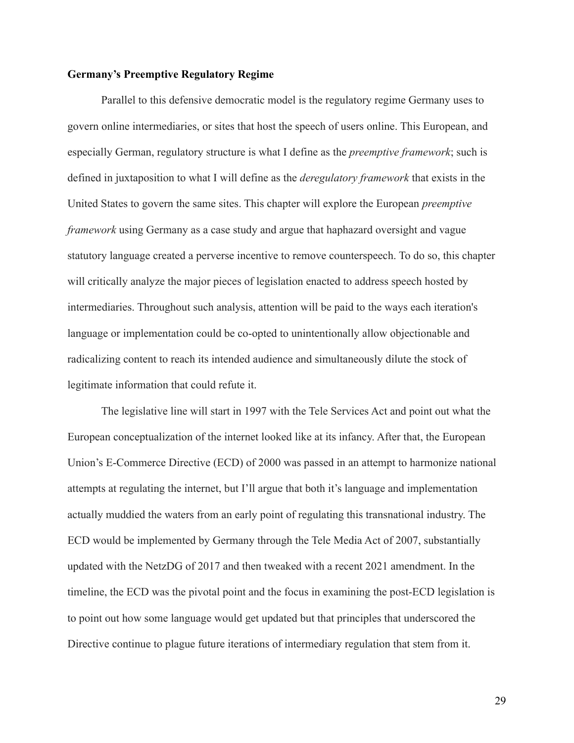#### <span id="page-35-0"></span>**Germany's Preemptive Regulatory Regime**

Parallel to this defensive democratic model is the regulatory regime Germany uses to govern online intermediaries, or sites that host the speech of users online. This European, and especially German, regulatory structure is what I define as the *preemptive framework*; such is defined in juxtaposition to what I will define as the *deregulatory framework* that exists in the United States to govern the same sites. This chapter will explore the European *preemptive framework* using Germany as a case study and argue that haphazard oversight and vague statutory language created a perverse incentive to remove counterspeech. To do so, this chapter will critically analyze the major pieces of legislation enacted to address speech hosted by intermediaries. Throughout such analysis, attention will be paid to the ways each iteration's language or implementation could be co-opted to unintentionally allow objectionable and radicalizing content to reach its intended audience and simultaneously dilute the stock of legitimate information that could refute it.

The legislative line will start in 1997 with the Tele Services Act and point out what the European conceptualization of the internet looked like at its infancy. After that, the European Union's E-Commerce Directive (ECD) of 2000 was passed in an attempt to harmonize national attempts at regulating the internet, but I'll argue that both it's language and implementation actually muddied the waters from an early point of regulating this transnational industry. The ECD would be implemented by Germany through the Tele Media Act of 2007, substantially updated with the NetzDG of 2017 and then tweaked with a recent 2021 amendment. In the timeline, the ECD was the pivotal point and the focus in examining the post-ECD legislation is to point out how some language would get updated but that principles that underscored the Directive continue to plague future iterations of intermediary regulation that stem from it.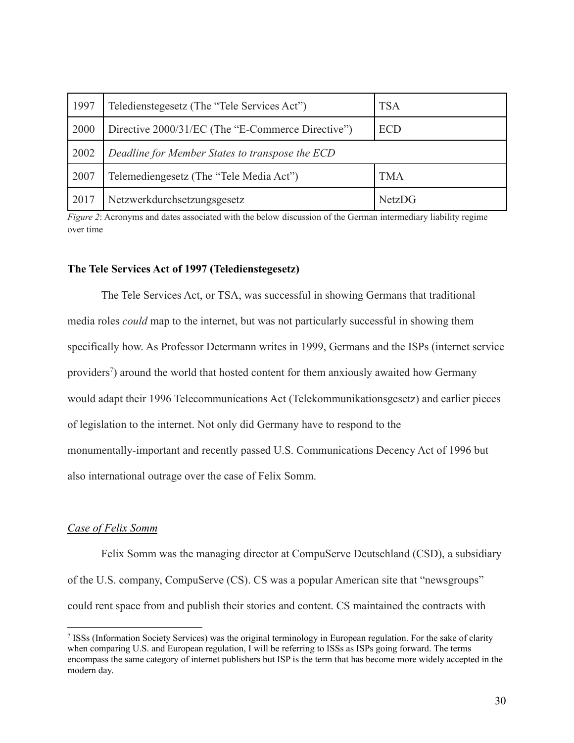| 1997 | Teledienstegesetz (The "Tele Services Act")                     | <b>TSA</b> |  |
|------|-----------------------------------------------------------------|------------|--|
| 2000 | Directive 2000/31/EC (The "E-Commerce Directive")<br><b>ECD</b> |            |  |
| 2002 | Deadline for Member States to transpose the ECD                 |            |  |
| 2007 | Telemediengesetz (The "Tele Media Act")                         | <b>TMA</b> |  |
| 2017 | Netzwerkdurchsetzungsgesetz<br><b>NetzDG</b>                    |            |  |

*Figure 2*: Acronyms and dates associated with the below discussion of the German intermediary liability regime over time

### **The Tele Services Act of 1997 (Teledienstegesetz)**

The Tele Services Act, or TSA, was successful in showing Germans that traditional media roles *could* map to the internet, but was not particularly successful in showing them specifically how. As Professor Determann writes in 1999, Germans and the ISPs (internet service providers<sup>7</sup>) around the world that hosted content for them anxiously awaited how Germany would adapt their 1996 Telecommunications Act (Telekommunikationsgesetz) and earlier pieces of legislation to the internet. Not only did Germany have to respond to the monumentally-important and recently passed U.S. Communications Decency Act of 1996 but also international outrage over the case of Felix Somm.

# *Case of Felix Somm*

Felix Somm was the managing director at CompuServe Deutschland (CSD), a subsidiary of the U.S. company, CompuServe (CS). CS was a popular American site that "newsgroups" could rent space from and publish their stories and content. CS maintained the contracts with

<sup>7</sup> ISSs (Information Society Services) was the original terminology in European regulation. For the sake of clarity when comparing U.S. and European regulation, I will be referring to ISSs as ISPs going forward. The terms encompass the same category of internet publishers but ISP is the term that has become more widely accepted in the modern day.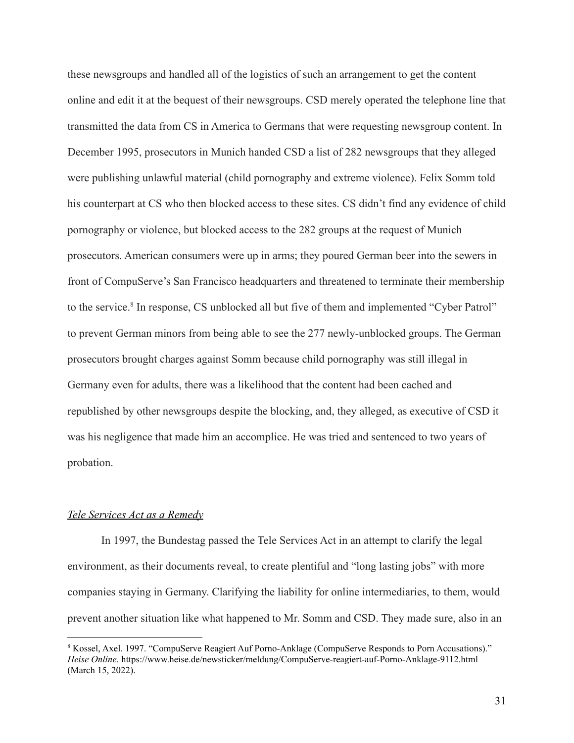these newsgroups and handled all of the logistics of such an arrangement to get the content online and edit it at the bequest of their newsgroups. CSD merely operated the telephone line that transmitted the data from CS in America to Germans that were requesting newsgroup content. In December 1995, prosecutors in Munich handed CSD a list of 282 newsgroups that they alleged were publishing unlawful material (child pornography and extreme violence). Felix Somm told his counterpart at CS who then blocked access to these sites. CS didn't find any evidence of child pornography or violence, but blocked access to the 282 groups at the request of Munich prosecutors. American consumers were up in arms; they poured German beer into the sewers in front of CompuServe's San Francisco headquarters and threatened to terminate their membership to the service.<sup>8</sup> In response, CS unblocked all but five of them and implemented "Cyber Patrol" to prevent German minors from being able to see the 277 newly-unblocked groups. The German prosecutors brought charges against Somm because child pornography was still illegal in Germany even for adults, there was a likelihood that the content had been cached and republished by other newsgroups despite the blocking, and, they alleged, as executive of CSD it was his negligence that made him an accomplice. He was tried and sentenced to two years of probation.

# *Tele Services Act as a Remedy*

In 1997, the Bundestag passed the Tele Services Act in an attempt to clarify the legal environment, as their documents reveal, to create plentiful and "long lasting jobs" with more companies staying in Germany. Clarifying the liability for online intermediaries, to them, would prevent another situation like what happened to Mr. Somm and CSD. They made sure, also in an

<sup>8</sup> Kossel, Axel. 1997. "CompuServe Reagiert Auf Porno-Anklage (CompuServe Responds to Porn Accusations)." *Heise Online*. https://www.heise.de/newsticker/meldung/CompuServe-reagiert-auf-Porno-Anklage-9112.html (March 15, 2022).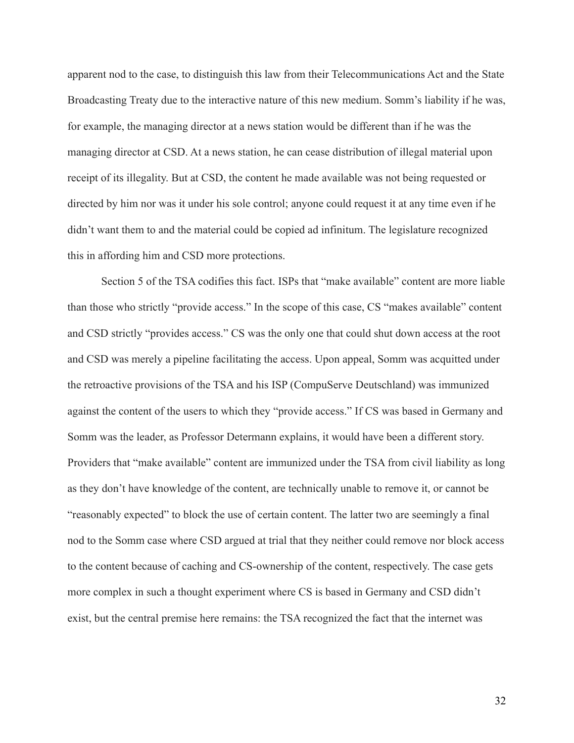apparent nod to the case, to distinguish this law from their Telecommunications Act and the State Broadcasting Treaty due to the interactive nature of this new medium. Somm's liability if he was, for example, the managing director at a news station would be different than if he was the managing director at CSD. At a news station, he can cease distribution of illegal material upon receipt of its illegality. But at CSD, the content he made available was not being requested or directed by him nor was it under his sole control; anyone could request it at any time even if he didn't want them to and the material could be copied ad infinitum. The legislature recognized this in affording him and CSD more protections.

Section 5 of the TSA codifies this fact. ISPs that "make available" content are more liable than those who strictly "provide access." In the scope of this case, CS "makes available" content and CSD strictly "provides access." CS was the only one that could shut down access at the root and CSD was merely a pipeline facilitating the access. Upon appeal, Somm was acquitted under the retroactive provisions of the TSA and his ISP (CompuServe Deutschland) was immunized against the content of the users to which they "provide access." If CS was based in Germany and Somm was the leader, as Professor Determann explains, it would have been a different story. Providers that "make available" content are immunized under the TSA from civil liability as long as they don't have knowledge of the content, are technically unable to remove it, or cannot be "reasonably expected" to block the use of certain content. The latter two are seemingly a final nod to the Somm case where CSD argued at trial that they neither could remove nor block access to the content because of caching and CS-ownership of the content, respectively. The case gets more complex in such a thought experiment where CS is based in Germany and CSD didn't exist, but the central premise here remains: the TSA recognized the fact that the internet was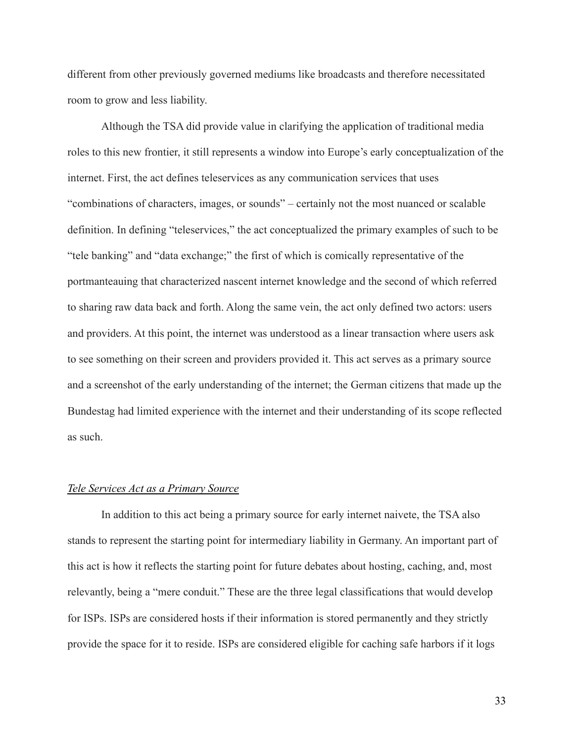different from other previously governed mediums like broadcasts and therefore necessitated room to grow and less liability.

Although the TSA did provide value in clarifying the application of traditional media roles to this new frontier, it still represents a window into Europe's early conceptualization of the internet. First, the act defines teleservices as any communication services that uses "combinations of characters, images, or sounds" – certainly not the most nuanced or scalable definition. In defining "teleservices," the act conceptualized the primary examples of such to be "tele banking" and "data exchange;" the first of which is comically representative of the portmanteauing that characterized nascent internet knowledge and the second of which referred to sharing raw data back and forth. Along the same vein, the act only defined two actors: users and providers. At this point, the internet was understood as a linear transaction where users ask to see something on their screen and providers provided it. This act serves as a primary source and a screenshot of the early understanding of the internet; the German citizens that made up the Bundestag had limited experience with the internet and their understanding of its scope reflected as such.

### *Tele Services Act as a Primary Source*

In addition to this act being a primary source for early internet naivete, the TSA also stands to represent the starting point for intermediary liability in Germany. An important part of this act is how it reflects the starting point for future debates about hosting, caching, and, most relevantly, being a "mere conduit." These are the three legal classifications that would develop for ISPs. ISPs are considered hosts if their information is stored permanently and they strictly provide the space for it to reside. ISPs are considered eligible for caching safe harbors if it logs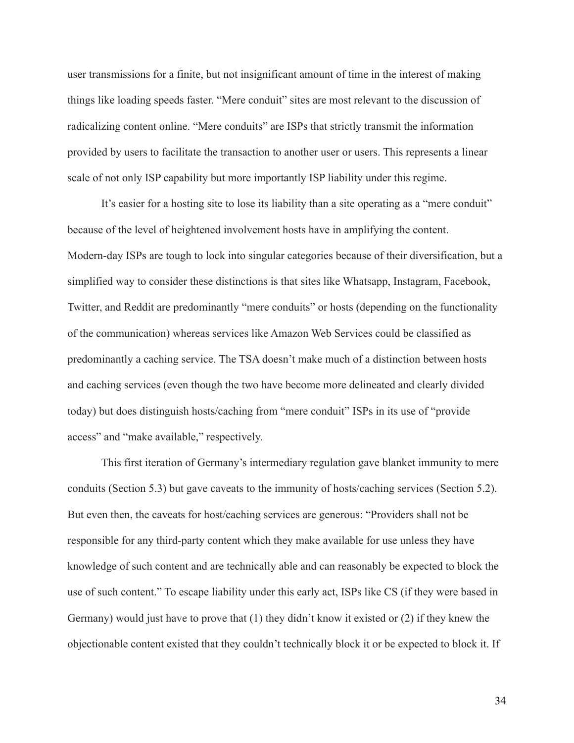user transmissions for a finite, but not insignificant amount of time in the interest of making things like loading speeds faster. "Mere conduit" sites are most relevant to the discussion of radicalizing content online. "Mere conduits" are ISPs that strictly transmit the information provided by users to facilitate the transaction to another user or users. This represents a linear scale of not only ISP capability but more importantly ISP liability under this regime.

It's easier for a hosting site to lose its liability than a site operating as a "mere conduit" because of the level of heightened involvement hosts have in amplifying the content. Modern-day ISPs are tough to lock into singular categories because of their diversification, but a simplified way to consider these distinctions is that sites like Whatsapp, Instagram, Facebook, Twitter, and Reddit are predominantly "mere conduits" or hosts (depending on the functionality of the communication) whereas services like Amazon Web Services could be classified as predominantly a caching service. The TSA doesn't make much of a distinction between hosts and caching services (even though the two have become more delineated and clearly divided today) but does distinguish hosts/caching from "mere conduit" ISPs in its use of "provide access" and "make available," respectively.

This first iteration of Germany's intermediary regulation gave blanket immunity to mere conduits (Section 5.3) but gave caveats to the immunity of hosts/caching services (Section 5.2). But even then, the caveats for host/caching services are generous: "Providers shall not be responsible for any third-party content which they make available for use unless they have knowledge of such content and are technically able and can reasonably be expected to block the use of such content." To escape liability under this early act, ISPs like CS (if they were based in Germany) would just have to prove that (1) they didn't know it existed or (2) if they knew the objectionable content existed that they couldn't technically block it or be expected to block it. If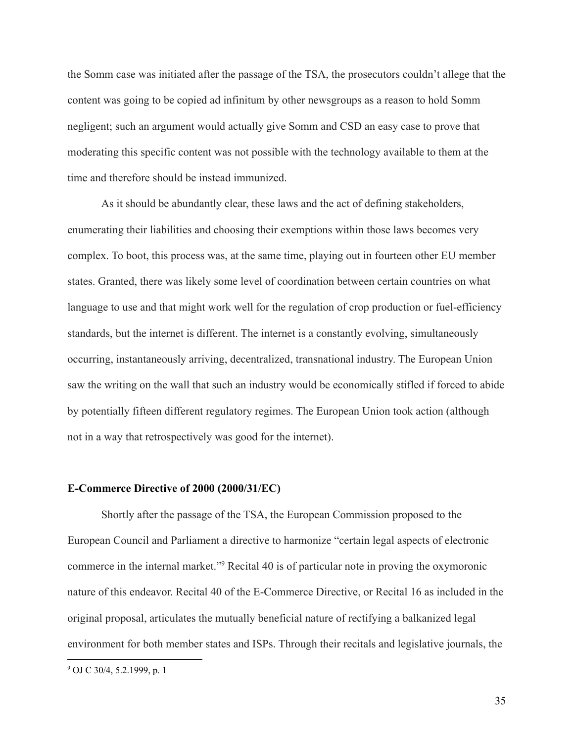the Somm case was initiated after the passage of the TSA, the prosecutors couldn't allege that the content was going to be copied ad infinitum by other newsgroups as a reason to hold Somm negligent; such an argument would actually give Somm and CSD an easy case to prove that moderating this specific content was not possible with the technology available to them at the time and therefore should be instead immunized.

As it should be abundantly clear, these laws and the act of defining stakeholders, enumerating their liabilities and choosing their exemptions within those laws becomes very complex. To boot, this process was, at the same time, playing out in fourteen other EU member states. Granted, there was likely some level of coordination between certain countries on what language to use and that might work well for the regulation of crop production or fuel-efficiency standards, but the internet is different. The internet is a constantly evolving, simultaneously occurring, instantaneously arriving, decentralized, transnational industry. The European Union saw the writing on the wall that such an industry would be economically stifled if forced to abide by potentially fifteen different regulatory regimes. The European Union took action (although not in a way that retrospectively was good for the internet).

### **E-Commerce Directive of 2000 (2000/31/EC)**

Shortly after the passage of the TSA, the European Commission proposed to the European Council and Parliament a directive to harmonize "certain legal aspects of electronic commerce in the internal market."<sup>9</sup> Recital 40 is of particular note in proving the oxymoronic nature of this endeavor. Recital 40 of the E-Commerce Directive, or Recital 16 as included in the original proposal, articulates the mutually beneficial nature of rectifying a balkanized legal environment for both member states and ISPs. Through their recitals and legislative journals, the

<sup>9</sup> OJ C 30/4, 5.2.1999, p. 1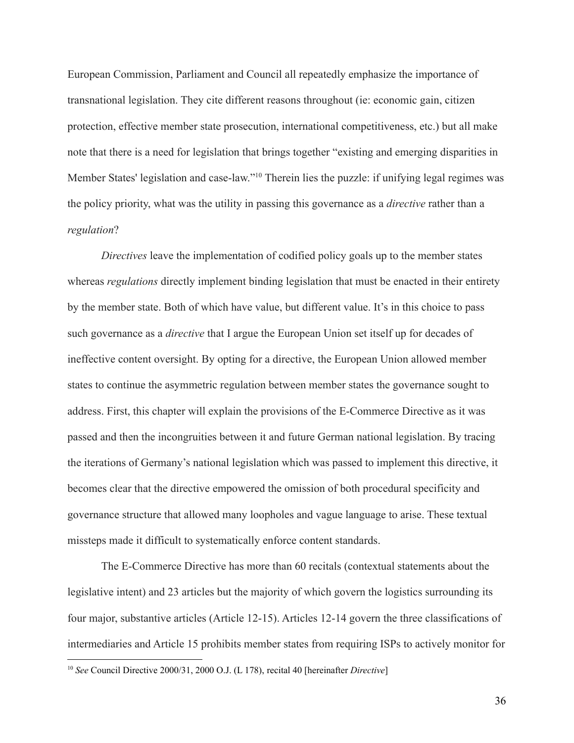European Commission, Parliament and Council all repeatedly emphasize the importance of transnational legislation. They cite different reasons throughout (ie: economic gain, citizen protection, effective member state prosecution, international competitiveness, etc.) but all make note that there is a need for legislation that brings together "existing and emerging disparities in Member States' legislation and case-law."<sup>10</sup> Therein lies the puzzle: if unifying legal regimes was the policy priority, what was the utility in passing this governance as a *directive* rather than a *regulation*?

*Directives* leave the implementation of codified policy goals up to the member states whereas *regulations* directly implement binding legislation that must be enacted in their entirety by the member state. Both of which have value, but different value. It's in this choice to pass such governance as a *directive* that I argue the European Union set itself up for decades of ineffective content oversight. By opting for a directive, the European Union allowed member states to continue the asymmetric regulation between member states the governance sought to address. First, this chapter will explain the provisions of the E-Commerce Directive as it was passed and then the incongruities between it and future German national legislation. By tracing the iterations of Germany's national legislation which was passed to implement this directive, it becomes clear that the directive empowered the omission of both procedural specificity and governance structure that allowed many loopholes and vague language to arise. These textual missteps made it difficult to systematically enforce content standards.

The E-Commerce Directive has more than 60 recitals (contextual statements about the legislative intent) and 23 articles but the majority of which govern the logistics surrounding its four major, substantive articles (Article 12-15). Articles 12-14 govern the three classifications of intermediaries and Article 15 prohibits member states from requiring ISPs to actively monitor for

<sup>10</sup> *See* Council Directive 2000/31, 2000 O.J. (L 178), recital 40 [hereinafter *Directive*]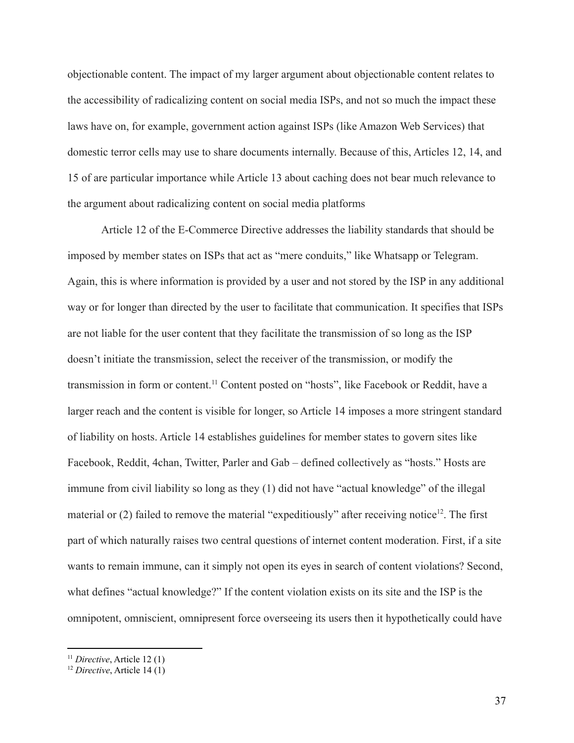objectionable content. The impact of my larger argument about objectionable content relates to the accessibility of radicalizing content on social media ISPs, and not so much the impact these laws have on, for example, government action against ISPs (like Amazon Web Services) that domestic terror cells may use to share documents internally. Because of this, Articles 12, 14, and 15 of are particular importance while Article 13 about caching does not bear much relevance to the argument about radicalizing content on social media platforms

Article 12 of the E-Commerce Directive addresses the liability standards that should be imposed by member states on ISPs that act as "mere conduits," like Whatsapp or Telegram. Again, this is where information is provided by a user and not stored by the ISP in any additional way or for longer than directed by the user to facilitate that communication. It specifies that ISPs are not liable for the user content that they facilitate the transmission of so long as the ISP doesn't initiate the transmission, select the receiver of the transmission, or modify the transmission in form or content.<sup>11</sup> Content posted on "hosts", like Facebook or Reddit, have a larger reach and the content is visible for longer, so Article 14 imposes a more stringent standard of liability on hosts. Article 14 establishes guidelines for member states to govern sites like Facebook, Reddit, 4chan, Twitter, Parler and Gab – defined collectively as "hosts." Hosts are immune from civil liability so long as they (1) did not have "actual knowledge" of the illegal material or (2) failed to remove the material "expeditiously" after receiving notice<sup>12</sup>. The first part of which naturally raises two central questions of internet content moderation. First, if a site wants to remain immune, can it simply not open its eyes in search of content violations? Second, what defines "actual knowledge?" If the content violation exists on its site and the ISP is the omnipotent, omniscient, omnipresent force overseeing its users then it hypothetically could have

<sup>11</sup> *Directive*, Article 12 (1)

<sup>12</sup> *Directive*, Article 14 (1)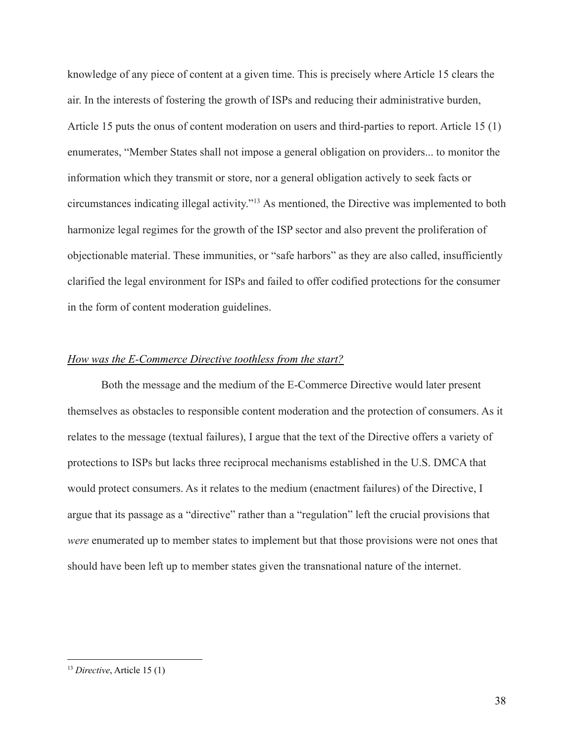knowledge of any piece of content at a given time. This is precisely where Article 15 clears the air. In the interests of fostering the growth of ISPs and reducing their administrative burden, Article 15 puts the onus of content moderation on users and third-parties to report. Article 15 (1) enumerates, "Member States shall not impose a general obligation on providers... to monitor the information which they transmit or store, nor a general obligation actively to seek facts or circumstances indicating illegal activity."<sup>13</sup> As mentioned, the Directive was implemented to both harmonize legal regimes for the growth of the ISP sector and also prevent the proliferation of objectionable material. These immunities, or "safe harbors" as they are also called, insufficiently clarified the legal environment for ISPs and failed to offer codified protections for the consumer in the form of content moderation guidelines.

### *How was the E-Commerce Directive toothless from the start?*

Both the message and the medium of the E-Commerce Directive would later present themselves as obstacles to responsible content moderation and the protection of consumers. As it relates to the message (textual failures), I argue that the text of the Directive offers a variety of protections to ISPs but lacks three reciprocal mechanisms established in the U.S. DMCA that would protect consumers. As it relates to the medium (enactment failures) of the Directive, I argue that its passage as a "directive" rather than a "regulation" left the crucial provisions that *were* enumerated up to member states to implement but that those provisions were not ones that should have been left up to member states given the transnational nature of the internet.

<sup>13</sup> *Directive*, Article 15 (1)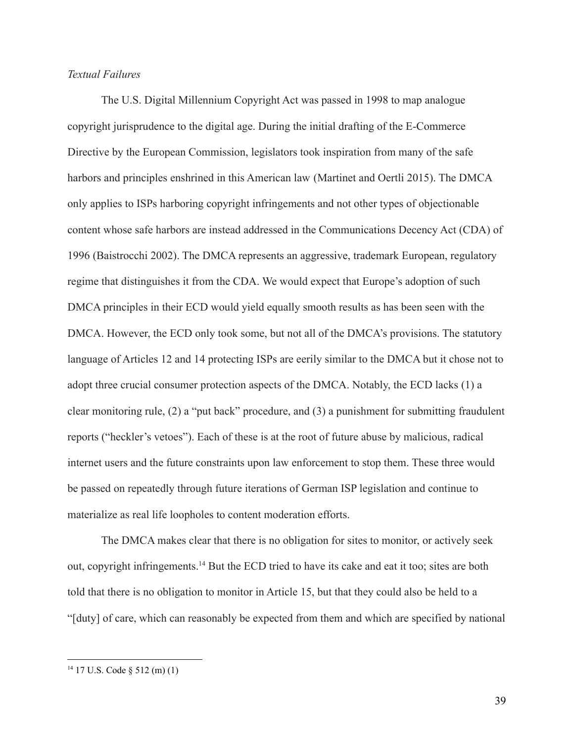# *Textual Failures*

The U.S. Digital Millennium Copyright Act was passed in 1998 to map analogue copyright jurisprudence to the digital age. During the initial drafting of the E-Commerce Directive by the European Commission, legislators took inspiration from many of the safe harbors and principles enshrined in this American law (Martinet and Oertli 2015). The DMCA only applies to ISPs harboring copyright infringements and not other types of objectionable content whose safe harbors are instead addressed in the Communications Decency Act (CDA) of 1996 (Baistrocchi 2002). The DMCA represents an aggressive, trademark European, regulatory regime that distinguishes it from the CDA. We would expect that Europe's adoption of such DMCA principles in their ECD would yield equally smooth results as has been seen with the DMCA. However, the ECD only took some, but not all of the DMCA's provisions. The statutory language of Articles 12 and 14 protecting ISPs are eerily similar to the DMCA but it chose not to adopt three crucial consumer protection aspects of the DMCA. Notably, the ECD lacks (1) a clear monitoring rule, (2) a "put back" procedure, and (3) a punishment for submitting fraudulent reports ("heckler's vetoes"). Each of these is at the root of future abuse by malicious, radical internet users and the future constraints upon law enforcement to stop them. These three would be passed on repeatedly through future iterations of German ISP legislation and continue to materialize as real life loopholes to content moderation efforts.

The DMCA makes clear that there is no obligation for sites to monitor, or actively seek out, copyright infringements.<sup>14</sup> But the ECD tried to have its cake and eat it too; sites are both told that there is no obligation to monitor in Article 15, but that they could also be held to a "[duty] of care, which can reasonably be expected from them and which are specified by national

<sup>14</sup> 17 U.S. Code § 512 (m) (1)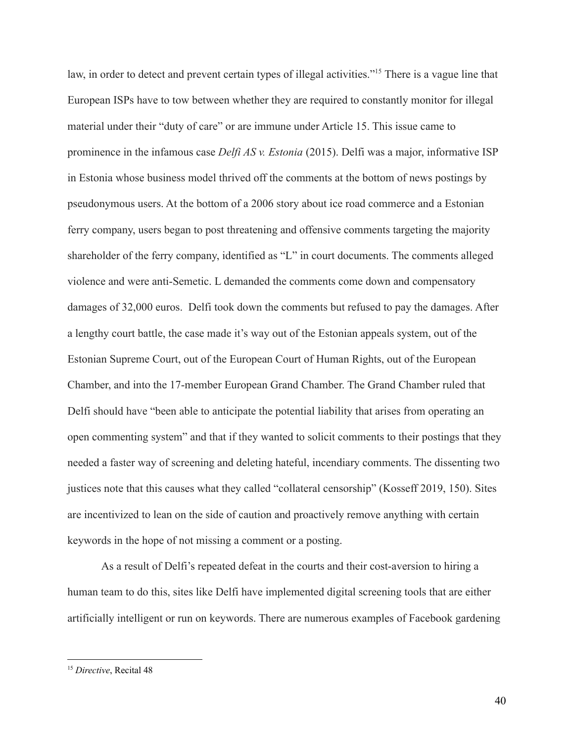law, in order to detect and prevent certain types of illegal activities."<sup>15</sup> There is a vague line that European ISPs have to tow between whether they are required to constantly monitor for illegal material under their "duty of care" or are immune under Article 15. This issue came to prominence in the infamous case *Delfi AS v. Estonia* (2015). Delfi was a major, informative ISP in Estonia whose business model thrived off the comments at the bottom of news postings by pseudonymous users. At the bottom of a 2006 story about ice road commerce and a Estonian ferry company, users began to post threatening and offensive comments targeting the majority shareholder of the ferry company, identified as "L" in court documents. The comments alleged violence and were anti-Semetic. L demanded the comments come down and compensatory damages of 32,000 euros. Delfi took down the comments but refused to pay the damages. After a lengthy court battle, the case made it's way out of the Estonian appeals system, out of the Estonian Supreme Court, out of the European Court of Human Rights, out of the European Chamber, and into the 17-member European Grand Chamber. The Grand Chamber ruled that Delfi should have "been able to anticipate the potential liability that arises from operating an open commenting system" and that if they wanted to solicit comments to their postings that they needed a faster way of screening and deleting hateful, incendiary comments. The dissenting two justices note that this causes what they called "collateral censorship" (Kosseff 2019, 150). Sites are incentivized to lean on the side of caution and proactively remove anything with certain keywords in the hope of not missing a comment or a posting.

As a result of Delfi's repeated defeat in the courts and their cost-aversion to hiring a human team to do this, sites like Delfi have implemented digital screening tools that are either artificially intelligent or run on keywords. There are numerous examples of Facebook gardening

<sup>15</sup> *Directive*, Recital 48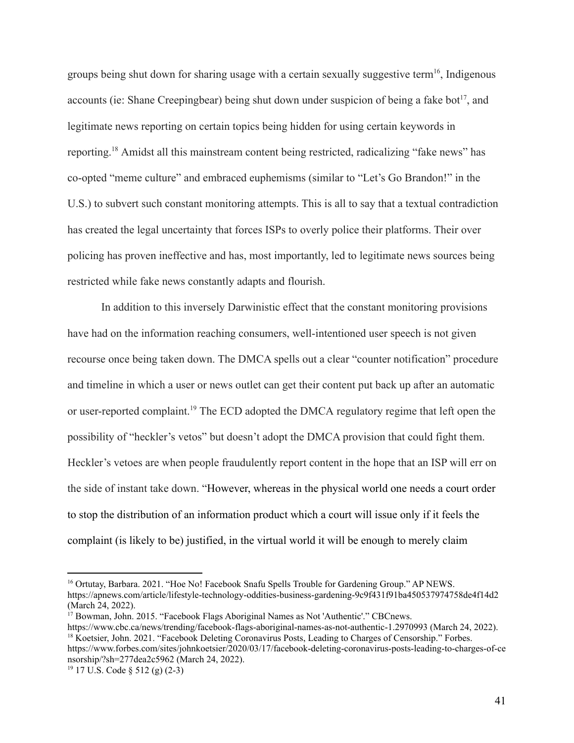groups being shut down for sharing usage with a certain sexually suggestive term<sup>16</sup>, Indigenous accounts (ie: Shane Creepingbear) being shut down under suspicion of being a fake bot<sup>17</sup>, and legitimate news reporting on certain topics being hidden for using certain keywords in reporting.<sup>18</sup> Amidst all this mainstream content being restricted, radicalizing "fake news" has co-opted "meme culture" and embraced euphemisms (similar to "Let's Go Brandon!" in the U.S.) to subvert such constant monitoring attempts. This is all to say that a textual contradiction has created the legal uncertainty that forces ISPs to overly police their platforms. Their over policing has proven ineffective and has, most importantly, led to legitimate news sources being restricted while fake news constantly adapts and flourish.

In addition to this inversely Darwinistic effect that the constant monitoring provisions have had on the information reaching consumers, well-intentioned user speech is not given recourse once being taken down. The DMCA spells out a clear "counter notification" procedure and timeline in which a user or news outlet can get their content put back up after an automatic or user-reported complaint.<sup>19</sup> The ECD adopted the DMCA regulatory regime that left open the possibility of "heckler's vetos" but doesn't adopt the DMCA provision that could fight them. Heckler's vetoes are when people fraudulently report content in the hope that an ISP will err on the side of instant take down. "However, whereas in the physical world one needs a court order to stop the distribution of an information product which a court will issue only if it feels the complaint (is likely to be) justified, in the virtual world it will be enough to merely claim

<sup>&</sup>lt;sup>16</sup> Ortutay, Barbara. 2021. "Hoe No! Facebook Snafu Spells Trouble for Gardening Group." AP NEWS. https://apnews.com/article/lifestyle-technology-oddities-business-gardening-9c9f431f91ba450537974758de4f14d2 (March 24, 2022).

<sup>&</sup>lt;sup>18</sup> Koetsier, John. 2021. "Facebook Deleting Coronavirus Posts, Leading to Charges of Censorship." Forbes. https://www.forbes.com/sites/johnkoetsier/2020/03/17/facebook-deleting-coronavirus-posts-leading-to-charges-of-ce nsorship/?sh=277dea2c5962 (March 24, 2022). <sup>17</sup> Bowman, John. 2015. "Facebook Flags Aboriginal Names as Not 'Authentic'." CBCnews. https://www.cbc.ca/news/trending/facebook-flags-aboriginal-names-as-not-authentic-1.2970993 (March 24, 2022).

<sup>19</sup> 17 U.S. Code § 512 (g) (2-3)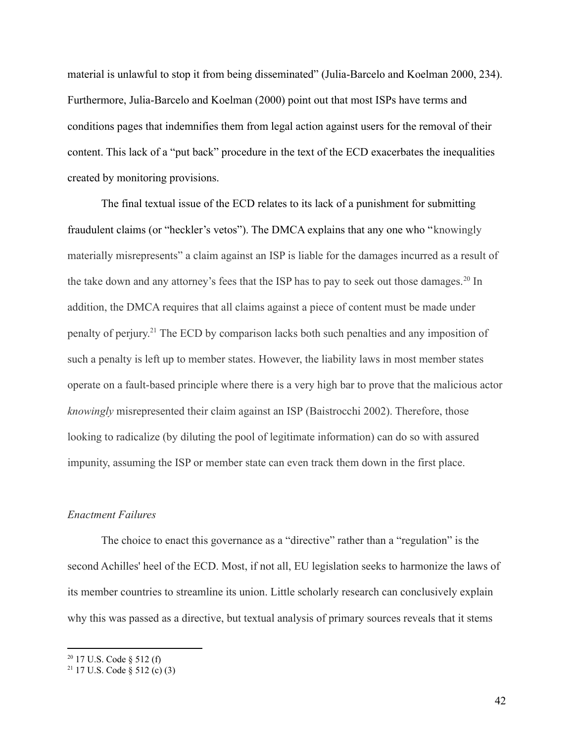material is unlawful to stop it from being disseminated" (Julia-Barcelo and Koelman 2000, 234). Furthermore, Julia-Barcelo and Koelman (2000) point out that most ISPs have terms and conditions pages that indemnifies them from legal action against users for the removal of their content. This lack of a "put back" procedure in the text of the ECD exacerbates the inequalities created by monitoring provisions.

The final textual issue of the ECD relates to its lack of a punishment for submitting fraudulent claims (or "heckler's vetos"). The DMCA explains that any one who "knowingly materially misrepresents" a claim against an ISP is liable for the damages incurred as a result of the take down and any attorney's fees that the ISP has to pay to seek out those damages.<sup>20</sup> In addition, the DMCA requires that all claims against a piece of content must be made under penalty of perjury. <sup>21</sup> The ECD by comparison lacks both such penalties and any imposition of such a penalty is left up to member states. However, the liability laws in most member states operate on a fault-based principle where there is a very high bar to prove that the malicious actor *knowingly* misrepresented their claim against an ISP (Baistrocchi 2002). Therefore, those looking to radicalize (by diluting the pool of legitimate information) can do so with assured impunity, assuming the ISP or member state can even track them down in the first place.

### *Enactment Failures*

The choice to enact this governance as a "directive" rather than a "regulation" is the second Achilles' heel of the ECD. Most, if not all, EU legislation seeks to harmonize the laws of its member countries to streamline its union. Little scholarly research can conclusively explain why this was passed as a directive, but textual analysis of primary sources reveals that it stems

 $20$  17 U.S. Code § 512 (f)

<sup>&</sup>lt;sup>21</sup> 17 U.S. Code  $\frac{8}{9}$  512 (c) (3)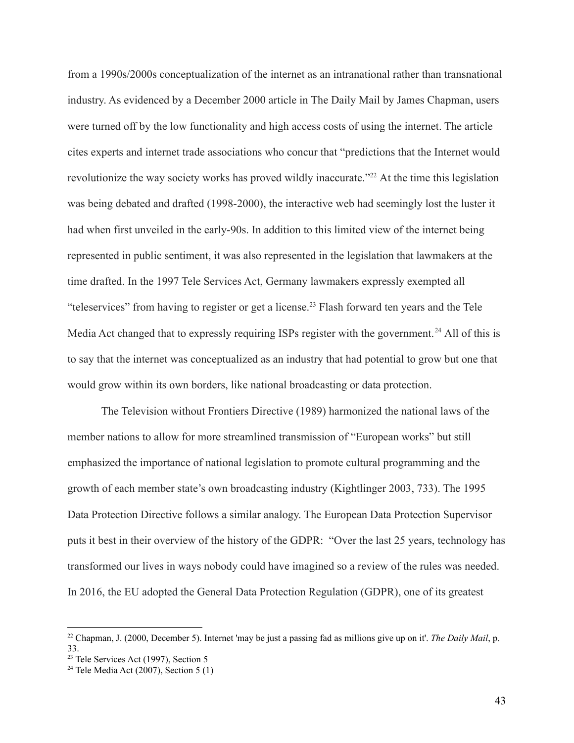from a 1990s/2000s conceptualization of the internet as an intranational rather than transnational industry. As evidenced by a December 2000 article in The Daily Mail by James Chapman, users were turned off by the low functionality and high access costs of using the internet. The article cites experts and internet trade associations who concur that "predictions that the Internet would revolutionize the way society works has proved wildly inaccurate."<sup>22</sup> At the time this legislation was being debated and drafted (1998-2000), the interactive web had seemingly lost the luster it had when first unveiled in the early-90s. In addition to this limited view of the internet being represented in public sentiment, it was also represented in the legislation that lawmakers at the time drafted. In the 1997 Tele Services Act, Germany lawmakers expressly exempted all "teleservices" from having to register or get a license.<sup>23</sup> Flash forward ten years and the Tele Media Act changed that to expressly requiring ISPs register with the government.<sup>24</sup> All of this is to say that the internet was conceptualized as an industry that had potential to grow but one that would grow within its own borders, like national broadcasting or data protection.

The Television without Frontiers Directive (1989) harmonized the national laws of the member nations to allow for more streamlined transmission of "European works" but still emphasized the importance of national legislation to promote cultural programming and the growth of each member state's own broadcasting industry (Kightlinger 2003, 733). The 1995 Data Protection Directive follows a similar analogy. The European Data Protection Supervisor puts it best in their overview of the history of the GDPR: "Over the last 25 years, technology has transformed our lives in ways nobody could have imagined so a review of the rules was needed. In 2016, the EU adopted the General Data Protection Regulation (GDPR), one of its greatest

<sup>22</sup> Chapman, J. (2000, December 5). Internet 'may be just a passing fad as millions give up on it'. *The Daily Mail*, p. 33.

 $2<sup>23</sup>$  Tele Services Act (1997), Section 5

<sup>&</sup>lt;sup>24</sup> Tele Media Act (2007), Section 5 (1)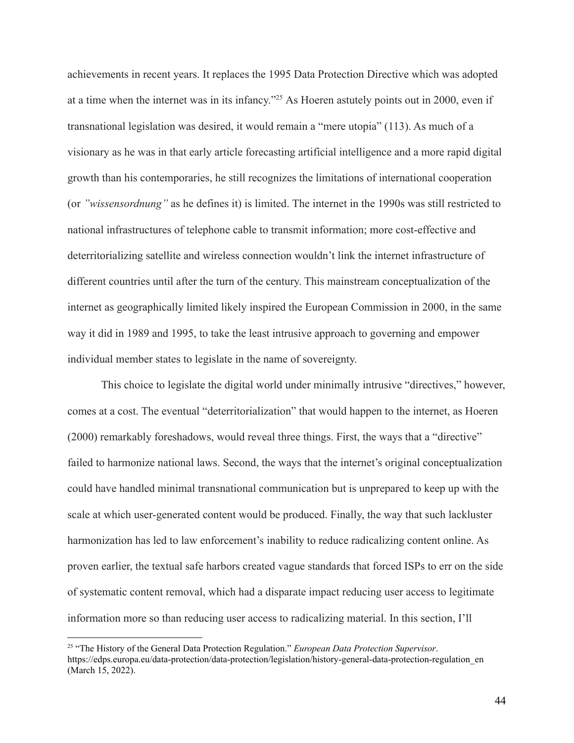achievements in recent years. It replaces the 1995 Data Protection Directive which was adopted at a time when the internet was in its infancy."<sup>25</sup> As Hoeren astutely points out in 2000, even if transnational legislation was desired, it would remain a "mere utopia" (113). As much of a visionary as he was in that early article forecasting artificial intelligence and a more rapid digital growth than his contemporaries, he still recognizes the limitations of international cooperation (or *"wissensordnung"* as he defines it) is limited. The internet in the 1990s was still restricted to national infrastructures of telephone cable to transmit information; more cost-effective and deterritorializing satellite and wireless connection wouldn't link the internet infrastructure of different countries until after the turn of the century. This mainstream conceptualization of the internet as geographically limited likely inspired the European Commission in 2000, in the same way it did in 1989 and 1995, to take the least intrusive approach to governing and empower individual member states to legislate in the name of sovereignty.

This choice to legislate the digital world under minimally intrusive "directives," however, comes at a cost. The eventual "deterritorialization" that would happen to the internet, as Hoeren (2000) remarkably foreshadows, would reveal three things. First, the ways that a "directive" failed to harmonize national laws. Second, the ways that the internet's original conceptualization could have handled minimal transnational communication but is unprepared to keep up with the scale at which user-generated content would be produced. Finally, the way that such lackluster harmonization has led to law enforcement's inability to reduce radicalizing content online. As proven earlier, the textual safe harbors created vague standards that forced ISPs to err on the side of systematic content removal, which had a disparate impact reducing user access to legitimate information more so than reducing user access to radicalizing material. In this section, I'll

<sup>25</sup> "The History of the General Data Protection Regulation." *European Data Protection Supervisor*. https://edps.europa.eu/data-protection/data-protection/legislation/history-general-data-protection-regulation\_en (March 15, 2022).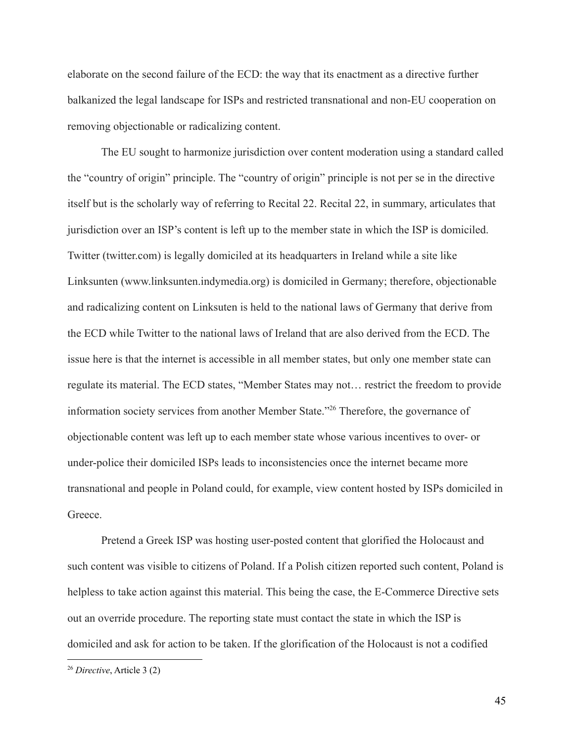elaborate on the second failure of the ECD: the way that its enactment as a directive further balkanized the legal landscape for ISPs and restricted transnational and non-EU cooperation on removing objectionable or radicalizing content.

The EU sought to harmonize jurisdiction over content moderation using a standard called the "country of origin" principle. The "country of origin" principle is not per se in the directive itself but is the scholarly way of referring to Recital 22. Recital 22, in summary, articulates that jurisdiction over an ISP's content is left up to the member state in which the ISP is domiciled. Twitter (twitter.com) is legally domiciled at its headquarters in Ireland while a site like Linksunten (www.linksunten.indymedia.org) is domiciled in Germany; therefore, objectionable and radicalizing content on Linksuten is held to the national laws of Germany that derive from the ECD while Twitter to the national laws of Ireland that are also derived from the ECD. The issue here is that the internet is accessible in all member states, but only one member state can regulate its material. The ECD states, "Member States may not… restrict the freedom to provide information society services from another Member State."<sup>26</sup> Therefore, the governance of objectionable content was left up to each member state whose various incentives to over- or under-police their domiciled ISPs leads to inconsistencies once the internet became more transnational and people in Poland could, for example, view content hosted by ISPs domiciled in Greece.

Pretend a Greek ISP was hosting user-posted content that glorified the Holocaust and such content was visible to citizens of Poland. If a Polish citizen reported such content, Poland is helpless to take action against this material. This being the case, the E-Commerce Directive sets out an override procedure. The reporting state must contact the state in which the ISP is domiciled and ask for action to be taken. If the glorification of the Holocaust is not a codified

<sup>26</sup> *Directive*, Article 3 (2)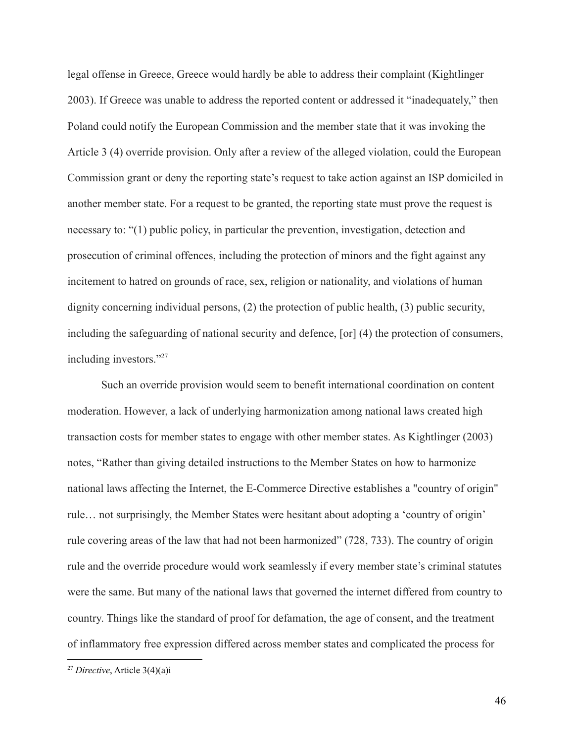legal offense in Greece, Greece would hardly be able to address their complaint (Kightlinger 2003). If Greece was unable to address the reported content or addressed it "inadequately," then Poland could notify the European Commission and the member state that it was invoking the Article 3 (4) override provision. Only after a review of the alleged violation, could the European Commission grant or deny the reporting state's request to take action against an ISP domiciled in another member state. For a request to be granted, the reporting state must prove the request is necessary to: "(1) public policy, in particular the prevention, investigation, detection and prosecution of criminal offences, including the protection of minors and the fight against any incitement to hatred on grounds of race, sex, religion or nationality, and violations of human dignity concerning individual persons, (2) the protection of public health, (3) public security, including the safeguarding of national security and defence, [or] (4) the protection of consumers, including investors."<sup>27</sup>

Such an override provision would seem to benefit international coordination on content moderation. However, a lack of underlying harmonization among national laws created high transaction costs for member states to engage with other member states. As Kightlinger (2003) notes, "Rather than giving detailed instructions to the Member States on how to harmonize national laws affecting the Internet, the E-Commerce Directive establishes a "country of origin" rule… not surprisingly, the Member States were hesitant about adopting a 'country of origin' rule covering areas of the law that had not been harmonized" (728, 733). The country of origin rule and the override procedure would work seamlessly if every member state's criminal statutes were the same. But many of the national laws that governed the internet differed from country to country. Things like the standard of proof for defamation, the age of consent, and the treatment of inflammatory free expression differed across member states and complicated the process for

<sup>27</sup> *Directive*, Article 3(4)(a)i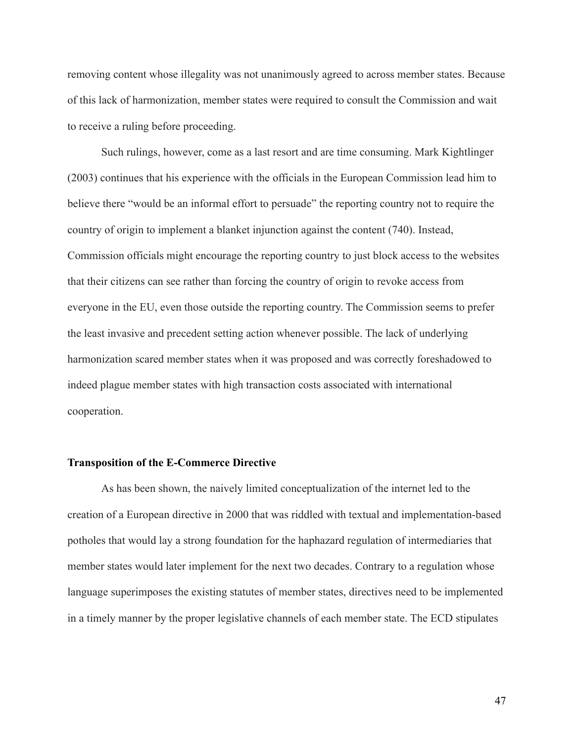removing content whose illegality was not unanimously agreed to across member states. Because of this lack of harmonization, member states were required to consult the Commission and wait to receive a ruling before proceeding.

Such rulings, however, come as a last resort and are time consuming. Mark Kightlinger (2003) continues that his experience with the officials in the European Commission lead him to believe there "would be an informal effort to persuade" the reporting country not to require the country of origin to implement a blanket injunction against the content (740). Instead, Commission officials might encourage the reporting country to just block access to the websites that their citizens can see rather than forcing the country of origin to revoke access from everyone in the EU, even those outside the reporting country. The Commission seems to prefer the least invasive and precedent setting action whenever possible. The lack of underlying harmonization scared member states when it was proposed and was correctly foreshadowed to indeed plague member states with high transaction costs associated with international cooperation.

#### **Transposition of the E-Commerce Directive**

As has been shown, the naively limited conceptualization of the internet led to the creation of a European directive in 2000 that was riddled with textual and implementation-based potholes that would lay a strong foundation for the haphazard regulation of intermediaries that member states would later implement for the next two decades. Contrary to a regulation whose language superimposes the existing statutes of member states, directives need to be implemented in a timely manner by the proper legislative channels of each member state. The ECD stipulates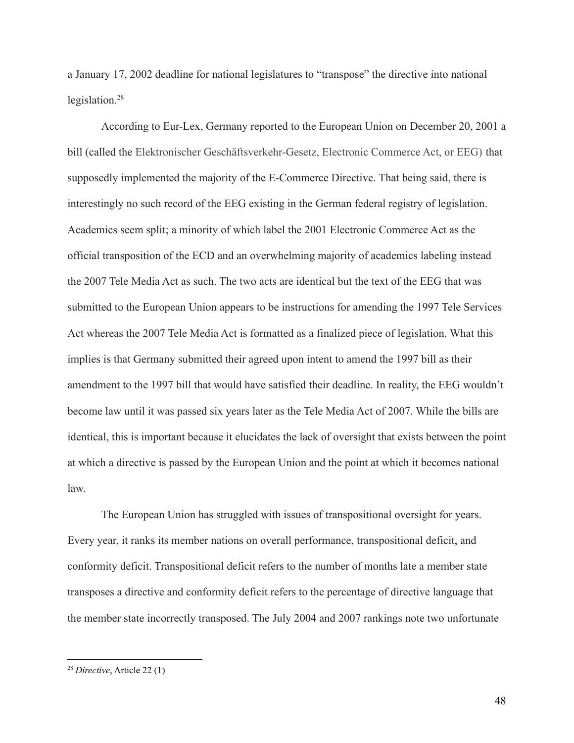a January 17, 2002 deadline for national legislatures to "transpose" the directive into national legislation.<sup>28</sup>

According to Eur-Lex, Germany reported to the European Union on December 20, 2001 a bill (called the Elektronischer Geschäftsverkehr-Gesetz, Electronic Commerce Act, or EEG) that supposedly implemented the majority of the E-Commerce Directive. That being said, there is interestingly no such record of the EEG existing in the German federal registry of legislation. Academics seem split; a minority of which label the 2001 Electronic Commerce Act as the official transposition of the ECD and an overwhelming majority of academics labeling instead the 2007 Tele Media Act as such. The two acts are identical but the text of the EEG that was submitted to the European Union appears to be instructions for amending the 1997 Tele Services Act whereas the 2007 Tele Media Act is formatted as a finalized piece of legislation. What this implies is that Germany submitted their agreed upon intent to amend the 1997 bill as their amendment to the 1997 bill that would have satisfied their deadline. In reality, the EEG wouldn't become law until it was passed six years later as the Tele Media Act of 2007. While the bills are identical, this is important because it elucidates the lack of oversight that exists between the point at which a directive is passed by the European Union and the point at which it becomes national law.

The European Union has struggled with issues of transpositional oversight for years. Every year, it ranks its member nations on overall performance, transpositional deficit, and conformity deficit. Transpositional deficit refers to the number of months late a member state transposes a directive and conformity deficit refers to the percentage of directive language that the member state incorrectly transposed. The July 2004 and 2007 rankings note two unfortunate

<sup>28</sup> *Directive*, Article 22 (1)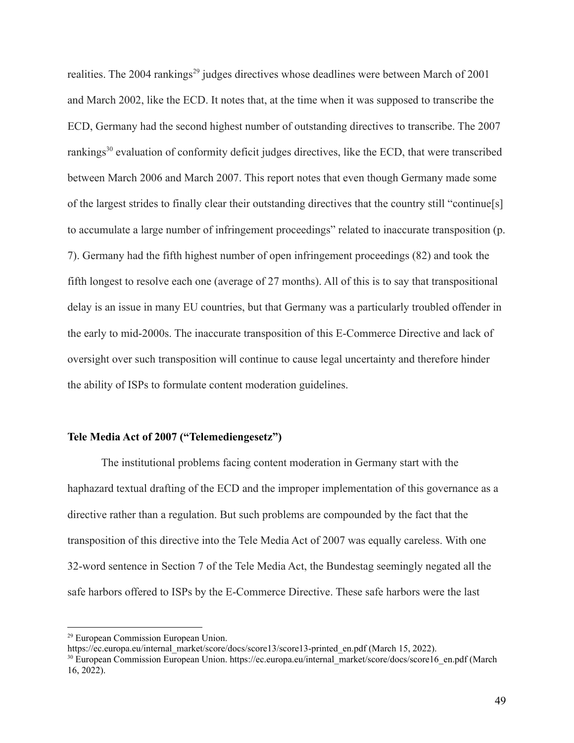realities. The 2004 rankings<sup>29</sup> judges directives whose deadlines were between March of 2001 and March 2002, like the ECD. It notes that, at the time when it was supposed to transcribe the ECD, Germany had the second highest number of outstanding directives to transcribe. The 2007 rankings<sup>30</sup> evaluation of conformity deficit judges directives, like the ECD, that were transcribed between March 2006 and March 2007. This report notes that even though Germany made some of the largest strides to finally clear their outstanding directives that the country still "continue[s] to accumulate a large number of infringement proceedings" related to inaccurate transposition (p. 7). Germany had the fifth highest number of open infringement proceedings (82) and took the fifth longest to resolve each one (average of 27 months). All of this is to say that transpositional delay is an issue in many EU countries, but that Germany was a particularly troubled offender in the early to mid-2000s. The inaccurate transposition of this E-Commerce Directive and lack of oversight over such transposition will continue to cause legal uncertainty and therefore hinder the ability of ISPs to formulate content moderation guidelines.

# **Tele Media Act of 2007 ("Telemediengesetz")**

The institutional problems facing content moderation in Germany start with the haphazard textual drafting of the ECD and the improper implementation of this governance as a directive rather than a regulation. But such problems are compounded by the fact that the transposition of this directive into the Tele Media Act of 2007 was equally careless. With one 32-word sentence in Section 7 of the Tele Media Act, the Bundestag seemingly negated all the safe harbors offered to ISPs by the E-Commerce Directive. These safe harbors were the last

<sup>29</sup> European Commission European Union.

https://ec.europa.eu/internal\_market/score/docs/score13/score13-printed\_en.pdf (March 15, 2022).

<sup>&</sup>lt;sup>30</sup> European Commission European Union. https://ec.europa.eu/internal\_market/score/docs/score16\_en.pdf (March 16, 2022).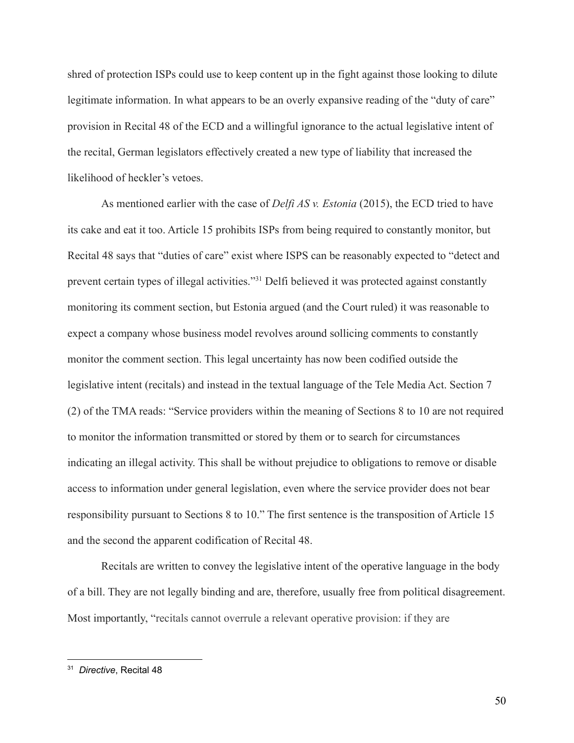shred of protection ISPs could use to keep content up in the fight against those looking to dilute legitimate information. In what appears to be an overly expansive reading of the "duty of care" provision in Recital 48 of the ECD and a willingful ignorance to the actual legislative intent of the recital, German legislators effectively created a new type of liability that increased the likelihood of heckler's vetoes.

As mentioned earlier with the case of *Delfi AS v. Estonia* (2015), the ECD tried to have its cake and eat it too. Article 15 prohibits ISPs from being required to constantly monitor, but Recital 48 says that "duties of care" exist where ISPS can be reasonably expected to "detect and prevent certain types of illegal activities."<sup>31</sup> Delfi believed it was protected against constantly monitoring its comment section, but Estonia argued (and the Court ruled) it was reasonable to expect a company whose business model revolves around sollicing comments to constantly monitor the comment section. This legal uncertainty has now been codified outside the legislative intent (recitals) and instead in the textual language of the Tele Media Act. Section 7 (2) of the TMA reads: "Service providers within the meaning of Sections 8 to 10 are not required to monitor the information transmitted or stored by them or to search for circumstances indicating an illegal activity. This shall be without prejudice to obligations to remove or disable access to information under general legislation, even where the service provider does not bear responsibility pursuant to Sections 8 to 10." The first sentence is the transposition of Article 15 and the second the apparent codification of Recital 48.

Recitals are written to convey the legislative intent of the operative language in the body of a bill. They are not legally binding and are, therefore, usually free from political disagreement. Most importantly, "recitals cannot overrule a relevant operative provision: if they are

<sup>31</sup> *Directive*, Recital 48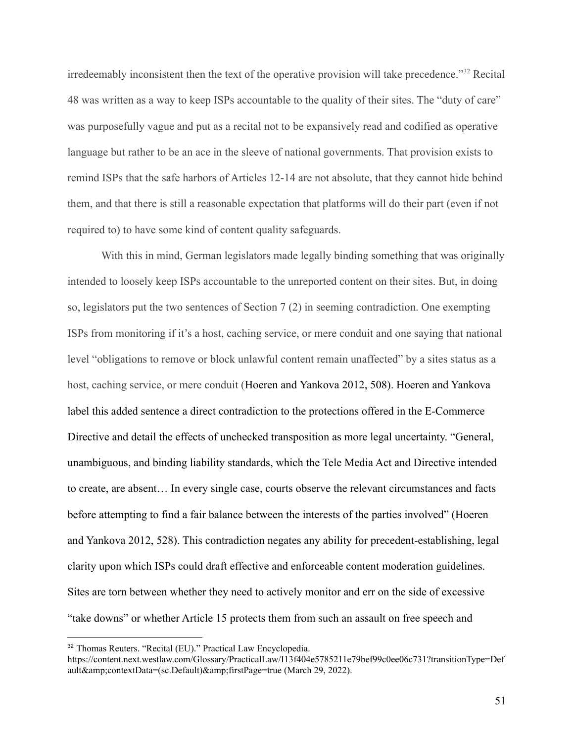irredeemably inconsistent then the text of the operative provision will take precedence."<sup>32</sup> Recital 48 was written as a way to keep ISPs accountable to the quality of their sites. The "duty of care" was purposefully vague and put as a recital not to be expansively read and codified as operative language but rather to be an ace in the sleeve of national governments. That provision exists to remind ISPs that the safe harbors of Articles 12-14 are not absolute, that they cannot hide behind them, and that there is still a reasonable expectation that platforms will do their part (even if not required to) to have some kind of content quality safeguards.

With this in mind, German legislators made legally binding something that was originally intended to loosely keep ISPs accountable to the unreported content on their sites. But, in doing so, legislators put the two sentences of Section 7 (2) in seeming contradiction. One exempting ISPs from monitoring if it's a host, caching service, or mere conduit and one saying that national level "obligations to remove or block unlawful content remain unaffected" by a sites status as a host, caching service, or mere conduit (Hoeren and Yankova 2012, 508). Hoeren and Yankova label this added sentence a direct contradiction to the protections offered in the E-Commerce Directive and detail the effects of unchecked transposition as more legal uncertainty. "General, unambiguous, and binding liability standards, which the Tele Media Act and Directive intended to create, are absent… In every single case, courts observe the relevant circumstances and facts before attempting to find a fair balance between the interests of the parties involved" (Hoeren and Yankova 2012, 528). This contradiction negates any ability for precedent-establishing, legal clarity upon which ISPs could draft effective and enforceable content moderation guidelines. Sites are torn between whether they need to actively monitor and err on the side of excessive "take downs" or whether Article 15 protects them from such an assault on free speech and

<sup>32</sup> Thomas Reuters. "Recital (EU)." Practical Law Encyclopedia.

https://content.next.westlaw.com/Glossary/PracticalLaw/I13f404e5785211e79bef99c0ee06c731?transitionType=Def ault&contextData=(sc.Default)&firstPage=true (March 29, 2022).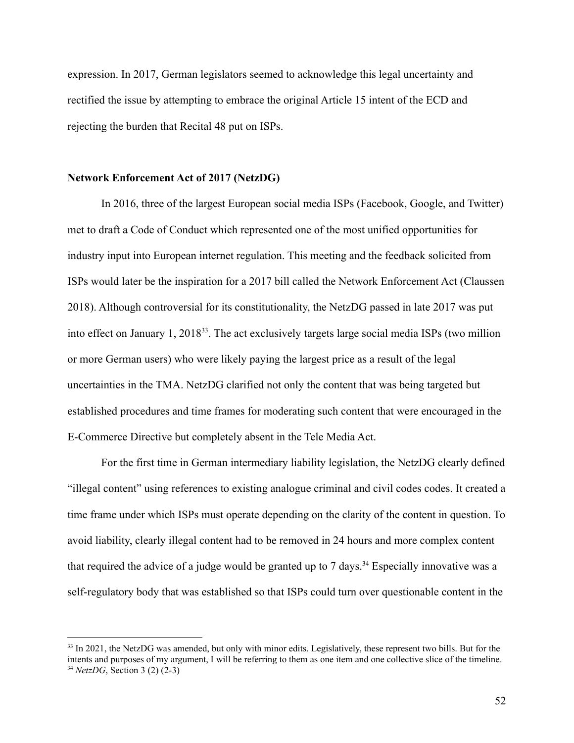expression. In 2017, German legislators seemed to acknowledge this legal uncertainty and rectified the issue by attempting to embrace the original Article 15 intent of the ECD and rejecting the burden that Recital 48 put on ISPs.

### **Network Enforcement Act of 2017 (NetzDG)**

In 2016, three of the largest European social media ISPs (Facebook, Google, and Twitter) met to draft a Code of Conduct which represented one of the most unified opportunities for industry input into European internet regulation. This meeting and the feedback solicited from ISPs would later be the inspiration for a 2017 bill called the Network Enforcement Act (Claussen 2018). Although controversial for its constitutionality, the NetzDG passed in late 2017 was put into effect on January 1, 2018<sup>33</sup>. The act exclusively targets large social media ISPs (two million or more German users) who were likely paying the largest price as a result of the legal uncertainties in the TMA. NetzDG clarified not only the content that was being targeted but established procedures and time frames for moderating such content that were encouraged in the E-Commerce Directive but completely absent in the Tele Media Act.

For the first time in German intermediary liability legislation, the NetzDG clearly defined "illegal content" using references to existing analogue criminal and civil codes codes. It created a time frame under which ISPs must operate depending on the clarity of the content in question. To avoid liability, clearly illegal content had to be removed in 24 hours and more complex content that required the advice of a judge would be granted up to 7 days.<sup>34</sup> Especially innovative was a self-regulatory body that was established so that ISPs could turn over questionable content in the

<sup>34</sup> *NetzDG*, Section 3 (2) (2-3) <sup>33</sup> In 2021, the NetzDG was amended, but only with minor edits. Legislatively, these represent two bills. But for the intents and purposes of my argument, I will be referring to them as one item and one collective slice of the timeline.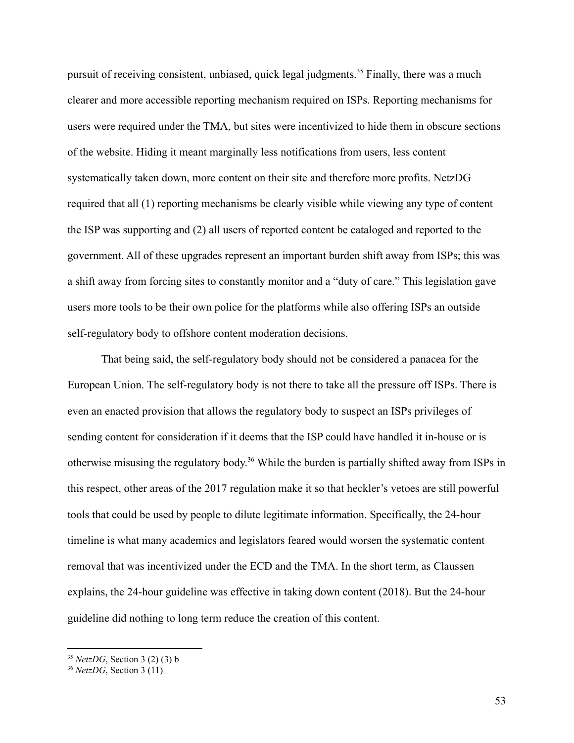pursuit of receiving consistent, unbiased, quick legal judgments.<sup>35</sup> Finally, there was a much clearer and more accessible reporting mechanism required on ISPs. Reporting mechanisms for users were required under the TMA, but sites were incentivized to hide them in obscure sections of the website. Hiding it meant marginally less notifications from users, less content systematically taken down, more content on their site and therefore more profits. NetzDG required that all (1) reporting mechanisms be clearly visible while viewing any type of content the ISP was supporting and (2) all users of reported content be cataloged and reported to the government. All of these upgrades represent an important burden shift away from ISPs; this was a shift away from forcing sites to constantly monitor and a "duty of care." This legislation gave users more tools to be their own police for the platforms while also offering ISPs an outside self-regulatory body to offshore content moderation decisions.

That being said, the self-regulatory body should not be considered a panacea for the European Union. The self-regulatory body is not there to take all the pressure off ISPs. There is even an enacted provision that allows the regulatory body to suspect an ISPs privileges of sending content for consideration if it deems that the ISP could have handled it in-house or is otherwise misusing the regulatory body. <sup>36</sup> While the burden is partially shifted away from ISPs in this respect, other areas of the 2017 regulation make it so that heckler's vetoes are still powerful tools that could be used by people to dilute legitimate information. Specifically, the 24-hour timeline is what many academics and legislators feared would worsen the systematic content removal that was incentivized under the ECD and the TMA. In the short term, as Claussen explains, the 24-hour guideline was effective in taking down content (2018). But the 24-hour guideline did nothing to long term reduce the creation of this content.

<sup>35</sup> *NetzDG*, Section 3 (2) (3) b

<sup>36</sup> *NetzDG*, Section 3 (11)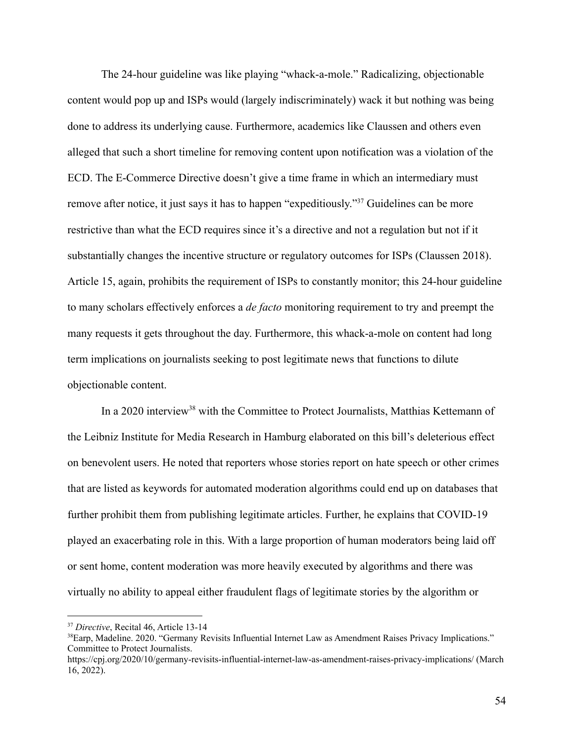The 24-hour guideline was like playing "whack-a-mole." Radicalizing, objectionable content would pop up and ISPs would (largely indiscriminately) wack it but nothing was being done to address its underlying cause. Furthermore, academics like Claussen and others even alleged that such a short timeline for removing content upon notification was a violation of the ECD. The E-Commerce Directive doesn't give a time frame in which an intermediary must remove after notice, it just says it has to happen "expeditiously."<sup>37</sup> Guidelines can be more restrictive than what the ECD requires since it's a directive and not a regulation but not if it substantially changes the incentive structure or regulatory outcomes for ISPs (Claussen 2018). Article 15, again, prohibits the requirement of ISPs to constantly monitor; this 24-hour guideline to many scholars effectively enforces a *de facto* monitoring requirement to try and preempt the many requests it gets throughout the day. Furthermore, this whack-a-mole on content had long term implications on journalists seeking to post legitimate news that functions to dilute objectionable content.

In a 2020 interview<sup>38</sup> with the Committee to Protect Journalists, Matthias Kettemann of the Leibniz Institute for Media Research in Hamburg elaborated on this bill's deleterious effect on benevolent users. He noted that reporters whose stories report on hate speech or other crimes that are listed as keywords for automated moderation algorithms could end up on databases that further prohibit them from publishing legitimate articles. Further, he explains that COVID-19 played an exacerbating role in this. With a large proportion of human moderators being laid off or sent home, content moderation was more heavily executed by algorithms and there was virtually no ability to appeal either fraudulent flags of legitimate stories by the algorithm or

<sup>37</sup> *Directive*, Recital 46, Article 13-14

<sup>&</sup>lt;sup>38</sup>Earp, Madeline. 2020. "Germany Revisits Influential Internet Law as Amendment Raises Privacy Implications." Committee to Protect Journalists.

https://cpj.org/2020/10/germany-revisits-influential-internet-law-as-amendment-raises-privacy-implications/ (March 16, 2022).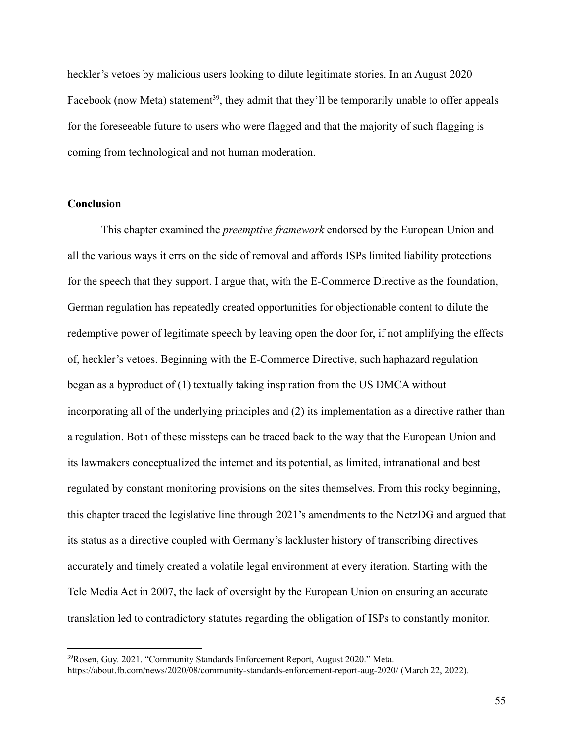heckler's vetoes by malicious users looking to dilute legitimate stories. In an August 2020 Facebook (now Meta) statement<sup>39</sup>, they admit that they'll be temporarily unable to offer appeals for the foreseeable future to users who were flagged and that the majority of such flagging is coming from technological and not human moderation.

## **Conclusion**

This chapter examined the *preemptive framework* endorsed by the European Union and all the various ways it errs on the side of removal and affords ISPs limited liability protections for the speech that they support. I argue that, with the E-Commerce Directive as the foundation, German regulation has repeatedly created opportunities for objectionable content to dilute the redemptive power of legitimate speech by leaving open the door for, if not amplifying the effects of, heckler's vetoes. Beginning with the E-Commerce Directive, such haphazard regulation began as a byproduct of (1) textually taking inspiration from the US DMCA without incorporating all of the underlying principles and (2) its implementation as a directive rather than a regulation. Both of these missteps can be traced back to the way that the European Union and its lawmakers conceptualized the internet and its potential, as limited, intranational and best regulated by constant monitoring provisions on the sites themselves. From this rocky beginning, this chapter traced the legislative line through 2021's amendments to the NetzDG and argued that its status as a directive coupled with Germany's lackluster history of transcribing directives accurately and timely created a volatile legal environment at every iteration. Starting with the Tele Media Act in 2007, the lack of oversight by the European Union on ensuring an accurate translation led to contradictory statutes regarding the obligation of ISPs to constantly monitor.

<sup>&</sup>lt;sup>39</sup>Rosen, Guy. 2021. "Community Standards Enforcement Report, August 2020." Meta. https://about.fb.com/news/2020/08/community-standards-enforcement-report-aug-2020/ (March 22, 2022).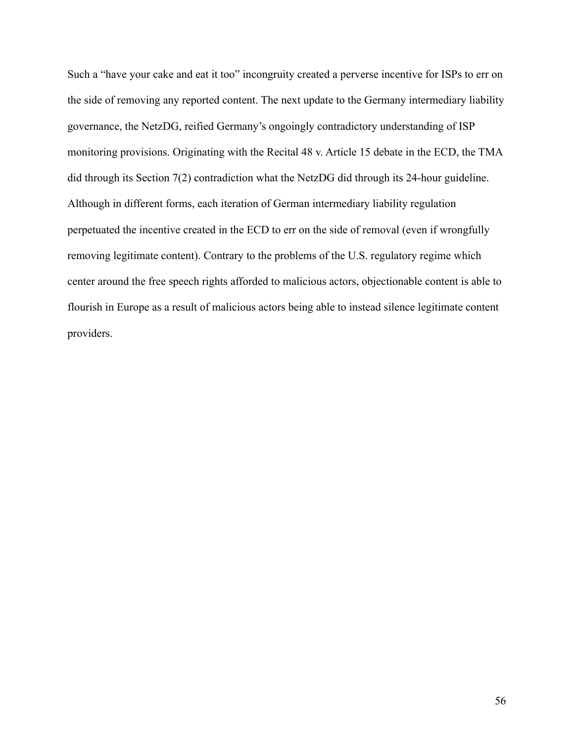Such a "have your cake and eat it too" incongruity created a perverse incentive for ISPs to err on the side of removing any reported content. The next update to the Germany intermediary liability governance, the NetzDG, reified Germany's ongoingly contradictory understanding of ISP monitoring provisions. Originating with the Recital 48 v. Article 15 debate in the ECD, the TMA did through its Section 7(2) contradiction what the NetzDG did through its 24-hour guideline. Although in different forms, each iteration of German intermediary liability regulation perpetuated the incentive created in the ECD to err on the side of removal (even if wrongfully removing legitimate content). Contrary to the problems of the U.S. regulatory regime which center around the free speech rights afforded to malicious actors, objectionable content is able to flourish in Europe as a result of malicious actors being able to instead silence legitimate content providers.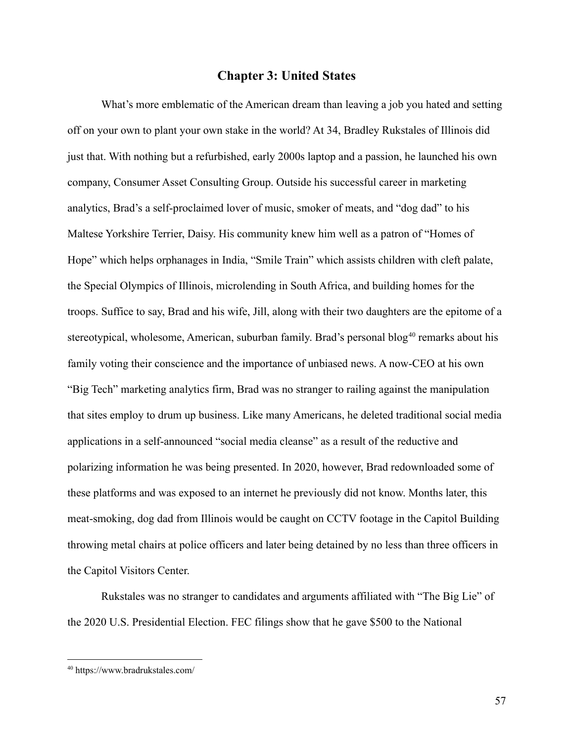# **Chapter 3: United States**

What's more emblematic of the American dream than leaving a job you hated and setting off on your own to plant your own stake in the world? At 34, Bradley Rukstales of Illinois did just that. With nothing but a refurbished, early 2000s laptop and a passion, he launched his own company, Consumer Asset Consulting Group. Outside his successful career in marketing analytics, Brad's a self-proclaimed lover of music, smoker of meats, and "dog dad" to his Maltese Yorkshire Terrier, Daisy. His community knew him well as a patron of "Homes of Hope" which helps orphanages in India, "Smile Train" which assists children with cleft palate, the Special Olympics of Illinois, microlending in South Africa, and building homes for the troops. Suffice to say, Brad and his wife, Jill, along with their two daughters are the epitome of a stereotypical, wholesome, American, suburban family. Brad's personal blog<sup>40</sup> remarks about his family voting their conscience and the importance of unbiased news. A now-CEO at his own "Big Tech" marketing analytics firm, Brad was no stranger to railing against the manipulation that sites employ to drum up business. Like many Americans, he deleted traditional social media applications in a self-announced "social media cleanse" as a result of the reductive and polarizing information he was being presented. In 2020, however, Brad redownloaded some of these platforms and was exposed to an internet he previously did not know. Months later, this meat-smoking, dog dad from Illinois would be caught on CCTV footage in the Capitol Building throwing metal chairs at police officers and later being detained by no less than three officers in the Capitol Visitors Center.

Rukstales was no stranger to candidates and arguments affiliated with "The Big Lie" of the 2020 U.S. Presidential Election. FEC filings show that he gave \$500 to the National

<sup>40</sup> https://www.bradrukstales.com/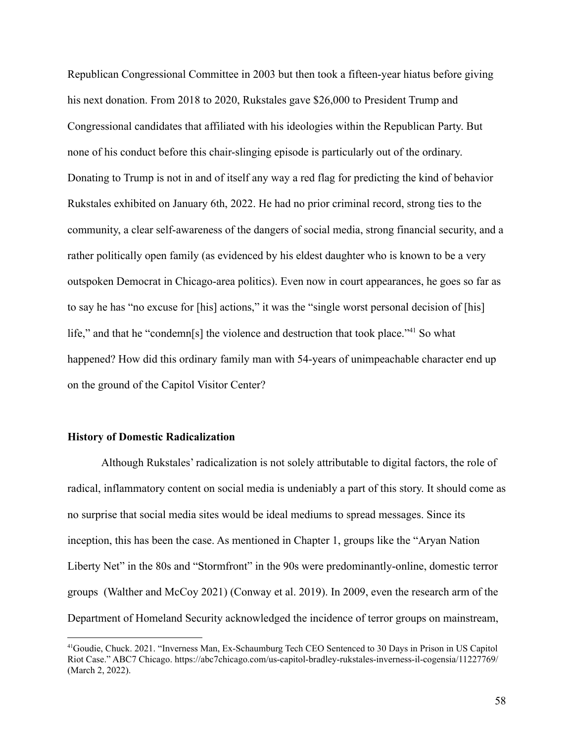Republican Congressional Committee in 2003 but then took a fifteen-year hiatus before giving his next donation. From 2018 to 2020, Rukstales gave \$26,000 to President Trump and Congressional candidates that affiliated with his ideologies within the Republican Party. But none of his conduct before this chair-slinging episode is particularly out of the ordinary. Donating to Trump is not in and of itself any way a red flag for predicting the kind of behavior Rukstales exhibited on January 6th, 2022. He had no prior criminal record, strong ties to the community, a clear self-awareness of the dangers of social media, strong financial security, and a rather politically open family (as evidenced by his eldest daughter who is known to be a very outspoken Democrat in Chicago-area politics). Even now in court appearances, he goes so far as to say he has "no excuse for [his] actions," it was the "single worst personal decision of [his] life," and that he "condemn[s] the violence and destruction that took place."<sup>41</sup> So what happened? How did this ordinary family man with 54-years of unimpeachable character end up on the ground of the Capitol Visitor Center?

### **History of Domestic Radicalization**

Although Rukstales' radicalization is not solely attributable to digital factors, the role of radical, inflammatory content on social media is undeniably a part of this story. It should come as no surprise that social media sites would be ideal mediums to spread messages. Since its inception, this has been the case. As mentioned in Chapter 1, groups like the "Aryan Nation Liberty Net" in the 80s and "Stormfront" in the 90s were predominantly-online, domestic terror groups (Walther and McCoy 2021) (Conway et al. 2019). In 2009, even the research arm of the Department of Homeland Security acknowledged the incidence of terror groups on mainstream,

<sup>41</sup>Goudie, Chuck. 2021. "Inverness Man, Ex-Schaumburg Tech CEO Sentenced to 30 Days in Prison in US Capitol Riot Case." ABC7 Chicago. https://abc7chicago.com/us-capitol-bradley-rukstales-inverness-il-cogensia/11227769/ (March 2, 2022).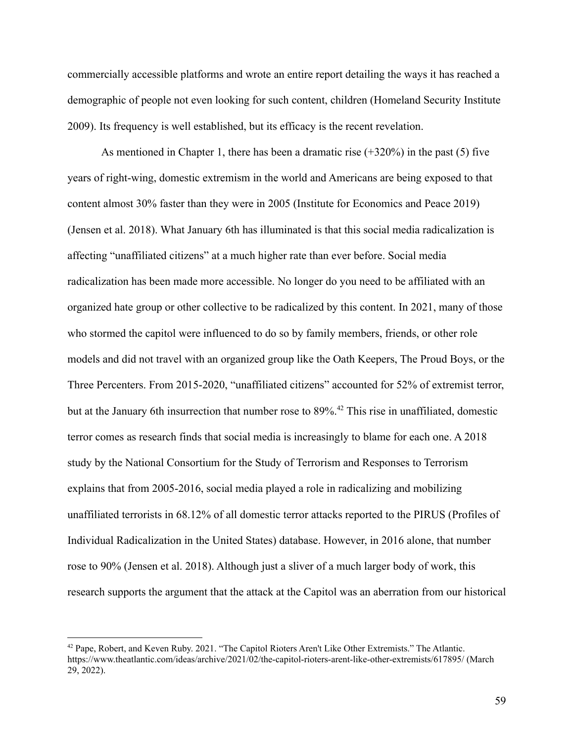commercially accessible platforms and wrote an entire report detailing the ways it has reached a demographic of people not even looking for such content, children (Homeland Security Institute 2009). Its frequency is well established, but its efficacy is the recent revelation.

As mentioned in Chapter 1, there has been a dramatic rise (+320%) in the past (5) five years of right-wing, domestic extremism in the world and Americans are being exposed to that content almost 30% faster than they were in 2005 (Institute for Economics and Peace 2019) (Jensen et al. 2018). What January 6th has illuminated is that this social media radicalization is affecting "unaffiliated citizens" at a much higher rate than ever before. Social media radicalization has been made more accessible. No longer do you need to be affiliated with an organized hate group or other collective to be radicalized by this content. In 2021, many of those who stormed the capitol were influenced to do so by family members, friends, or other role models and did not travel with an organized group like the Oath Keepers, The Proud Boys, or the Three Percenters. From 2015-2020, "unaffiliated citizens" accounted for 52% of extremist terror, but at the January 6th insurrection that number rose to 89%.<sup>42</sup> This rise in unaffiliated, domestic terror comes as research finds that social media is increasingly to blame for each one. A 2018 study by the National Consortium for the Study of Terrorism and Responses to Terrorism explains that from 2005-2016, social media played a role in radicalizing and mobilizing unaffiliated terrorists in 68.12% of all domestic terror attacks reported to the PIRUS (Profiles of Individual Radicalization in the United States) database. However, in 2016 alone, that number rose to 90% (Jensen et al. 2018). Although just a sliver of a much larger body of work, this research supports the argument that the attack at the Capitol was an aberration from our historical

<sup>42</sup> Pape, Robert, and Keven Ruby. 2021. "The Capitol Rioters Aren't Like Other Extremists." The Atlantic. https://www.theatlantic.com/ideas/archive/2021/02/the-capitol-rioters-arent-like-other-extremists/617895/ (March 29, 2022).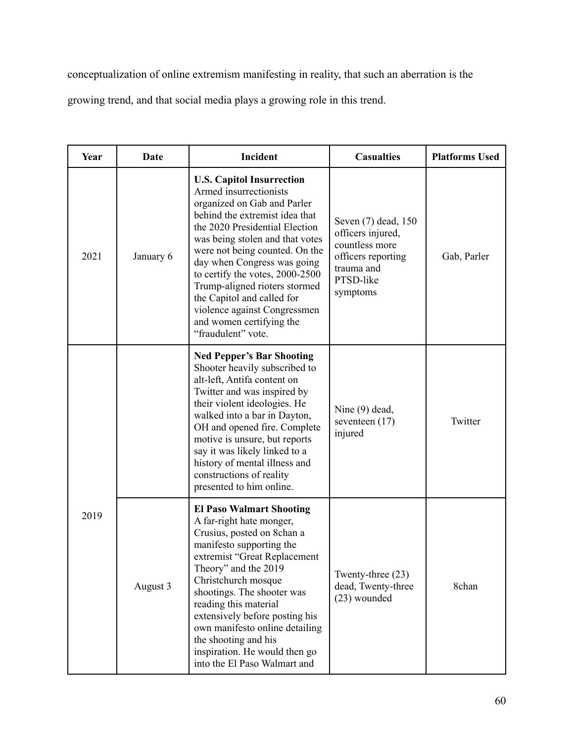conceptualization of online extremism manifesting in reality, that such an aberration is the

growing trend, and that social media plays a growing role in this trend.

| Year | Date      | Incident                                                                                                                                                                                                                                                                                                                                                                                                                                              | <b>Casualties</b>                                                                                                       | <b>Platforms Used</b> |
|------|-----------|-------------------------------------------------------------------------------------------------------------------------------------------------------------------------------------------------------------------------------------------------------------------------------------------------------------------------------------------------------------------------------------------------------------------------------------------------------|-------------------------------------------------------------------------------------------------------------------------|-----------------------|
| 2021 | January 6 | <b>U.S. Capitol Insurrection</b><br>Armed insurrectionists<br>organized on Gab and Parler<br>behind the extremist idea that<br>the 2020 Presidential Election<br>was being stolen and that votes<br>were not being counted. On the<br>day when Congress was going<br>to certify the votes, 2000-2500<br>Trump-aligned rioters stormed<br>the Capitol and called for<br>violence against Congressmen<br>and women certifying the<br>"fraudulent" vote. | Seven (7) dead, 150<br>officers injured,<br>countless more<br>officers reporting<br>trauma and<br>PTSD-like<br>symptoms | Gab, Parler           |
| 2019 |           | <b>Ned Pepper's Bar Shooting</b><br>Shooter heavily subscribed to<br>alt-left, Antifa content on<br>Twitter and was inspired by<br>their violent ideologies. He<br>walked into a bar in Dayton,<br>OH and opened fire. Complete<br>motive is unsure, but reports<br>say it was likely linked to a<br>history of mental illness and<br>constructions of reality<br>presented to him online.                                                            | Nine (9) dead,<br>seventeen $(17)$<br>injured                                                                           | Twitter               |
|      | August 3  | <b>El Paso Walmart Shooting</b><br>A far-right hate monger,<br>Crusius, posted on 8chan a<br>manifesto supporting the<br>extremist "Great Replacement<br>Theory" and the 2019<br>Christchurch mosque<br>shootings. The shooter was<br>reading this material<br>extensively before posting his<br>own manifesto online detailing<br>the shooting and his<br>inspiration. He would then go<br>into the El Paso Walmart and                              | Twenty-three (23)<br>dead, Twenty-three<br>(23) wounded                                                                 | 8chan                 |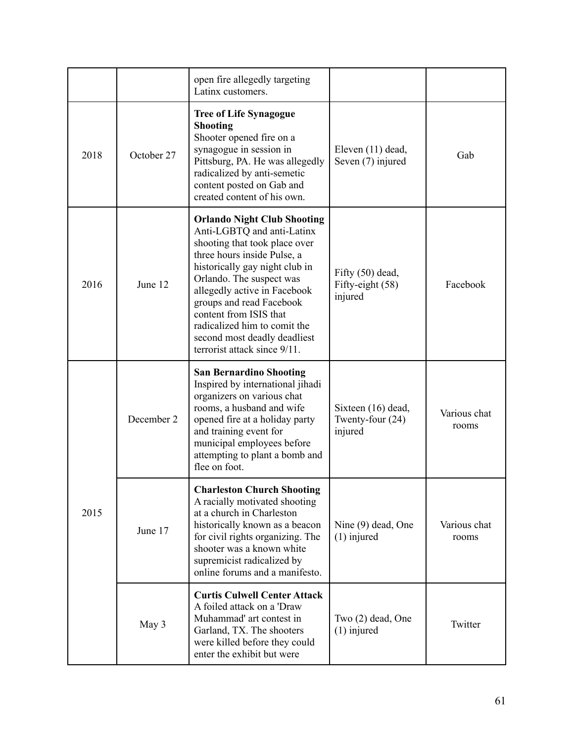|      |            | open fire allegedly targeting<br>Latinx customers.                                                                                                                                                                                                                                                                                                                                   |                                                     |                       |
|------|------------|--------------------------------------------------------------------------------------------------------------------------------------------------------------------------------------------------------------------------------------------------------------------------------------------------------------------------------------------------------------------------------------|-----------------------------------------------------|-----------------------|
| 2018 | October 27 | <b>Tree of Life Synagogue</b><br><b>Shooting</b><br>Shooter opened fire on a<br>synagogue in session in<br>Pittsburg, PA. He was allegedly<br>radicalized by anti-semetic<br>content posted on Gab and<br>created content of his own.                                                                                                                                                | Eleven (11) dead,<br>Seven (7) injured              | Gab                   |
| 2016 | June 12    | <b>Orlando Night Club Shooting</b><br>Anti-LGBTQ and anti-Latinx<br>shooting that took place over<br>three hours inside Pulse, a<br>historically gay night club in<br>Orlando. The suspect was<br>allegedly active in Facebook<br>groups and read Facebook<br>content from ISIS that<br>radicalized him to comit the<br>second most deadly deadliest<br>terrorist attack since 9/11. | Fifty $(50)$ dead,<br>Fifty-eight (58)<br>injured   | Facebook              |
| 2015 | December 2 | <b>San Bernardino Shooting</b><br>Inspired by international jihadi<br>organizers on various chat<br>rooms, a husband and wife<br>opened fire at a holiday party<br>and training event for<br>municipal employees before<br>attempting to plant a bomb and<br>flee on foot.                                                                                                           | Sixteen (16) dead,<br>Twenty-four $(24)$<br>injured | Various chat<br>rooms |
|      | June 17    | <b>Charleston Church Shooting</b><br>A racially motivated shooting<br>at a church in Charleston<br>historically known as a beacon<br>for civil rights organizing. The<br>shooter was a known white<br>supremicist radicalized by<br>online forums and a manifesto.                                                                                                                   | Nine (9) dead, One<br>$(1)$ injured                 | Various chat<br>rooms |
|      | May 3      | <b>Curtis Culwell Center Attack</b><br>A foiled attack on a 'Draw<br>Muhammad' art contest in<br>Garland, TX. The shooters<br>were killed before they could<br>enter the exhibit but were                                                                                                                                                                                            | Two (2) dead, One<br>$(1)$ injured                  | Twitter               |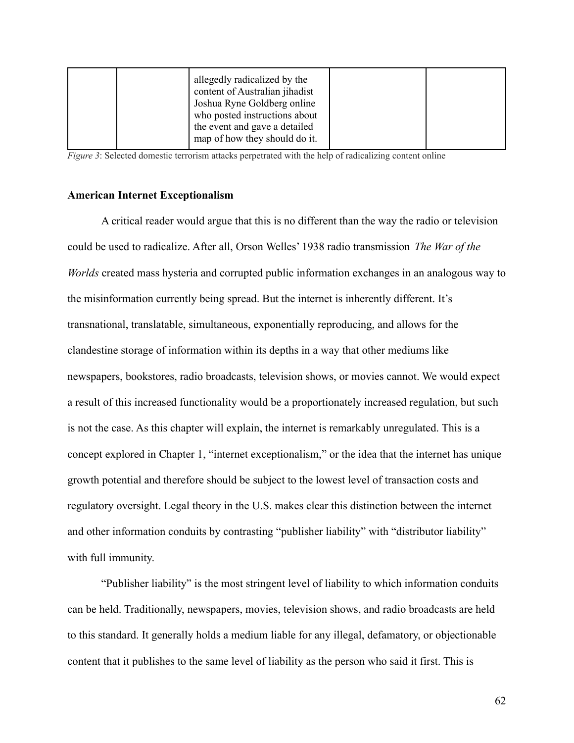| allegedly radicalized by the<br>content of Australian jihadist<br>Joshua Ryne Goldberg online<br>who posted instructions about<br>the event and gave a detailed |  |
|-----------------------------------------------------------------------------------------------------------------------------------------------------------------|--|
| map of how they should do it.                                                                                                                                   |  |

*Figure* 3: Selected domestic terrorism attacks perpetrated with the help of radicalizing content online

### **American Internet Exceptionalism**

A critical reader would argue that this is no different than the way the radio or television could be used to radicalize. After all, Orson Welles' 1938 radio transmission *The War of the Worlds* created mass hysteria and corrupted public information exchanges in an analogous way to the misinformation currently being spread. But the internet is inherently different. It's transnational, translatable, simultaneous, exponentially reproducing, and allows for the clandestine storage of information within its depths in a way that other mediums like newspapers, bookstores, radio broadcasts, television shows, or movies cannot. We would expect a result of this increased functionality would be a proportionately increased regulation, but such is not the case. As this chapter will explain, the internet is remarkably unregulated. This is a concept explored in Chapter 1, "internet exceptionalism," or the idea that the internet has unique growth potential and therefore should be subject to the lowest level of transaction costs and regulatory oversight. Legal theory in the U.S. makes clear this distinction between the internet and other information conduits by contrasting "publisher liability" with "distributor liability" with full immunity.

"Publisher liability" is the most stringent level of liability to which information conduits can be held. Traditionally, newspapers, movies, television shows, and radio broadcasts are held to this standard. It generally holds a medium liable for any illegal, defamatory, or objectionable content that it publishes to the same level of liability as the person who said it first. This is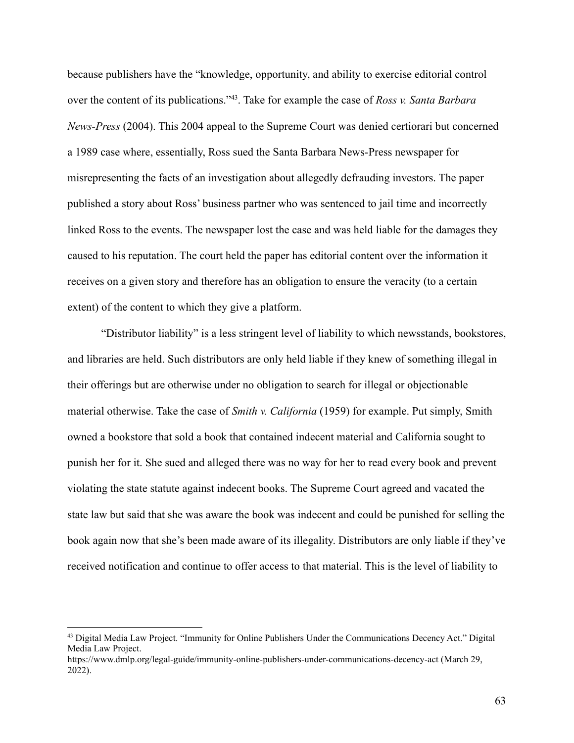because publishers have the "knowledge, opportunity, and ability to exercise editorial control over the content of its publications."<sup>43</sup> . Take for example the case of *Ross v. Santa Barbara News-Press* (2004). This 2004 appeal to the Supreme Court was denied certiorari but concerned a 1989 case where, essentially, Ross sued the Santa Barbara News-Press newspaper for misrepresenting the facts of an investigation about allegedly defrauding investors. The paper published a story about Ross' business partner who was sentenced to jail time and incorrectly linked Ross to the events. The newspaper lost the case and was held liable for the damages they caused to his reputation. The court held the paper has editorial content over the information it receives on a given story and therefore has an obligation to ensure the veracity (to a certain extent) of the content to which they give a platform.

"Distributor liability" is a less stringent level of liability to which newsstands, bookstores, and libraries are held. Such distributors are only held liable if they knew of something illegal in their offerings but are otherwise under no obligation to search for illegal or objectionable material otherwise. Take the case of *Smith v. California* (1959) for example. Put simply, Smith owned a bookstore that sold a book that contained indecent material and California sought to punish her for it. She sued and alleged there was no way for her to read every book and prevent violating the state statute against indecent books. The Supreme Court agreed and vacated the state law but said that she was aware the book was indecent and could be punished for selling the book again now that she's been made aware of its illegality. Distributors are only liable if they've received notification and continue to offer access to that material. This is the level of liability to

<sup>43</sup> Digital Media Law Project. "Immunity for Online Publishers Under the Communications Decency Act." Digital Media Law Project.

https://www.dmlp.org/legal-guide/immunity-online-publishers-under-communications-decency-act (March 29, 2022).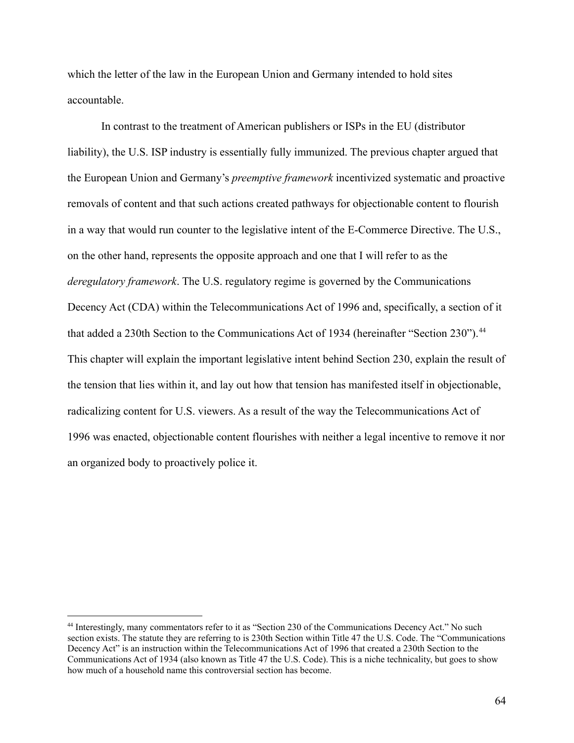which the letter of the law in the European Union and Germany intended to hold sites accountable.

In contrast to the treatment of American publishers or ISPs in the EU (distributor liability), the U.S. ISP industry is essentially fully immunized. The previous chapter argued that the European Union and Germany's *preemptive framework* incentivized systematic and proactive removals of content and that such actions created pathways for objectionable content to flourish in a way that would run counter to the legislative intent of the E-Commerce Directive. The U.S., on the other hand, represents the opposite approach and one that I will refer to as the *deregulatory framework*. The U.S. regulatory regime is governed by the Communications Decency Act (CDA) within the Telecommunications Act of 1996 and, specifically, a section of it that added a 230th Section to the Communications Act of 1934 (hereinafter "Section 230").<sup>44</sup> This chapter will explain the important legislative intent behind Section 230, explain the result of the tension that lies within it, and lay out how that tension has manifested itself in objectionable, radicalizing content for U.S. viewers. As a result of the way the Telecommunications Act of 1996 was enacted, objectionable content flourishes with neither a legal incentive to remove it nor an organized body to proactively police it.

<sup>44</sup> Interestingly, many commentators refer to it as "Section 230 of the Communications Decency Act." No such section exists. The statute they are referring to is 230th Section within Title 47 the U.S. Code. The "Communications Decency Act" is an instruction within the Telecommunications Act of 1996 that created a 230th Section to the Communications Act of 1934 (also known as Title 47 the U.S. Code). This is a niche technicality, but goes to show how much of a household name this controversial section has become.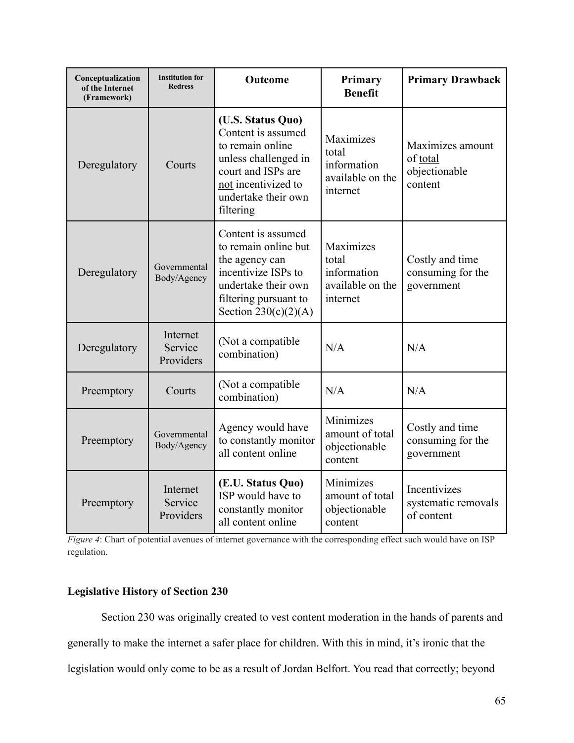| Conceptualization<br>of the Internet<br>(Framework) | <b>Institution for</b><br><b>Redress</b> | Outcome                                                                                                                                                              | Primary<br><b>Benefit</b>                                         | <b>Primary Drawback</b>                                  |
|-----------------------------------------------------|------------------------------------------|----------------------------------------------------------------------------------------------------------------------------------------------------------------------|-------------------------------------------------------------------|----------------------------------------------------------|
| Deregulatory                                        | Courts                                   | (U.S. Status Quo)<br>Content is assumed<br>to remain online<br>unless challenged in<br>court and ISPs are<br>not incentivized to<br>undertake their own<br>filtering | Maximizes<br>total<br>information<br>available on the<br>internet | Maximizes amount<br>of total<br>objectionable<br>content |
| Deregulatory                                        | Governmental<br>Body/Agency              | Content is assumed<br>to remain online but<br>the agency can<br>incentivize ISPs to<br>undertake their own<br>filtering pursuant to<br>Section $230(c)(2)(A)$        | Maximizes<br>total<br>information<br>available on the<br>internet | Costly and time<br>consuming for the<br>government       |
| Deregulatory                                        | Internet<br>Service<br>Providers         | (Not a compatible<br>combination)                                                                                                                                    | N/A                                                               | N/A                                                      |
| Preemptory                                          | Courts                                   | (Not a compatible)<br>combination)                                                                                                                                   | N/A                                                               | N/A                                                      |
| Preemptory                                          | Governmental<br>Body/Agency              | Agency would have<br>to constantly monitor<br>all content online                                                                                                     | Minimizes<br>amount of total<br>objectionable<br>content          | Costly and time<br>consuming for the<br>government       |
| Preemptory                                          | Internet<br>Service<br>Providers         | (E.U. Status Quo)<br>ISP would have to<br>constantly monitor<br>all content online                                                                                   | Minimizes<br>amount of total<br>objectionable<br>content          | Incentivizes<br>systematic removals<br>of content        |

*Figure 4*: Chart of potential avenues of internet governance with the corresponding effect such would have on ISP regulation.

# **Legislative History of Section 230**

Section 230 was originally created to vest content moderation in the hands of parents and generally to make the internet a safer place for children. With this in mind, it's ironic that the legislation would only come to be as a result of Jordan Belfort. You read that correctly; beyond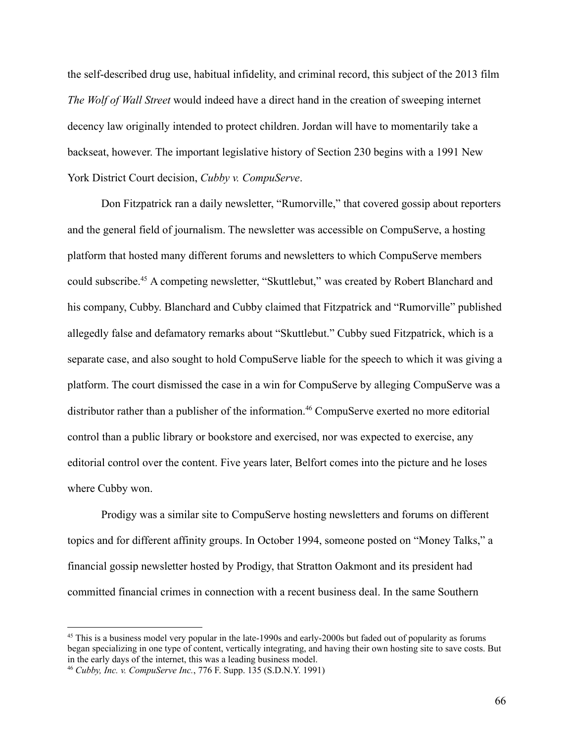the self-described drug use, habitual infidelity, and criminal record, this subject of the 2013 film *The Wolf of Wall Street* would indeed have a direct hand in the creation of sweeping internet decency law originally intended to protect children. Jordan will have to momentarily take a backseat, however. The important legislative history of Section 230 begins with a 1991 New York District Court decision, *Cubby v. CompuServe*.

Don Fitzpatrick ran a daily newsletter, "Rumorville," that covered gossip about reporters and the general field of journalism. The newsletter was accessible on CompuServe, a hosting platform that hosted many different forums and newsletters to which CompuServe members could subscribe.<sup>45</sup> A competing newsletter, "Skuttlebut," was created by Robert Blanchard and his company, Cubby. Blanchard and Cubby claimed that Fitzpatrick and "Rumorville" published allegedly false and defamatory remarks about "Skuttlebut." Cubby sued Fitzpatrick, which is a separate case, and also sought to hold CompuServe liable for the speech to which it was giving a platform. The court dismissed the case in a win for CompuServe by alleging CompuServe was a distributor rather than a publisher of the information.<sup>46</sup> CompuServe exerted no more editorial control than a public library or bookstore and exercised, nor was expected to exercise, any editorial control over the content. Five years later, Belfort comes into the picture and he loses where Cubby won.

Prodigy was a similar site to CompuServe hosting newsletters and forums on different topics and for different affinity groups. In October 1994, someone posted on "Money Talks," a financial gossip newsletter hosted by Prodigy, that Stratton Oakmont and its president had committed financial crimes in connection with a recent business deal. In the same Southern

<sup>&</sup>lt;sup>45</sup> This is a business model very popular in the late-1990s and early-2000s but faded out of popularity as forums began specializing in one type of content, vertically integrating, and having their own hosting site to save costs. But in the early days of the internet, this was a leading business model.

<sup>46</sup> *Cubby, Inc. v. CompuServe Inc.*, 776 F. Supp. 135 (S.D.N.Y. 1991)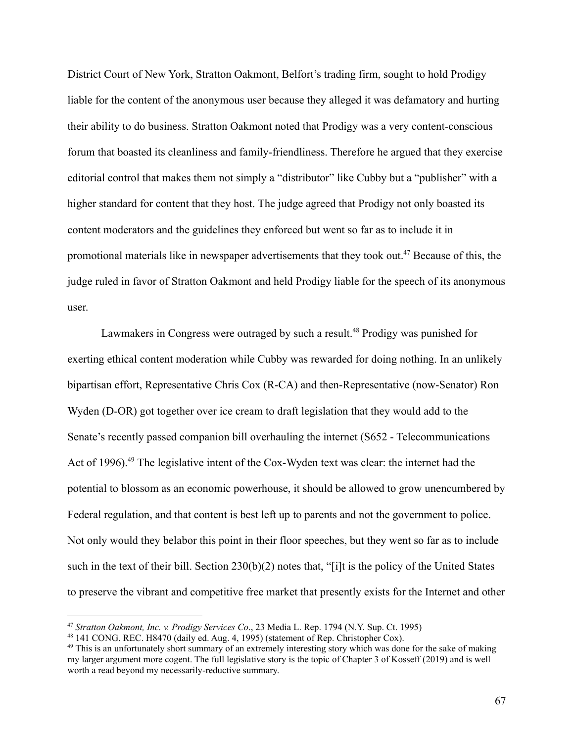District Court of New York, Stratton Oakmont, Belfort's trading firm, sought to hold Prodigy liable for the content of the anonymous user because they alleged it was defamatory and hurting their ability to do business. Stratton Oakmont noted that Prodigy was a very content-conscious forum that boasted its cleanliness and family-friendliness. Therefore he argued that they exercise editorial control that makes them not simply a "distributor" like Cubby but a "publisher" with a higher standard for content that they host. The judge agreed that Prodigy not only boasted its content moderators and the guidelines they enforced but went so far as to include it in promotional materials like in newspaper advertisements that they took out.<sup>47</sup> Because of this, the judge ruled in favor of Stratton Oakmont and held Prodigy liable for the speech of its anonymous user.

Lawmakers in Congress were outraged by such a result.<sup>48</sup> Prodigy was punished for exerting ethical content moderation while Cubby was rewarded for doing nothing. In an unlikely bipartisan effort, Representative Chris Cox (R-CA) and then-Representative (now-Senator) Ron Wyden (D-OR) got together over ice cream to draft legislation that they would add to the Senate's recently passed companion bill overhauling the internet (S652 - Telecommunications Act of 1996).<sup>49</sup> The legislative intent of the Cox-Wyden text was clear: the internet had the potential to blossom as an economic powerhouse, it should be allowed to grow unencumbered by Federal regulation, and that content is best left up to parents and not the government to police. Not only would they belabor this point in their floor speeches, but they went so far as to include such in the text of their bill. Section 230(b)(2) notes that, "[i]t is the policy of the United States to preserve the vibrant and competitive free market that presently exists for the Internet and other

<sup>47</sup> *Stratton Oakmont, Inc. v. Prodigy Services Co*., 23 Media L. Rep. 1794 (N.Y. Sup. Ct. 1995)

<sup>48</sup> 141 CONG. REC. H8470 (daily ed. Aug. 4, 1995) (statement of Rep. Christopher Cox).

<sup>&</sup>lt;sup>49</sup> This is an unfortunately short summary of an extremely interesting story which was done for the sake of making my larger argument more cogent. The full legislative story is the topic of Chapter 3 of Kosseff (2019) and is well worth a read beyond my necessarily-reductive summary.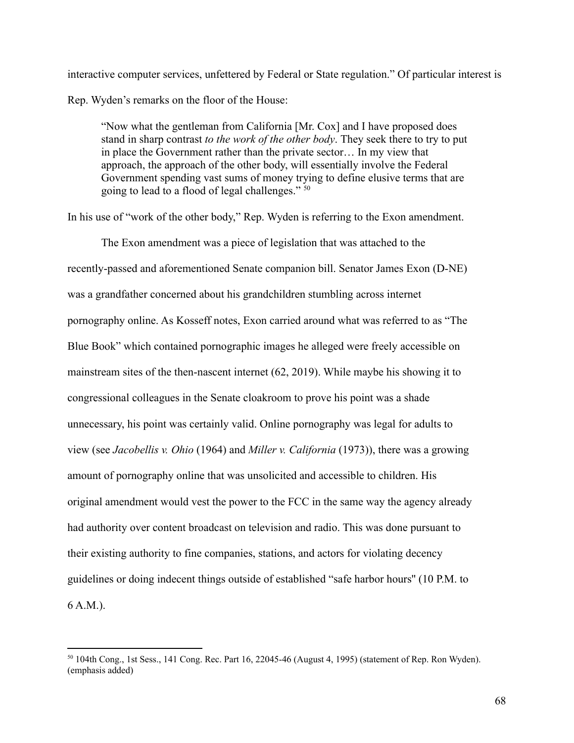interactive computer services, unfettered by Federal or State regulation." Of particular interest is Rep. Wyden's remarks on the floor of the House:

"Now what the gentleman from California [Mr. Cox] and I have proposed does stand in sharp contrast *to the work of the other body*. They seek there to try to put in place the Government rather than the private sector… In my view that approach, the approach of the other body, will essentially involve the Federal Government spending vast sums of money trying to define elusive terms that are going to lead to a flood of legal challenges." <sup>50</sup>

In his use of "work of the other body," Rep. Wyden is referring to the Exon amendment.

The Exon amendment was a piece of legislation that was attached to the recently-passed and aforementioned Senate companion bill. Senator James Exon (D-NE) was a grandfather concerned about his grandchildren stumbling across internet pornography online. As Kosseff notes, Exon carried around what was referred to as "The Blue Book" which contained pornographic images he alleged were freely accessible on mainstream sites of the then-nascent internet (62, 2019). While maybe his showing it to congressional colleagues in the Senate cloakroom to prove his point was a shade unnecessary, his point was certainly valid. Online pornography was legal for adults to view (see *Jacobellis v. Ohio* (1964) and *Miller v. California* (1973)), there was a growing amount of pornography online that was unsolicited and accessible to children. His original amendment would vest the power to the FCC in the same way the agency already had authority over content broadcast on television and radio. This was done pursuant to their existing authority to fine companies, stations, and actors for violating decency guidelines or doing indecent things outside of established "safe harbor hours'' (10 P.M. to 6 A.M.).

<sup>50</sup> 104th Cong., 1st Sess., 141 Cong. Rec. Part 16, 22045-46 (August 4, 1995) (statement of Rep. Ron Wyden). (emphasis added)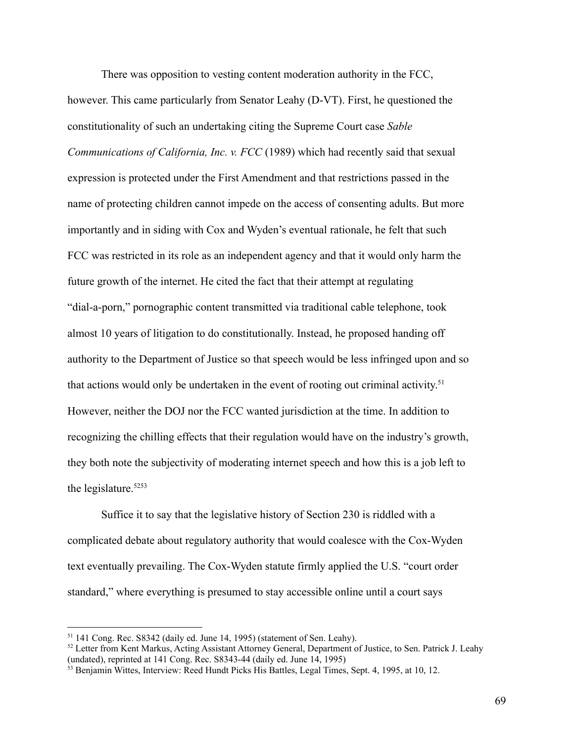There was opposition to vesting content moderation authority in the FCC, however. This came particularly from Senator Leahy (D-VT). First, he questioned the constitutionality of such an undertaking citing the Supreme Court case *Sable Communications of California, Inc. v. FCC* (1989) which had recently said that sexual expression is protected under the First Amendment and that restrictions passed in the name of protecting children cannot impede on the access of consenting adults. But more importantly and in siding with Cox and Wyden's eventual rationale, he felt that such FCC was restricted in its role as an independent agency and that it would only harm the future growth of the internet. He cited the fact that their attempt at regulating "dial-a-porn," pornographic content transmitted via traditional cable telephone, took almost 10 years of litigation to do constitutionally. Instead, he proposed handing off authority to the Department of Justice so that speech would be less infringed upon and so that actions would only be undertaken in the event of rooting out criminal activity. 51 However, neither the DOJ nor the FCC wanted jurisdiction at the time. In addition to recognizing the chilling effects that their regulation would have on the industry's growth, they both note the subjectivity of moderating internet speech and how this is a job left to the legislature.<sup>5253</sup>

Suffice it to say that the legislative history of Section 230 is riddled with a complicated debate about regulatory authority that would coalesce with the Cox-Wyden text eventually prevailing. The Cox-Wyden statute firmly applied the U.S. "court order standard," where everything is presumed to stay accessible online until a court says

<sup>51</sup> 141 Cong. Rec. S8342 (daily ed. June 14, 1995) (statement of Sen. Leahy).

<sup>52</sup> Letter from Kent Markus, Acting Assistant Attorney General, Department of Justice, to Sen. Patrick J. Leahy (undated), reprinted at 141 Cong. Rec. S8343-44 (daily ed. June 14, 1995)

<sup>&</sup>lt;sup>53</sup> Benjamin Wittes, Interview: Reed Hundt Picks His Battles, Legal Times, Sept. 4, 1995, at 10, 12.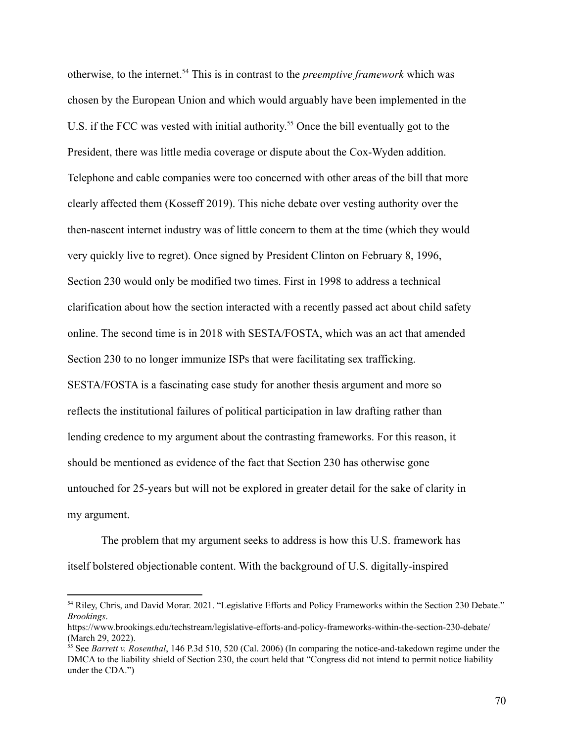otherwise, to the internet.<sup>54</sup> This is in contrast to the *preemptive framework* which was chosen by the European Union and which would arguably have been implemented in the U.S. if the FCC was vested with initial authority. <sup>55</sup> Once the bill eventually got to the President, there was little media coverage or dispute about the Cox-Wyden addition. Telephone and cable companies were too concerned with other areas of the bill that more clearly affected them (Kosseff 2019). This niche debate over vesting authority over the then-nascent internet industry was of little concern to them at the time (which they would very quickly live to regret). Once signed by President Clinton on February 8, 1996, Section 230 would only be modified two times. First in 1998 to address a technical clarification about how the section interacted with a recently passed act about child safety online. The second time is in 2018 with SESTA/FOSTA, which was an act that amended Section 230 to no longer immunize ISPs that were facilitating sex trafficking. SESTA/FOSTA is a fascinating case study for another thesis argument and more so reflects the institutional failures of political participation in law drafting rather than lending credence to my argument about the contrasting frameworks. For this reason, it should be mentioned as evidence of the fact that Section 230 has otherwise gone untouched for 25-years but will not be explored in greater detail for the sake of clarity in my argument.

The problem that my argument seeks to address is how this U.S. framework has itself bolstered objectionable content. With the background of U.S. digitally-inspired

<sup>54</sup> Riley, Chris, and David Morar. 2021. "Legislative Efforts and Policy Frameworks within the Section 230 Debate." *Brookings*.

https://www.brookings.edu/techstream/legislative-efforts-and-policy-frameworks-within-the-section-230-debate/ (March 29, 2022).

<sup>&</sup>lt;sup>55</sup> See *Barrett v. Rosenthal*, 146 P.3d 510, 520 (Cal. 2006) (In comparing the notice-and-takedown regime under the DMCA to the liability shield of Section 230, the court held that "Congress did not intend to permit notice liability under the CDA.")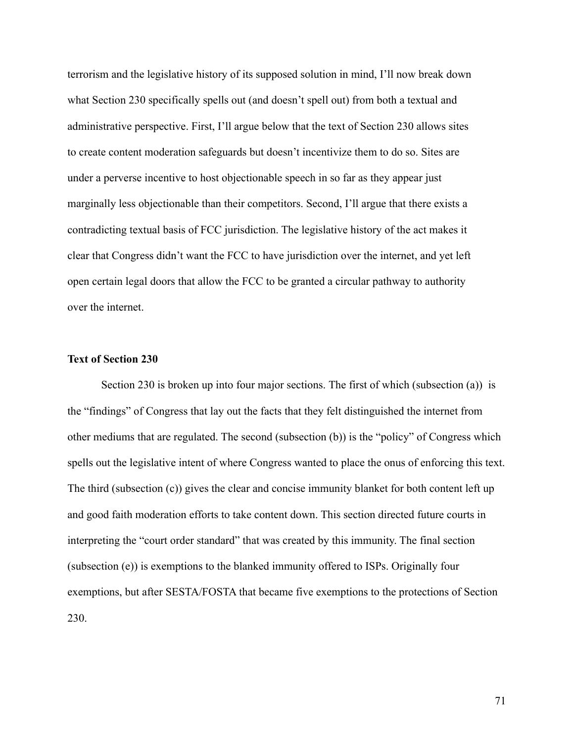terrorism and the legislative history of its supposed solution in mind, I'll now break down what Section 230 specifically spells out (and doesn't spell out) from both a textual and administrative perspective. First, I'll argue below that the text of Section 230 allows sites to create content moderation safeguards but doesn't incentivize them to do so. Sites are under a perverse incentive to host objectionable speech in so far as they appear just marginally less objectionable than their competitors. Second, I'll argue that there exists a contradicting textual basis of FCC jurisdiction. The legislative history of the act makes it clear that Congress didn't want the FCC to have jurisdiction over the internet, and yet left open certain legal doors that allow the FCC to be granted a circular pathway to authority over the internet.

### **Text of Section 230**

Section 230 is broken up into four major sections. The first of which (subsection (a)) is the "findings" of Congress that lay out the facts that they felt distinguished the internet from other mediums that are regulated. The second (subsection (b)) is the "policy" of Congress which spells out the legislative intent of where Congress wanted to place the onus of enforcing this text. The third (subsection (c)) gives the clear and concise immunity blanket for both content left up and good faith moderation efforts to take content down. This section directed future courts in interpreting the "court order standard" that was created by this immunity. The final section (subsection (e)) is exemptions to the blanked immunity offered to ISPs. Originally four exemptions, but after SESTA/FOSTA that became five exemptions to the protections of Section 230.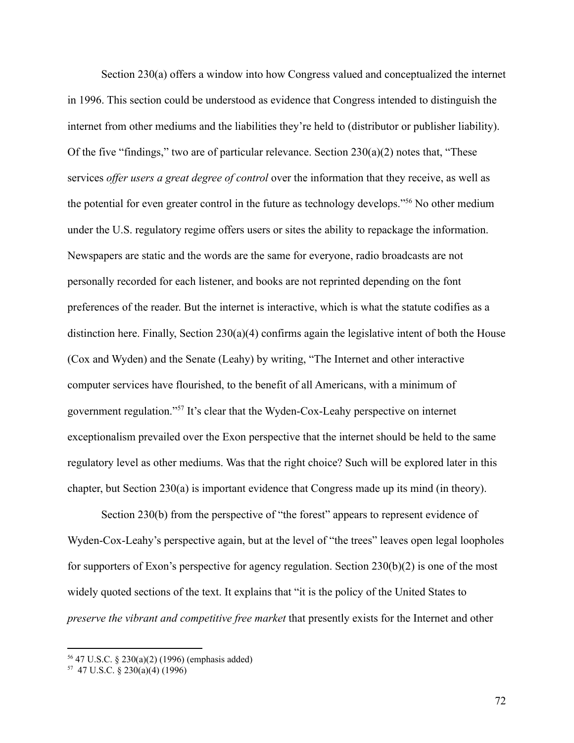Section 230(a) offers a window into how Congress valued and conceptualized the internet in 1996. This section could be understood as evidence that Congress intended to distinguish the internet from other mediums and the liabilities they're held to (distributor or publisher liability). Of the five "findings," two are of particular relevance. Section  $230(a)(2)$  notes that, "These services *offer users a great degree of control* over the information that they receive, as well as the potential for even greater control in the future as technology develops."<sup>56</sup> No other medium under the U.S. regulatory regime offers users or sites the ability to repackage the information. Newspapers are static and the words are the same for everyone, radio broadcasts are not personally recorded for each listener, and books are not reprinted depending on the font preferences of the reader. But the internet is interactive, which is what the statute codifies as a distinction here. Finally, Section 230(a)(4) confirms again the legislative intent of both the House (Cox and Wyden) and the Senate (Leahy) by writing, "The Internet and other interactive computer services have flourished, to the benefit of all Americans, with a minimum of government regulation."<sup>57</sup> It's clear that the Wyden-Cox-Leahy perspective on internet exceptionalism prevailed over the Exon perspective that the internet should be held to the same regulatory level as other mediums. Was that the right choice? Such will be explored later in this chapter, but Section 230(a) is important evidence that Congress made up its mind (in theory).

Section 230(b) from the perspective of "the forest" appears to represent evidence of Wyden-Cox-Leahy's perspective again, but at the level of "the trees" leaves open legal loopholes for supporters of Exon's perspective for agency regulation. Section 230(b)(2) is one of the most widely quoted sections of the text. It explains that "it is the policy of the United States to *preserve the vibrant and competitive free market* that presently exists for the Internet and other

<sup>56</sup> 47 U.S.C. § 230(a)(2) (1996) (emphasis added)

<sup>57</sup> 47 U.S.C. § 230(a)(4) (1996)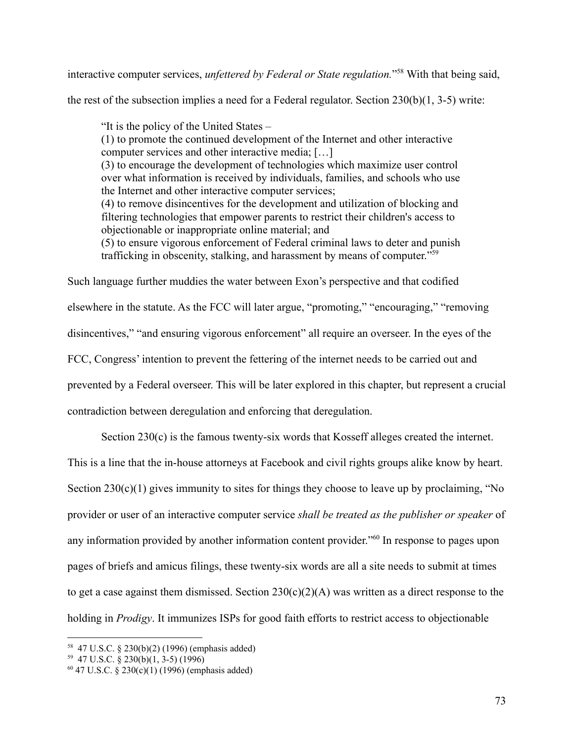interactive computer services, *unfettered by Federal or State regulation.*" <sup>58</sup> With that being said,

the rest of the subsection implies a need for a Federal regulator. Section 230(b)(1, 3-5) write:

"It is the policy of the United States – (1) to promote the continued development of the Internet and other interactive computer services and other interactive media; […] (3) to encourage the development of technologies which maximize user control over what information is received by individuals, families, and schools who use the Internet and other interactive computer services; (4) to remove disincentives for the development and utilization of blocking and filtering technologies that empower parents to restrict their children's access to objectionable or inappropriate online material; and (5) to ensure vigorous enforcement of Federal criminal laws to deter and punish trafficking in obscenity, stalking, and harassment by means of computer."<sup>59</sup>

Such language further muddies the water between Exon's perspective and that codified elsewhere in the statute. As the FCC will later argue, "promoting," "encouraging," "removing disincentives," "and ensuring vigorous enforcement" all require an overseer. In the eyes of the FCC, Congress' intention to prevent the fettering of the internet needs to be carried out and prevented by a Federal overseer. This will be later explored in this chapter, but represent a crucial contradiction between deregulation and enforcing that deregulation.

Section 230(c) is the famous twenty-six words that Kosseff alleges created the internet.

This is a line that the in-house attorneys at Facebook and civil rights groups alike know by heart. Section 230(c)(1) gives immunity to sites for things they choose to leave up by proclaiming, "No provider or user of an interactive computer service *shall be treated as the publisher or speaker* of any information provided by another information content provider."<sup>60</sup> In response to pages upon pages of briefs and amicus filings, these twenty-six words are all a site needs to submit at times to get a case against them dismissed. Section  $230(c)(2)(A)$  was written as a direct response to the holding in *Prodigy*. It immunizes ISPs for good faith efforts to restrict access to objectionable

<sup>58</sup> 47 U.S.C. § 230(b)(2) (1996) (emphasis added)

<sup>59</sup> 47 U.S.C. § 230(b)(1, 3-5) (1996)

 $60$  47 U.S.C. § 230(c)(1) (1996) (emphasis added)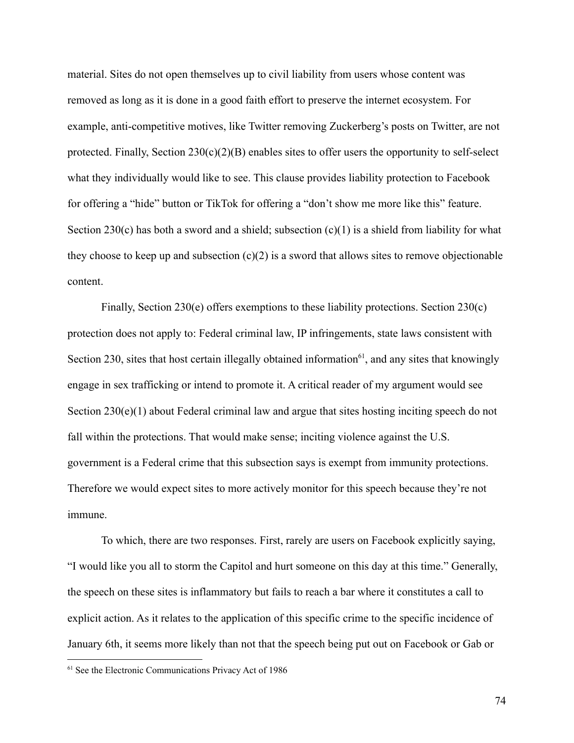material. Sites do not open themselves up to civil liability from users whose content was removed as long as it is done in a good faith effort to preserve the internet ecosystem. For example, anti-competitive motives, like Twitter removing Zuckerberg's posts on Twitter, are not protected. Finally, Section 230(c)(2)(B) enables sites to offer users the opportunity to self-select what they individually would like to see. This clause provides liability protection to Facebook for offering a "hide" button or TikTok for offering a "don't show me more like this" feature. Section 230(c) has both a sword and a shield; subsection  $(c)(1)$  is a shield from liability for what they choose to keep up and subsection  $(c)(2)$  is a sword that allows sites to remove objectionable content.

Finally, Section 230(e) offers exemptions to these liability protections. Section 230(c) protection does not apply to: Federal criminal law, IP infringements, state laws consistent with Section 230, sites that host certain illegally obtained information<sup>61</sup>, and any sites that knowingly engage in sex trafficking or intend to promote it. A critical reader of my argument would see Section 230(e)(1) about Federal criminal law and argue that sites hosting inciting speech do not fall within the protections. That would make sense; inciting violence against the U.S. government is a Federal crime that this subsection says is exempt from immunity protections. Therefore we would expect sites to more actively monitor for this speech because they're not immune.

To which, there are two responses. First, rarely are users on Facebook explicitly saying, "I would like you all to storm the Capitol and hurt someone on this day at this time." Generally, the speech on these sites is inflammatory but fails to reach a bar where it constitutes a call to explicit action. As it relates to the application of this specific crime to the specific incidence of January 6th, it seems more likely than not that the speech being put out on Facebook or Gab or

<sup>&</sup>lt;sup>61</sup> See the Electronic Communications Privacy Act of 1986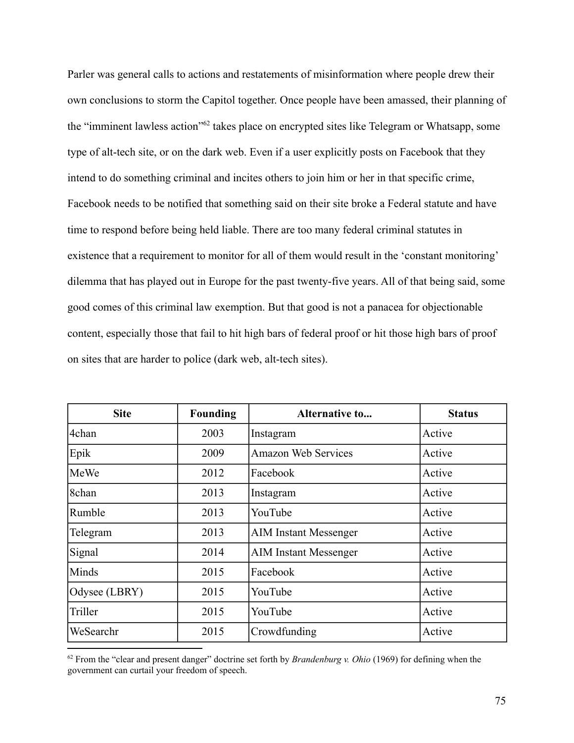Parler was general calls to actions and restatements of misinformation where people drew their own conclusions to storm the Capitol together. Once people have been amassed, their planning of the "imminent lawless action"<sup>62</sup> takes place on encrypted sites like Telegram or Whatsapp, some type of alt-tech site, or on the dark web. Even if a user explicitly posts on Facebook that they intend to do something criminal and incites others to join him or her in that specific crime, Facebook needs to be notified that something said on their site broke a Federal statute and have time to respond before being held liable. There are too many federal criminal statutes in existence that a requirement to monitor for all of them would result in the 'constant monitoring' dilemma that has played out in Europe for the past twenty-five years. All of that being said, some good comes of this criminal law exemption. But that good is not a panacea for objectionable content, especially those that fail to hit high bars of federal proof or hit those high bars of proof on sites that are harder to police (dark web, alt-tech sites).

| <b>Site</b>   | <b>Founding</b> | <b>Alternative to</b>        | <b>Status</b> |
|---------------|-----------------|------------------------------|---------------|
| 4chan         | 2003            | Instagram                    | Active        |
| Epik          | 2009            | <b>Amazon Web Services</b>   | Active        |
| MeWe          | 2012            | Facebook                     | Active        |
| 8chan         | 2013            | Instagram                    | Active        |
| Rumble        | 2013            | YouTube                      | Active        |
| Telegram      | 2013            | <b>AIM Instant Messenger</b> | Active        |
| Signal        | 2014            | <b>AIM Instant Messenger</b> | Active        |
| Minds         | 2015            | Facebook                     | Active        |
| Odysee (LBRY) | 2015            | YouTube                      | Active        |
| Triller       | 2015            | YouTube                      | Active        |
| WeSearchr     | 2015            | Crowdfunding                 | Active        |

<sup>62</sup> From the "clear and present danger" doctrine set forth by *Brandenburg v. Ohio* (1969) for defining when the government can curtail your freedom of speech.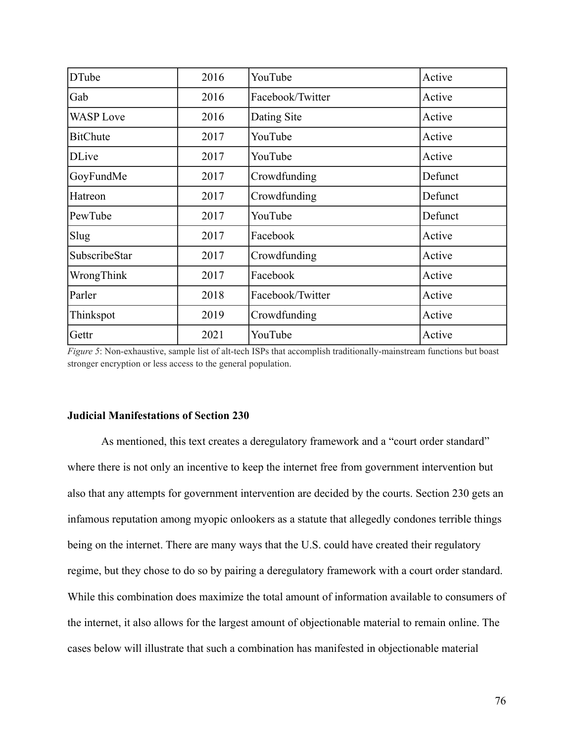| <b>DTube</b>     | 2016 | YouTube          | Active  |
|------------------|------|------------------|---------|
| Gab              | 2016 | Facebook/Twitter | Active  |
| <b>WASP</b> Love | 2016 | Dating Site      | Active  |
| <b>BitChute</b>  | 2017 | YouTube          | Active  |
| <b>DLive</b>     | 2017 | YouTube          | Active  |
| GoyFundMe        | 2017 | Crowdfunding     | Defunct |
| Hatreon          | 2017 | Crowdfunding     | Defunct |
| PewTube          | 2017 | YouTube          | Defunct |
| Slug             | 2017 | Facebook         | Active  |
| SubscribeStar    | 2017 | Crowdfunding     | Active  |
| WrongThink       | 2017 | Facebook         | Active  |
| Parler           | 2018 | Facebook/Twitter | Active  |
| Thinkspot        | 2019 | Crowdfunding     | Active  |
| Gettr            | 2021 | YouTube          | Active  |

*Figure 5*: Non-exhaustive, sample list of alt-tech ISPs that accomplish traditionally-mainstream functions but boast stronger encryption or less access to the general population.

# **Judicial Manifestations of Section 230**

As mentioned, this text creates a deregulatory framework and a "court order standard" where there is not only an incentive to keep the internet free from government intervention but also that any attempts for government intervention are decided by the courts. Section 230 gets an infamous reputation among myopic onlookers as a statute that allegedly condones terrible things being on the internet. There are many ways that the U.S. could have created their regulatory regime, but they chose to do so by pairing a deregulatory framework with a court order standard. While this combination does maximize the total amount of information available to consumers of the internet, it also allows for the largest amount of objectionable material to remain online. The cases below will illustrate that such a combination has manifested in objectionable material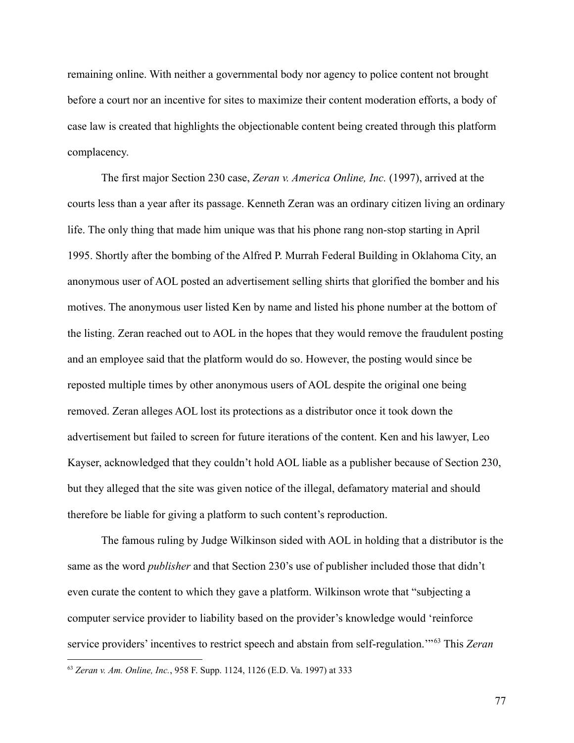remaining online. With neither a governmental body nor agency to police content not brought before a court nor an incentive for sites to maximize their content moderation efforts, a body of case law is created that highlights the objectionable content being created through this platform complacency.

The first major Section 230 case, *Zeran v. America Online, Inc.* (1997), arrived at the courts less than a year after its passage. Kenneth Zeran was an ordinary citizen living an ordinary life. The only thing that made him unique was that his phone rang non-stop starting in April 1995. Shortly after the bombing of the Alfred P. Murrah Federal Building in Oklahoma City, an anonymous user of AOL posted an advertisement selling shirts that glorified the bomber and his motives. The anonymous user listed Ken by name and listed his phone number at the bottom of the listing. Zeran reached out to AOL in the hopes that they would remove the fraudulent posting and an employee said that the platform would do so. However, the posting would since be reposted multiple times by other anonymous users of AOL despite the original one being removed. Zeran alleges AOL lost its protections as a distributor once it took down the advertisement but failed to screen for future iterations of the content. Ken and his lawyer, Leo Kayser, acknowledged that they couldn't hold AOL liable as a publisher because of Section 230, but they alleged that the site was given notice of the illegal, defamatory material and should therefore be liable for giving a platform to such content's reproduction.

The famous ruling by Judge Wilkinson sided with AOL in holding that a distributor is the same as the word *publisher* and that Section 230's use of publisher included those that didn't even curate the content to which they gave a platform. Wilkinson wrote that "subjecting a computer service provider to liability based on the provider's knowledge would 'reinforce service providers' incentives to restrict speech and abstain from self-regulation.'" <sup>63</sup> This *Zeran*

<sup>63</sup> *Zeran v. Am. Online, Inc.*, 958 F. Supp. 1124, 1126 (E.D. Va. 1997) at 333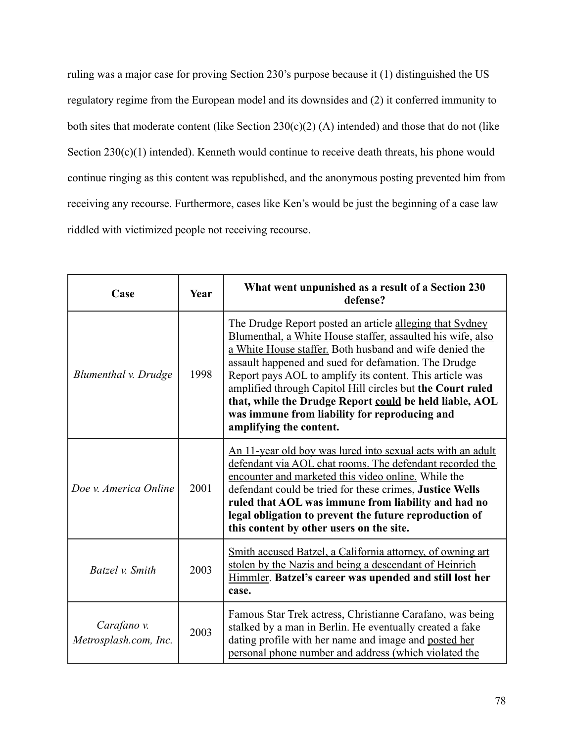ruling was a major case for proving Section 230's purpose because it (1) distinguished the US regulatory regime from the European model and its downsides and (2) it conferred immunity to both sites that moderate content (like Section  $230(c)(2)$  (A) intended) and those that do not (like Section 230(c)(1) intended). Kenneth would continue to receive death threats, his phone would continue ringing as this content was republished, and the anonymous posting prevented him from receiving any recourse. Furthermore, cases like Ken's would be just the beginning of a case law riddled with victimized people not receiving recourse.

| Case                                 | Year | What went unpunished as a result of a Section 230<br>defense?                                                                                                                                                                                                                                                                                                                                                                                                                                               |
|--------------------------------------|------|-------------------------------------------------------------------------------------------------------------------------------------------------------------------------------------------------------------------------------------------------------------------------------------------------------------------------------------------------------------------------------------------------------------------------------------------------------------------------------------------------------------|
| Blumenthal v. Drudge                 | 1998 | The Drudge Report posted an article alleging that Sydney<br>Blumenthal, a White House staffer, assaulted his wife, also<br>a White House staffer. Both husband and wife denied the<br>assault happened and sued for defamation. The Drudge<br>Report pays AOL to amplify its content. This article was<br>amplified through Capitol Hill circles but the Court ruled<br>that, while the Drudge Report could be held liable, AOL<br>was immune from liability for reproducing and<br>amplifying the content. |
| Doe v. America Online                | 2001 | An 11-year old boy was lured into sexual acts with an adult<br>defendant via AOL chat rooms. The defendant recorded the<br>encounter and marketed this video online. While the<br>defendant could be tried for these crimes, Justice Wells<br>ruled that AOL was immune from liability and had no<br>legal obligation to prevent the future reproduction of<br>this content by other users on the site.                                                                                                     |
| Batzel v. Smith                      | 2003 | Smith accused Batzel, a California attorney, of owning art<br>stolen by the Nazis and being a descendant of Heinrich<br>Himmler. Batzel's career was upended and still lost her<br>case.                                                                                                                                                                                                                                                                                                                    |
| Carafano v.<br>Metrosplash.com, Inc. | 2003 | Famous Star Trek actress, Christianne Carafano, was being<br>stalked by a man in Berlin. He eventually created a fake<br>dating profile with her name and image and posted her<br>personal phone number and address (which violated the                                                                                                                                                                                                                                                                     |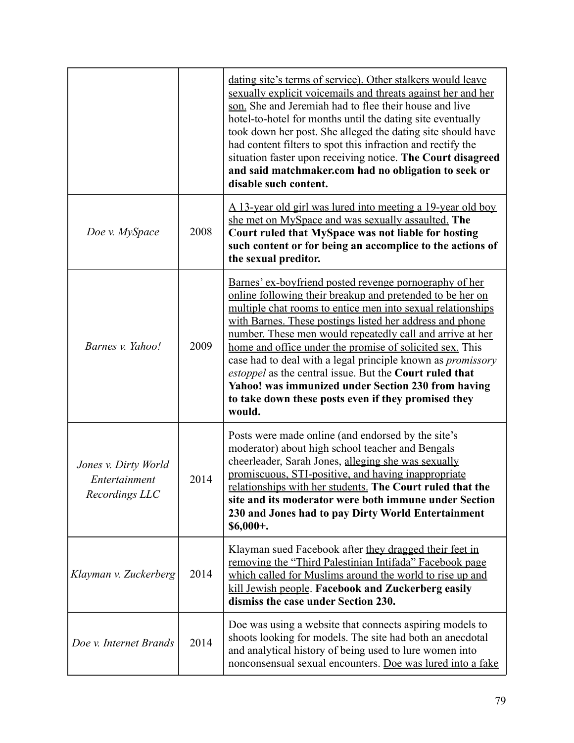|                                                         |      | dating site's terms of service). Other stalkers would leave<br>sexually explicit voicemails and threats against her and her<br>son. She and Jeremiah had to flee their house and live<br>hotel-to-hotel for months until the dating site eventually<br>took down her post. She alleged the dating site should have<br>had content filters to spot this infraction and rectify the<br>situation faster upon receiving notice. The Court disagreed<br>and said matchmaker.com had no obligation to seek or<br>disable such content.                                                                                               |
|---------------------------------------------------------|------|---------------------------------------------------------------------------------------------------------------------------------------------------------------------------------------------------------------------------------------------------------------------------------------------------------------------------------------------------------------------------------------------------------------------------------------------------------------------------------------------------------------------------------------------------------------------------------------------------------------------------------|
| Doe v. MySpace                                          | 2008 | A 13-year old girl was lured into meeting a 19-year old boy<br>she met on MySpace and was sexually assaulted. The<br>Court ruled that MySpace was not liable for hosting<br>such content or for being an accomplice to the actions of<br>the sexual preditor.                                                                                                                                                                                                                                                                                                                                                                   |
| Barnes v. Yahoo!                                        | 2009 | Barnes' ex-boyfriend posted revenge pornography of her<br>online following their breakup and pretended to be her on<br>multiple chat rooms to entice men into sexual relationships<br>with Barnes. These postings listed her address and phone<br>number. These men would repeatedly call and arrive at her<br>home and office under the promise of solicited sex. This<br>case had to deal with a legal principle known as <i>promissory</i><br>estoppel as the central issue. But the Court ruled that<br>Yahoo! was immunized under Section 230 from having<br>to take down these posts even if they promised they<br>would. |
| Jones v. Dirty World<br>Entertainment<br>Recordings LLC | 2014 | Posts were made online (and endorsed by the site's<br>moderator) about high school teacher and Bengals<br>cheerleader, Sarah Jones, alleging she was sexually<br>promiscuous, STI-positive, and having inappropriate<br>relationships with her students. The Court ruled that the<br>site and its moderator were both immune under Section<br>230 and Jones had to pay Dirty World Entertainment<br>$$6,000+$ .                                                                                                                                                                                                                 |
| Klayman v. Zuckerberg                                   | 2014 | Klayman sued Facebook after they dragged their feet in<br>removing the "Third Palestinian Intifada" Facebook page<br>which called for Muslims around the world to rise up and<br>kill Jewish people. Facebook and Zuckerberg easily<br>dismiss the case under Section 230.                                                                                                                                                                                                                                                                                                                                                      |
| Doe v. Internet Brands                                  | 2014 | Doe was using a website that connects aspiring models to<br>shoots looking for models. The site had both an anecdotal<br>and analytical history of being used to lure women into<br>nonconsensual sexual encounters. Doe was lured into a fake                                                                                                                                                                                                                                                                                                                                                                                  |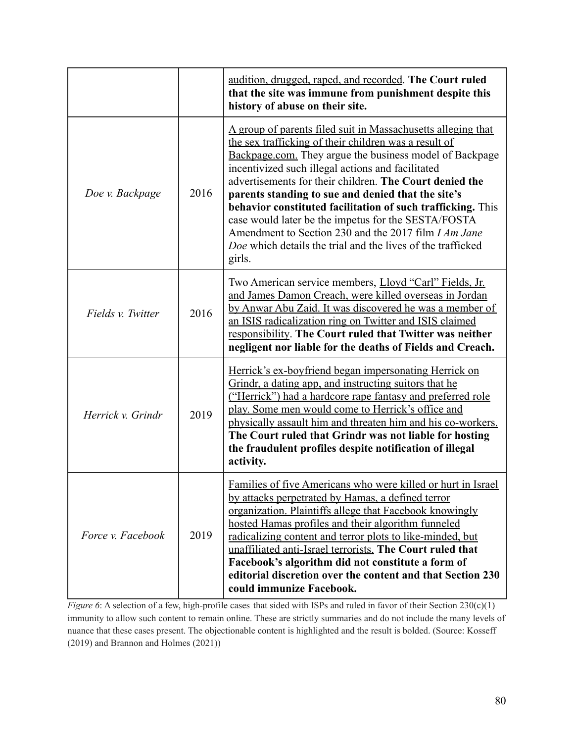|                   |      | <u>audition, drugged, raped, and recorded</u> . The Court ruled<br>that the site was immune from punishment despite this<br>history of abuse on their site.                                                                                                                                                                                                                                                                                                                                                                                                                                                          |
|-------------------|------|----------------------------------------------------------------------------------------------------------------------------------------------------------------------------------------------------------------------------------------------------------------------------------------------------------------------------------------------------------------------------------------------------------------------------------------------------------------------------------------------------------------------------------------------------------------------------------------------------------------------|
| Doe v. Backpage   | 2016 | A group of parents filed suit in Massachusetts alleging that<br>the sex trafficking of their children was a result of<br>Backpage.com. They argue the business model of Backpage<br>incentivized such illegal actions and facilitated<br>advertisements for their children. The Court denied the<br>parents standing to sue and denied that the site's<br>behavior constituted facilitation of such trafficking. This<br>case would later be the impetus for the SESTA/FOSTA<br>Amendment to Section 230 and the 2017 film <i>I Am Jane</i><br>Doe which details the trial and the lives of the trafficked<br>girls. |
| Fields v. Twitter | 2016 | Two American service members, Lloyd "Carl" Fields, Jr.<br>and James Damon Creach, were killed overseas in Jordan<br>by Anwar Abu Zaid. It was discovered he was a member of<br>an ISIS radicalization ring on Twitter and ISIS claimed<br>responsibility. The Court ruled that Twitter was neither<br>negligent nor liable for the deaths of Fields and Creach.                                                                                                                                                                                                                                                      |
| Herrick v. Grindr | 2019 | Herrick's ex-boyfriend began impersonating Herrick on<br>Grindr, a dating app, and instructing suitors that he<br>("Herrick") had a hardcore rape fantasy and preferred role<br>play. Some men would come to Herrick's office and<br>physically assault him and threaten him and his co-workers.<br>The Court ruled that Grindr was not liable for hosting<br>the fraudulent profiles despite notification of illegal<br>activity.                                                                                                                                                                                   |
| Force v. Facebook | 2019 | Families of five Americans who were killed or hurt in Israel<br>by attacks perpetrated by Hamas, a defined terror<br>organization. Plaintiffs allege that Facebook knowingly<br>hosted Hamas profiles and their algorithm funneled<br>radicalizing content and terror plots to like-minded, but<br>unaffiliated anti-Israel terrorists. The Court ruled that<br>Facebook's algorithm did not constitute a form of<br>editorial discretion over the content and that Section 230<br>could immunize Facebook.                                                                                                          |

*Figure* 6: A selection of a few, high-profile cases that sided with ISPs and ruled in favor of their Section 230(c)(1) immunity to allow such content to remain online. These are strictly summaries and do not include the many levels of nuance that these cases present. The objectionable content is highlighted and the result is bolded. (Source: Kosseff (2019) and Brannon and Holmes (2021))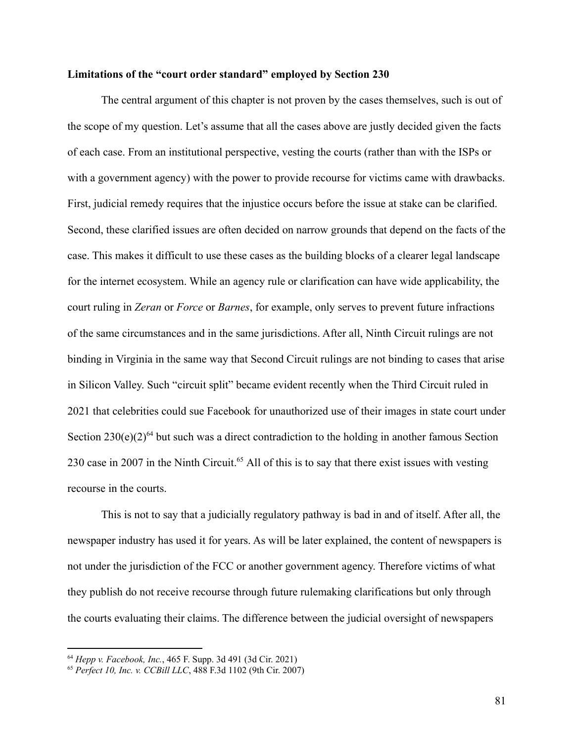### **Limitations of the "court order standard" employed by Section 230**

The central argument of this chapter is not proven by the cases themselves, such is out of the scope of my question. Let's assume that all the cases above are justly decided given the facts of each case. From an institutional perspective, vesting the courts (rather than with the ISPs or with a government agency) with the power to provide recourse for victims came with drawbacks. First, judicial remedy requires that the injustice occurs before the issue at stake can be clarified. Second, these clarified issues are often decided on narrow grounds that depend on the facts of the case. This makes it difficult to use these cases as the building blocks of a clearer legal landscape for the internet ecosystem. While an agency rule or clarification can have wide applicability, the court ruling in *Zeran* or *Force* or *Barnes*, for example, only serves to prevent future infractions of the same circumstances and in the same jurisdictions. After all, Ninth Circuit rulings are not binding in Virginia in the same way that Second Circuit rulings are not binding to cases that arise in Silicon Valley. Such "circuit split" became evident recently when the Third Circuit ruled in 2021 that celebrities could sue Facebook for unauthorized use of their images in state court under Section  $230(e)(2)^{64}$  but such was a direct contradiction to the holding in another famous Section 230 case in 2007 in the Ninth Circuit.<sup>65</sup> All of this is to say that there exist issues with vesting recourse in the courts.

This is not to say that a judicially regulatory pathway is bad in and of itself. After all, the newspaper industry has used it for years. As will be later explained, the content of newspapers is not under the jurisdiction of the FCC or another government agency. Therefore victims of what they publish do not receive recourse through future rulemaking clarifications but only through the courts evaluating their claims. The difference between the judicial oversight of newspapers

<sup>64</sup> *Hepp v. Facebook, Inc.*, 465 F. Supp. 3d 491 (3d Cir. 2021)

<sup>65</sup> *Perfect 10, Inc. v. CCBill LLC*, 488 F.3d 1102 (9th Cir. 2007)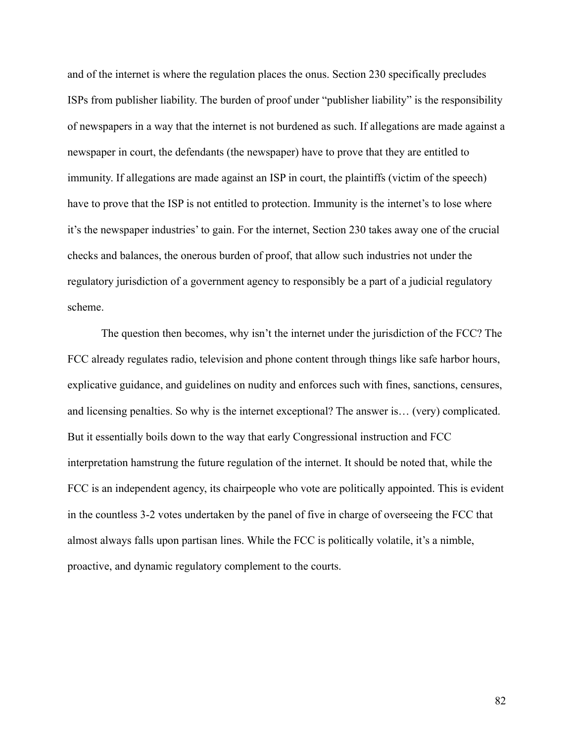and of the internet is where the regulation places the onus. Section 230 specifically precludes ISPs from publisher liability. The burden of proof under "publisher liability" is the responsibility of newspapers in a way that the internet is not burdened as such. If allegations are made against a newspaper in court, the defendants (the newspaper) have to prove that they are entitled to immunity. If allegations are made against an ISP in court, the plaintiffs (victim of the speech) have to prove that the ISP is not entitled to protection. Immunity is the internet's to lose where it's the newspaper industries' to gain. For the internet, Section 230 takes away one of the crucial checks and balances, the onerous burden of proof, that allow such industries not under the regulatory jurisdiction of a government agency to responsibly be a part of a judicial regulatory scheme.

The question then becomes, why isn't the internet under the jurisdiction of the FCC? The FCC already regulates radio, television and phone content through things like safe harbor hours, explicative guidance, and guidelines on nudity and enforces such with fines, sanctions, censures, and licensing penalties. So why is the internet exceptional? The answer is… (very) complicated. But it essentially boils down to the way that early Congressional instruction and FCC interpretation hamstrung the future regulation of the internet. It should be noted that, while the FCC is an independent agency, its chairpeople who vote are politically appointed. This is evident in the countless 3-2 votes undertaken by the panel of five in charge of overseeing the FCC that almost always falls upon partisan lines. While the FCC is politically volatile, it's a nimble, proactive, and dynamic regulatory complement to the courts.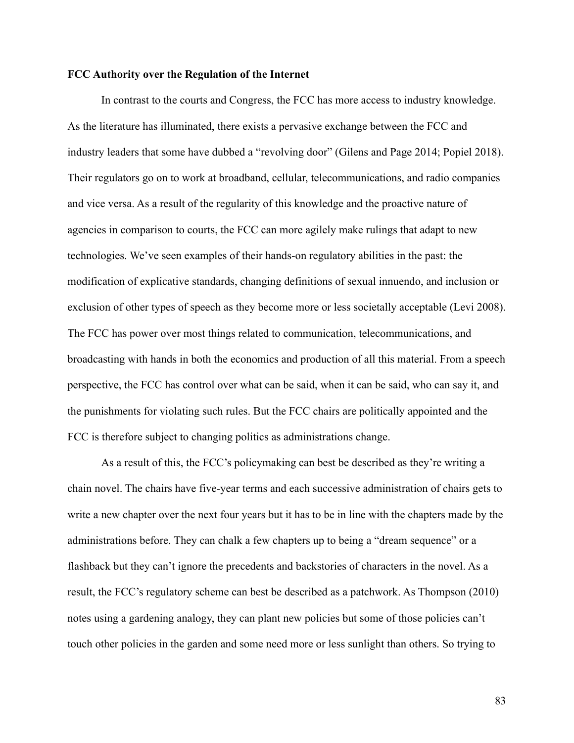#### **FCC Authority over the Regulation of the Internet**

In contrast to the courts and Congress, the FCC has more access to industry knowledge. As the literature has illuminated, there exists a pervasive exchange between the FCC and industry leaders that some have dubbed a "revolving door" (Gilens and Page 2014; Popiel 2018). Their regulators go on to work at broadband, cellular, telecommunications, and radio companies and vice versa. As a result of the regularity of this knowledge and the proactive nature of agencies in comparison to courts, the FCC can more agilely make rulings that adapt to new technologies. We've seen examples of their hands-on regulatory abilities in the past: the modification of explicative standards, changing definitions of sexual innuendo, and inclusion or exclusion of other types of speech as they become more or less societally acceptable (Levi 2008). The FCC has power over most things related to communication, telecommunications, and broadcasting with hands in both the economics and production of all this material. From a speech perspective, the FCC has control over what can be said, when it can be said, who can say it, and the punishments for violating such rules. But the FCC chairs are politically appointed and the FCC is therefore subject to changing politics as administrations change.

As a result of this, the FCC's policymaking can best be described as they're writing a chain novel. The chairs have five-year terms and each successive administration of chairs gets to write a new chapter over the next four years but it has to be in line with the chapters made by the administrations before. They can chalk a few chapters up to being a "dream sequence" or a flashback but they can't ignore the precedents and backstories of characters in the novel. As a result, the FCC's regulatory scheme can best be described as a patchwork. As Thompson (2010) notes using a gardening analogy, they can plant new policies but some of those policies can't touch other policies in the garden and some need more or less sunlight than others. So trying to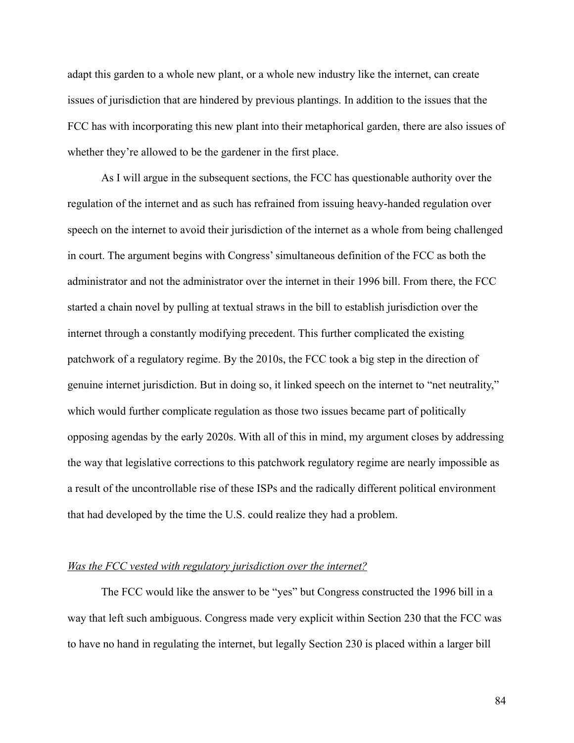adapt this garden to a whole new plant, or a whole new industry like the internet, can create issues of jurisdiction that are hindered by previous plantings. In addition to the issues that the FCC has with incorporating this new plant into their metaphorical garden, there are also issues of whether they're allowed to be the gardener in the first place.

As I will argue in the subsequent sections, the FCC has questionable authority over the regulation of the internet and as such has refrained from issuing heavy-handed regulation over speech on the internet to avoid their jurisdiction of the internet as a whole from being challenged in court. The argument begins with Congress' simultaneous definition of the FCC as both the administrator and not the administrator over the internet in their 1996 bill. From there, the FCC started a chain novel by pulling at textual straws in the bill to establish jurisdiction over the internet through a constantly modifying precedent. This further complicated the existing patchwork of a regulatory regime. By the 2010s, the FCC took a big step in the direction of genuine internet jurisdiction. But in doing so, it linked speech on the internet to "net neutrality," which would further complicate regulation as those two issues became part of politically opposing agendas by the early 2020s. With all of this in mind, my argument closes by addressing the way that legislative corrections to this patchwork regulatory regime are nearly impossible as a result of the uncontrollable rise of these ISPs and the radically different political environment that had developed by the time the U.S. could realize they had a problem.

### *Was the FCC vested with regulatory jurisdiction over the internet?*

The FCC would like the answer to be "yes" but Congress constructed the 1996 bill in a way that left such ambiguous. Congress made very explicit within Section 230 that the FCC was to have no hand in regulating the internet, but legally Section 230 is placed within a larger bill

84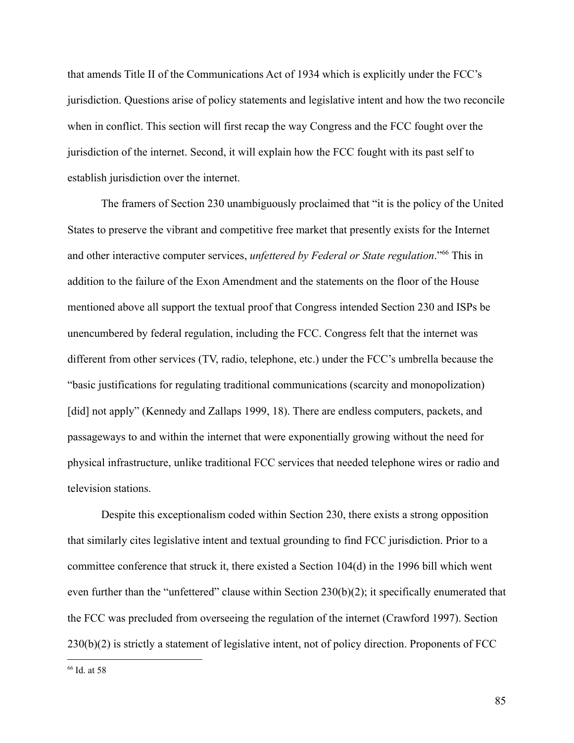that amends Title II of the Communications Act of 1934 which is explicitly under the FCC's jurisdiction. Questions arise of policy statements and legislative intent and how the two reconcile when in conflict. This section will first recap the way Congress and the FCC fought over the jurisdiction of the internet. Second, it will explain how the FCC fought with its past self to establish jurisdiction over the internet.

The framers of Section 230 unambiguously proclaimed that "it is the policy of the United States to preserve the vibrant and competitive free market that presently exists for the Internet and other interactive computer services, *unfettered by Federal or State regulation*."<sup>66</sup> This in addition to the failure of the Exon Amendment and the statements on the floor of the House mentioned above all support the textual proof that Congress intended Section 230 and ISPs be unencumbered by federal regulation, including the FCC. Congress felt that the internet was different from other services (TV, radio, telephone, etc.) under the FCC's umbrella because the "basic justifications for regulating traditional communications (scarcity and monopolization) [did] not apply" (Kennedy and Zallaps 1999, 18). There are endless computers, packets, and passageways to and within the internet that were exponentially growing without the need for physical infrastructure, unlike traditional FCC services that needed telephone wires or radio and television stations.

Despite this exceptionalism coded within Section 230, there exists a strong opposition that similarly cites legislative intent and textual grounding to find FCC jurisdiction. Prior to a committee conference that struck it, there existed a Section 104(d) in the 1996 bill which went even further than the "unfettered" clause within Section 230(b)(2); it specifically enumerated that the FCC was precluded from overseeing the regulation of the internet (Crawford 1997). Section 230(b)(2) is strictly a statement of legislative intent, not of policy direction. Proponents of FCC

<sup>66</sup> Id. at 58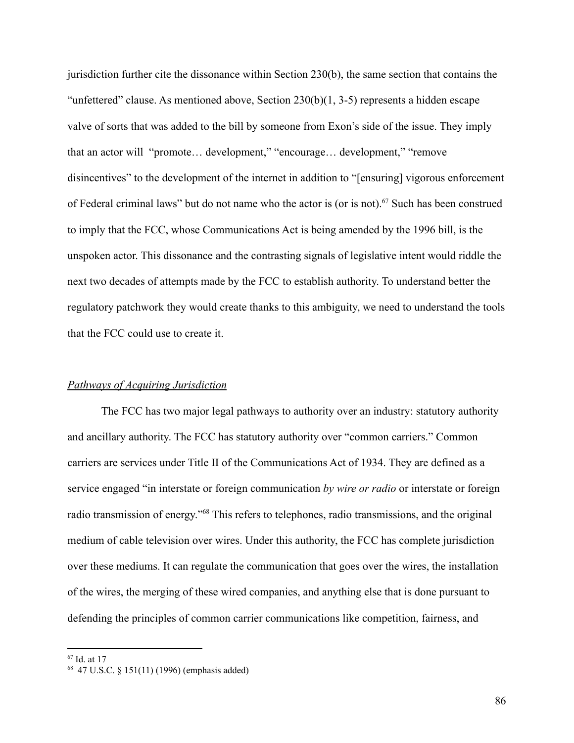jurisdiction further cite the dissonance within Section 230(b), the same section that contains the "unfettered" clause. As mentioned above, Section 230(b)(1, 3-5) represents a hidden escape valve of sorts that was added to the bill by someone from Exon's side of the issue. They imply that an actor will "promote… development," "encourage… development," "remove disincentives" to the development of the internet in addition to "[ensuring] vigorous enforcement of Federal criminal laws" but do not name who the actor is (or is not).<sup>67</sup> Such has been construed to imply that the FCC, whose Communications Act is being amended by the 1996 bill, is the unspoken actor. This dissonance and the contrasting signals of legislative intent would riddle the next two decades of attempts made by the FCC to establish authority. To understand better the regulatory patchwork they would create thanks to this ambiguity, we need to understand the tools that the FCC could use to create it.

### *Pathways of Acquiring Jurisdiction*

The FCC has two major legal pathways to authority over an industry: statutory authority and ancillary authority. The FCC has statutory authority over "common carriers." Common carriers are services under Title II of the Communications Act of 1934. They are defined as a service engaged "in interstate or foreign communication *by wire or radio* or interstate or foreign radio transmission of energy."<sup>68</sup> This refers to telephones, radio transmissions, and the original medium of cable television over wires. Under this authority, the FCC has complete jurisdiction over these mediums. It can regulate the communication that goes over the wires, the installation of the wires, the merging of these wired companies, and anything else that is done pursuant to defending the principles of common carrier communications like competition, fairness, and

<sup>67</sup> Id. at 17

<sup>68</sup> 47 U.S.C. § 151(11) (1996) (emphasis added)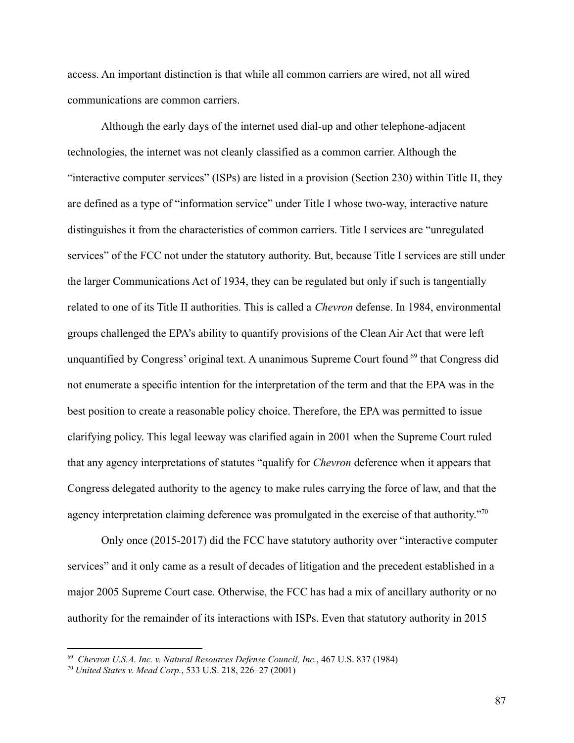access. An important distinction is that while all common carriers are wired, not all wired communications are common carriers.

Although the early days of the internet used dial-up and other telephone-adjacent technologies, the internet was not cleanly classified as a common carrier. Although the "interactive computer services" (ISPs) are listed in a provision (Section 230) within Title II, they are defined as a type of "information service" under Title I whose two-way, interactive nature distinguishes it from the characteristics of common carriers. Title I services are "unregulated services" of the FCC not under the statutory authority. But, because Title I services are still under the larger Communications Act of 1934, they can be regulated but only if such is tangentially related to one of its Title II authorities. This is called a *Chevron* defense. In 1984, environmental groups challenged the EPA's ability to quantify provisions of the Clean Air Act that were left unquantified by Congress' original text. A unanimous Supreme Court found <sup>69</sup> that Congress did not enumerate a specific intention for the interpretation of the term and that the EPA was in the best position to create a reasonable policy choice. Therefore, the EPA was permitted to issue clarifying policy. This legal leeway was clarified again in 2001 when the Supreme Court ruled that any agency interpretations of statutes "qualify for *Chevron* deference when it appears that Congress delegated authority to the agency to make rules carrying the force of law, and that the agency interpretation claiming deference was promulgated in the exercise of that authority."<sup>70</sup>

Only once (2015-2017) did the FCC have statutory authority over "interactive computer services" and it only came as a result of decades of litigation and the precedent established in a major 2005 Supreme Court case. Otherwise, the FCC has had a mix of ancillary authority or no authority for the remainder of its interactions with ISPs. Even that statutory authority in 2015

<sup>69</sup> *Chevron U.S.A. Inc. v. Natural Resources Defense Council, Inc.*, 467 U.S. 837 (1984)

<sup>70</sup> *United States v. Mead Corp.*, 533 U.S. 218, 226–27 (2001)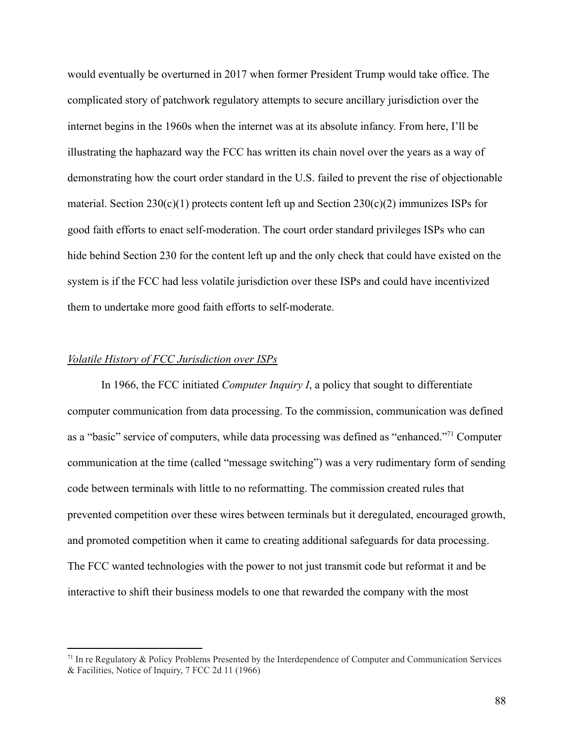would eventually be overturned in 2017 when former President Trump would take office. The complicated story of patchwork regulatory attempts to secure ancillary jurisdiction over the internet begins in the 1960s when the internet was at its absolute infancy. From here, I'll be illustrating the haphazard way the FCC has written its chain novel over the years as a way of demonstrating how the court order standard in the U.S. failed to prevent the rise of objectionable material. Section  $230(c)(1)$  protects content left up and Section  $230(c)(2)$  immunizes ISPs for good faith efforts to enact self-moderation. The court order standard privileges ISPs who can hide behind Section 230 for the content left up and the only check that could have existed on the system is if the FCC had less volatile jurisdiction over these ISPs and could have incentivized them to undertake more good faith efforts to self-moderate.

### *Volatile History of FCC Jurisdiction over ISPs*

In 1966, the FCC initiated *Computer Inquiry I*, a policy that sought to differentiate computer communication from data processing. To the commission, communication was defined as a "basic" service of computers, while data processing was defined as "enhanced."<sup>71</sup> Computer communication at the time (called "message switching") was a very rudimentary form of sending code between terminals with little to no reformatting. The commission created rules that prevented competition over these wires between terminals but it deregulated, encouraged growth, and promoted competition when it came to creating additional safeguards for data processing. The FCC wanted technologies with the power to not just transmit code but reformat it and be interactive to shift their business models to one that rewarded the company with the most

 $71$  In re Regulatory & Policy Problems Presented by the Interdependence of Computer and Communication Services & Facilities, Notice of Inquiry, 7 FCC 2d 11 (1966)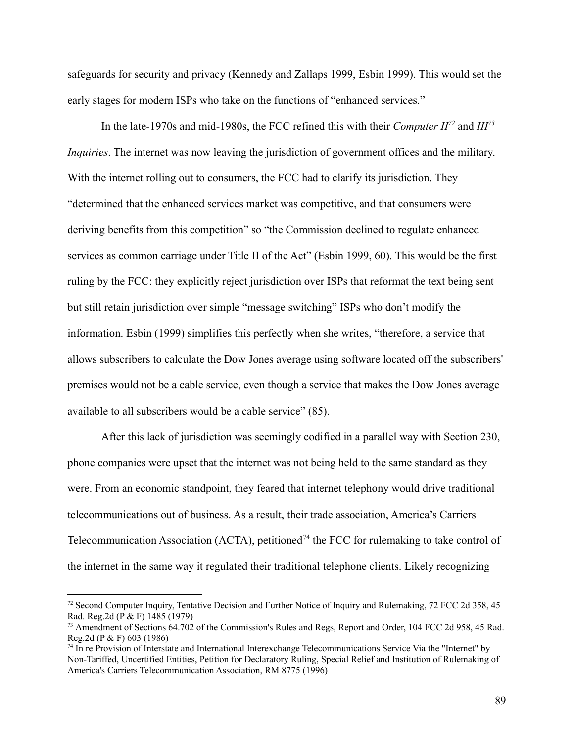safeguards for security and privacy (Kennedy and Zallaps 1999, Esbin 1999). This would set the early stages for modern ISPs who take on the functions of "enhanced services."

In the late-1970s and mid-1980s, the FCC refined this with their *Computer II<sup>72</sup>* and *III<sup>73</sup> Inquiries*. The internet was now leaving the jurisdiction of government offices and the military. With the internet rolling out to consumers, the FCC had to clarify its jurisdiction. They "determined that the enhanced services market was competitive, and that consumers were deriving benefits from this competition" so "the Commission declined to regulate enhanced services as common carriage under Title II of the Act" (Esbin 1999, 60). This would be the first ruling by the FCC: they explicitly reject jurisdiction over ISPs that reformat the text being sent but still retain jurisdiction over simple "message switching" ISPs who don't modify the information. Esbin (1999) simplifies this perfectly when she writes, "therefore, a service that allows subscribers to calculate the Dow Jones average using software located off the subscribers' premises would not be a cable service, even though a service that makes the Dow Jones average available to all subscribers would be a cable service" (85).

After this lack of jurisdiction was seemingly codified in a parallel way with Section 230, phone companies were upset that the internet was not being held to the same standard as they were. From an economic standpoint, they feared that internet telephony would drive traditional telecommunications out of business. As a result, their trade association, America's Carriers Telecommunication Association (ACTA), petitioned<sup> $74$ </sup> the FCC for rulemaking to take control of the internet in the same way it regulated their traditional telephone clients. Likely recognizing

<sup>72</sup> Second Computer Inquiry, Tentative Decision and Further Notice of Inquiry and Rulemaking, 72 FCC 2d 358, 45 Rad. Reg.2d (P & F) 1485 (1979)

<sup>&</sup>lt;sup>73</sup> Amendment of Sections 64.702 of the Commission's Rules and Regs, Report and Order, 104 FCC 2d 958, 45 Rad. Reg.2d (P & F) 603 (1986)

<sup>&</sup>lt;sup>74</sup> In re Provision of Interstate and International Interexchange Telecommunications Service Via the "Internet" by Non-Tariffed, Uncertified Entities, Petition for Declaratory Ruling, Special Relief and Institution of Rulemaking of America's Carriers Telecommunication Association, RM 8775 (1996)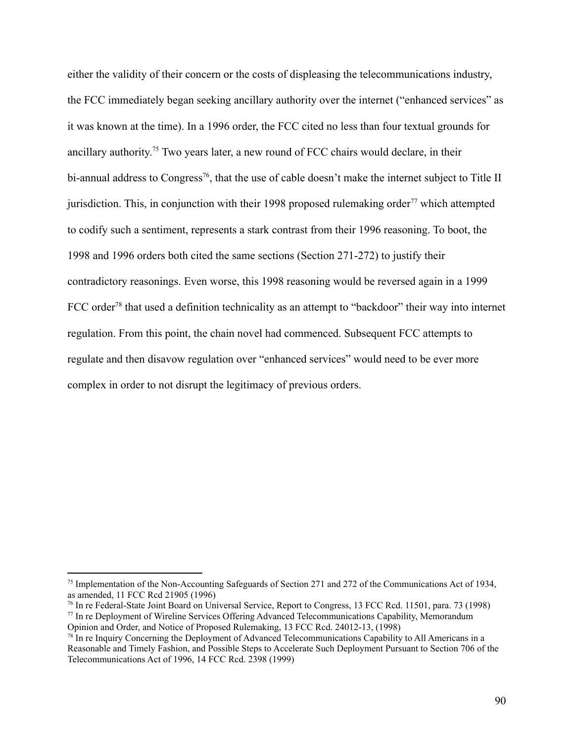either the validity of their concern or the costs of displeasing the telecommunications industry, the FCC immediately began seeking ancillary authority over the internet ("enhanced services" as it was known at the time). In a 1996 order, the FCC cited no less than four textual grounds for ancillary authority. <sup>75</sup> Two years later, a new round of FCC chairs would declare, in their bi-annual address to Congress<sup>76</sup>, that the use of cable doesn't make the internet subject to Title II jurisdiction. This, in conjunction with their 1998 proposed rulemaking order<sup>77</sup> which attempted to codify such a sentiment, represents a stark contrast from their 1996 reasoning. To boot, the 1998 and 1996 orders both cited the same sections (Section 271-272) to justify their contradictory reasonings. Even worse, this 1998 reasoning would be reversed again in a 1999 FCC order<sup>78</sup> that used a definition technicality as an attempt to "backdoor" their way into internet regulation. From this point, the chain novel had commenced. Subsequent FCC attempts to regulate and then disavow regulation over "enhanced services" would need to be ever more complex in order to not disrupt the legitimacy of previous orders.

<sup>&</sup>lt;sup>75</sup> Implementation of the Non-Accounting Safeguards of Section 271 and 272 of the Communications Act of 1934, as amended, 11 FCC Rcd 21905 (1996)

<sup>77</sup> In re Deployment of Wireline Services Offering Advanced Telecommunications Capability, Memorandum Opinion and Order, and Notice of Proposed Rulemaking, 13 FCC Rcd. 24012-13, (1998) <sup>76</sup> In re Federal-State Joint Board on Universal Service, Report to Congress, 13 FCC Rcd. 11501, para. 73 (1998)

 $78$  In re Inquiry Concerning the Deployment of Advanced Telecommunications Capability to All Americans in a Reasonable and Timely Fashion, and Possible Steps to Accelerate Such Deployment Pursuant to Section 706 of the Telecommunications Act of 1996, 14 FCC Rcd. 2398 (1999)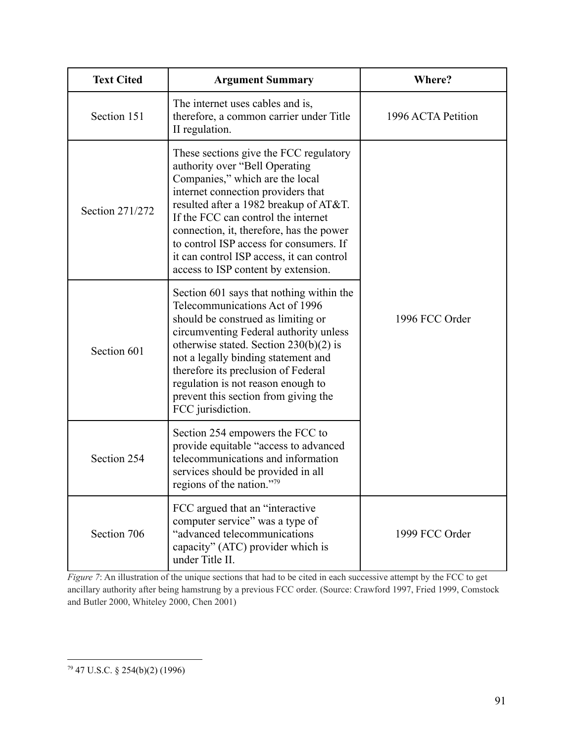| <b>Text Cited</b> | <b>Argument Summary</b>                                                                                                                                                                                                                                                                                                                                                                                       | Where?             |
|-------------------|---------------------------------------------------------------------------------------------------------------------------------------------------------------------------------------------------------------------------------------------------------------------------------------------------------------------------------------------------------------------------------------------------------------|--------------------|
| Section 151       | The internet uses cables and is,<br>therefore, a common carrier under Title<br>II regulation.                                                                                                                                                                                                                                                                                                                 | 1996 ACTA Petition |
| Section 271/272   | These sections give the FCC regulatory<br>authority over "Bell Operating<br>Companies," which are the local<br>internet connection providers that<br>resulted after a 1982 breakup of AT&T.<br>If the FCC can control the internet<br>connection, it, therefore, has the power<br>to control ISP access for consumers. If<br>it can control ISP access, it can control<br>access to ISP content by extension. |                    |
| Section 601       | Section 601 says that nothing within the<br>Telecommunications Act of 1996<br>should be construed as limiting or<br>circumventing Federal authority unless<br>otherwise stated. Section $230(b)(2)$ is<br>not a legally binding statement and<br>therefore its preclusion of Federal<br>regulation is not reason enough to<br>prevent this section from giving the<br>FCC jurisdiction.                       | 1996 FCC Order     |
| Section 254       | Section 254 empowers the FCC to<br>provide equitable "access to advanced<br>telecommunications and information<br>services should be provided in all<br>regions of the nation."79                                                                                                                                                                                                                             |                    |
| Section 706       | FCC argued that an "interactive"<br>computer service" was a type of<br>"advanced telecommunications<br>capacity" (ATC) provider which is<br>under Title II.                                                                                                                                                                                                                                                   | 1999 FCC Order     |

*Figure* 7: An illustration of the unique sections that had to be cited in each successive attempt by the FCC to get ancillary authority after being hamstrung by a previous FCC order. (Source: Crawford 1997, Fried 1999, Comstock and Butler 2000, Whiteley 2000, Chen 2001)

<sup>79</sup> 47 U.S.C. § 254(b)(2) (1996)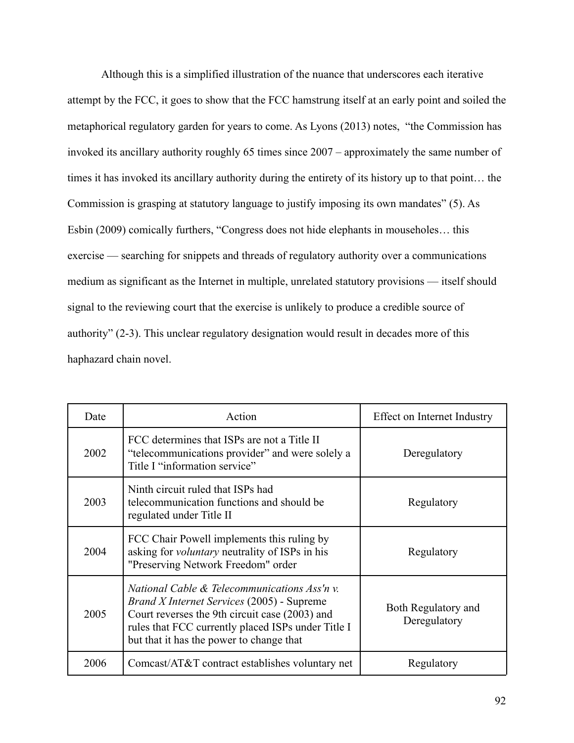Although this is a simplified illustration of the nuance that underscores each iterative attempt by the FCC, it goes to show that the FCC hamstrung itself at an early point and soiled the metaphorical regulatory garden for years to come. As Lyons (2013) notes, "the Commission has invoked its ancillary authority roughly 65 times since 2007 – approximately the same number of times it has invoked its ancillary authority during the entirety of its history up to that point… the Commission is grasping at statutory language to justify imposing its own mandates" (5). As Esbin (2009) comically furthers, "Congress does not hide elephants in mouseholes… this exercise — searching for snippets and threads of regulatory authority over a communications medium as significant as the Internet in multiple, unrelated statutory provisions — itself should signal to the reviewing court that the exercise is unlikely to produce a credible source of authority" (2-3). This unclear regulatory designation would result in decades more of this haphazard chain novel.

| Date | Action                                                                                                                                                                                                                                                | Effect on Internet Industry         |
|------|-------------------------------------------------------------------------------------------------------------------------------------------------------------------------------------------------------------------------------------------------------|-------------------------------------|
| 2002 | FCC determines that ISPs are not a Title II<br>"telecommunications provider" and were solely a<br>Title I "information service"                                                                                                                       | Deregulatory                        |
| 2003 | Ninth circuit ruled that ISPs had<br>telecommunication functions and should be<br>regulated under Title II                                                                                                                                            | Regulatory                          |
| 2004 | FCC Chair Powell implements this ruling by<br>asking for <i>voluntary</i> neutrality of ISPs in his<br>"Preserving Network Freedom" order                                                                                                             | Regulatory                          |
| 2005 | National Cable & Telecommunications Ass'n v.<br><i>Brand X Internet Services</i> (2005) - Supreme<br>Court reverses the 9th circuit case (2003) and<br>rules that FCC currently placed ISPs under Title I<br>but that it has the power to change that | Both Regulatory and<br>Deregulatory |
| 2006 | Comcast/AT&T contract establishes voluntary net                                                                                                                                                                                                       | Regulatory                          |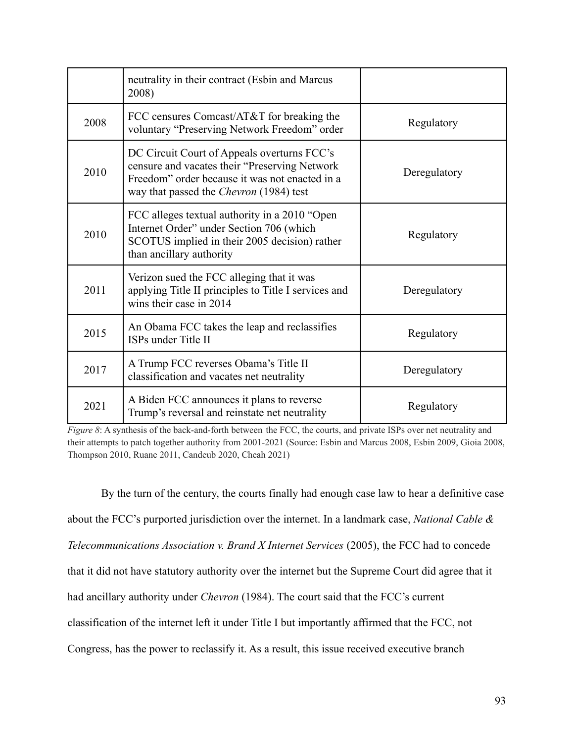|      | neutrality in their contract (Esbin and Marcus<br>2008)                                                                                                                                           |              |
|------|---------------------------------------------------------------------------------------------------------------------------------------------------------------------------------------------------|--------------|
| 2008 | FCC censures Comcast/AT&T for breaking the<br>voluntary "Preserving Network Freedom" order                                                                                                        | Regulatory   |
| 2010 | DC Circuit Court of Appeals overturns FCC's<br>censure and vacates their "Preserving Network"<br>Freedom" order because it was not enacted in a<br>way that passed the <i>Chevron</i> (1984) test | Deregulatory |
| 2010 | FCC alleges textual authority in a 2010 "Open<br>Internet Order" under Section 706 (which<br>SCOTUS implied in their 2005 decision) rather<br>than ancillary authority                            | Regulatory   |
| 2011 | Verizon sued the FCC alleging that it was<br>applying Title II principles to Title I services and<br>wins their case in 2014                                                                      | Deregulatory |
| 2015 | An Obama FCC takes the leap and reclassifies<br>ISPs under Title II                                                                                                                               | Regulatory   |
| 2017 | A Trump FCC reverses Obama's Title II<br>classification and vacates net neutrality                                                                                                                | Deregulatory |
| 2021 | A Biden FCC announces it plans to reverse<br>Trump's reversal and reinstate net neutrality                                                                                                        | Regulatory   |

*Figure* 8: A synthesis of the back-and-forth between the FCC, the courts, and private ISPs over net neutrality and their attempts to patch together authority from 2001-2021 (Source: Esbin and Marcus 2008, Esbin 2009, Gioia 2008, Thompson 2010, Ruane 2011, Candeub 2020, Cheah 2021)

By the turn of the century, the courts finally had enough case law to hear a definitive case about the FCC's purported jurisdiction over the internet. In a landmark case, *National Cable & Telecommunications Association v. Brand X Internet Services* (2005), the FCC had to concede that it did not have statutory authority over the internet but the Supreme Court did agree that it had ancillary authority under *Chevron* (1984). The court said that the FCC's current classification of the internet left it under Title I but importantly affirmed that the FCC, not Congress, has the power to reclassify it. As a result, this issue received executive branch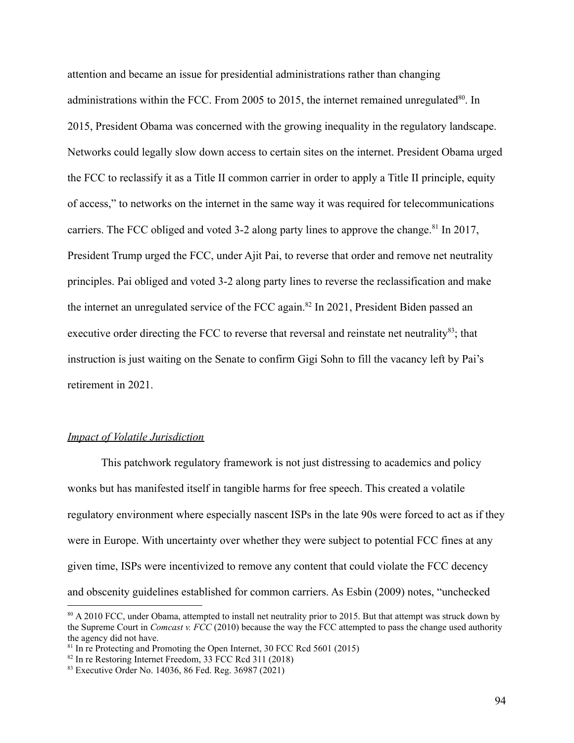attention and became an issue for presidential administrations rather than changing administrations within the FCC. From 2005 to 2015, the internet remained unregulated<sup>80</sup>. In 2015, President Obama was concerned with the growing inequality in the regulatory landscape. Networks could legally slow down access to certain sites on the internet. President Obama urged the FCC to reclassify it as a Title II common carrier in order to apply a Title II principle, equity of access," to networks on the internet in the same way it was required for telecommunications carriers. The FCC obliged and voted 3-2 along party lines to approve the change.<sup>81</sup> In 2017, President Trump urged the FCC, under Ajit Pai, to reverse that order and remove net neutrality principles. Pai obliged and voted 3-2 along party lines to reverse the reclassification and make the internet an unregulated service of the FCC again.<sup>82</sup> In 2021, President Biden passed an executive order directing the FCC to reverse that reversal and reinstate net neutrality $^{83}$ ; that instruction is just waiting on the Senate to confirm Gigi Sohn to fill the vacancy left by Pai's retirement in 2021.

# *Impact of Volatile Jurisdiction*

This patchwork regulatory framework is not just distressing to academics and policy wonks but has manifested itself in tangible harms for free speech. This created a volatile regulatory environment where especially nascent ISPs in the late 90s were forced to act as if they were in Europe. With uncertainty over whether they were subject to potential FCC fines at any given time, ISPs were incentivized to remove any content that could violate the FCC decency and obscenity guidelines established for common carriers. As Esbin (2009) notes, "unchecked

<sup>80</sup> A 2010 FCC, under Obama, attempted to install net neutrality prior to 2015. But that attempt was struck down by the Supreme Court in *Comcast v. FCC* (2010) because the way the FCC attempted to pass the change used authority the agency did not have.

<sup>&</sup>lt;sup>81</sup> In re Protecting and Promoting the Open Internet, 30 FCC Rcd 5601 (2015)

<sup>82</sup> In re Restoring Internet Freedom, 33 FCC Rcd 311 (2018)

<sup>83</sup> Executive Order No. 14036, 86 Fed. Reg. 36987 (2021)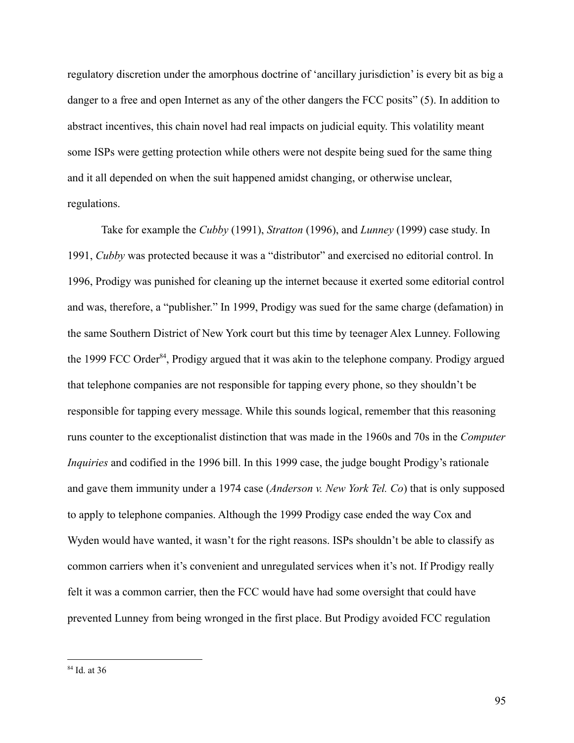regulatory discretion under the amorphous doctrine of 'ancillary jurisdiction' is every bit as big a danger to a free and open Internet as any of the other dangers the FCC posits" (5). In addition to abstract incentives, this chain novel had real impacts on judicial equity. This volatility meant some ISPs were getting protection while others were not despite being sued for the same thing and it all depended on when the suit happened amidst changing, or otherwise unclear, regulations.

Take for example the *Cubby* (1991), *Stratton* (1996), and *Lunney* (1999) case study. In 1991, *Cubby* was protected because it was a "distributor" and exercised no editorial control. In 1996, Prodigy was punished for cleaning up the internet because it exerted some editorial control and was, therefore, a "publisher." In 1999, Prodigy was sued for the same charge (defamation) in the same Southern District of New York court but this time by teenager Alex Lunney. Following the 1999 FCC Order<sup>84</sup>, Prodigy argued that it was akin to the telephone company. Prodigy argued that telephone companies are not responsible for tapping every phone, so they shouldn't be responsible for tapping every message. While this sounds logical, remember that this reasoning runs counter to the exceptionalist distinction that was made in the 1960s and 70s in the *Computer Inquiries* and codified in the 1996 bill. In this 1999 case, the judge bought Prodigy's rationale and gave them immunity under a 1974 case (*Anderson v. New York Tel. Co*) that is only supposed to apply to telephone companies. Although the 1999 Prodigy case ended the way Cox and Wyden would have wanted, it wasn't for the right reasons. ISPs shouldn't be able to classify as common carriers when it's convenient and unregulated services when it's not. If Prodigy really felt it was a common carrier, then the FCC would have had some oversight that could have prevented Lunney from being wronged in the first place. But Prodigy avoided FCC regulation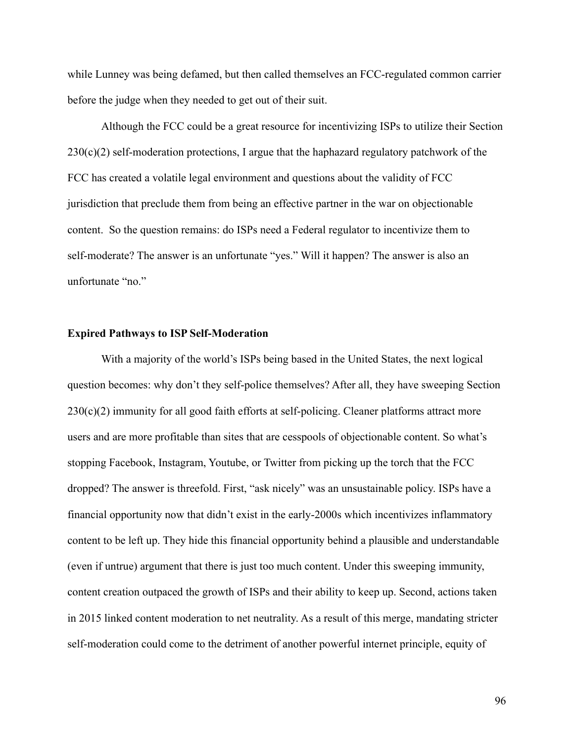while Lunney was being defamed, but then called themselves an FCC-regulated common carrier before the judge when they needed to get out of their suit.

Although the FCC could be a great resource for incentivizing ISPs to utilize their Section  $230(c)(2)$  self-moderation protections, I argue that the haphazard regulatory patchwork of the FCC has created a volatile legal environment and questions about the validity of FCC jurisdiction that preclude them from being an effective partner in the war on objectionable content. So the question remains: do ISPs need a Federal regulator to incentivize them to self-moderate? The answer is an unfortunate "yes." Will it happen? The answer is also an unfortunate "no."

#### **Expired Pathways to ISP Self-Moderation**

With a majority of the world's ISPs being based in the United States, the next logical question becomes: why don't they self-police themselves? After all, they have sweeping Section  $230(c)(2)$  immunity for all good faith efforts at self-policing. Cleaner platforms attract more users and are more profitable than sites that are cesspools of objectionable content. So what's stopping Facebook, Instagram, Youtube, or Twitter from picking up the torch that the FCC dropped? The answer is threefold. First, "ask nicely" was an unsustainable policy. ISPs have a financial opportunity now that didn't exist in the early-2000s which incentivizes inflammatory content to be left up. They hide this financial opportunity behind a plausible and understandable (even if untrue) argument that there is just too much content. Under this sweeping immunity, content creation outpaced the growth of ISPs and their ability to keep up. Second, actions taken in 2015 linked content moderation to net neutrality. As a result of this merge, mandating stricter self-moderation could come to the detriment of another powerful internet principle, equity of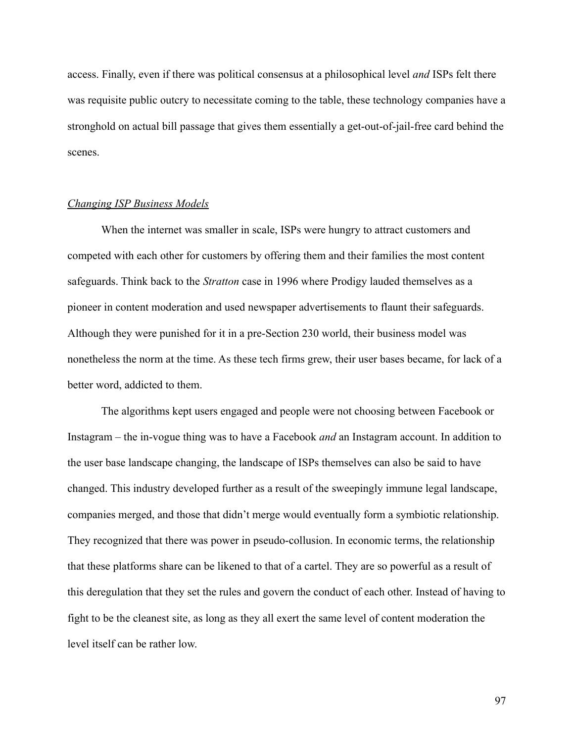access. Finally, even if there was political consensus at a philosophical level *and* ISPs felt there was requisite public outcry to necessitate coming to the table, these technology companies have a stronghold on actual bill passage that gives them essentially a get-out-of-jail-free card behind the scenes.

#### *Changing ISP Business Models*

When the internet was smaller in scale, ISPs were hungry to attract customers and competed with each other for customers by offering them and their families the most content safeguards. Think back to the *Stratton* case in 1996 where Prodigy lauded themselves as a pioneer in content moderation and used newspaper advertisements to flaunt their safeguards. Although they were punished for it in a pre-Section 230 world, their business model was nonetheless the norm at the time. As these tech firms grew, their user bases became, for lack of a better word, addicted to them.

The algorithms kept users engaged and people were not choosing between Facebook or Instagram – the in-vogue thing was to have a Facebook *and* an Instagram account. In addition to the user base landscape changing, the landscape of ISPs themselves can also be said to have changed. This industry developed further as a result of the sweepingly immune legal landscape, companies merged, and those that didn't merge would eventually form a symbiotic relationship. They recognized that there was power in pseudo-collusion. In economic terms, the relationship that these platforms share can be likened to that of a cartel. They are so powerful as a result of this deregulation that they set the rules and govern the conduct of each other. Instead of having to fight to be the cleanest site, as long as they all exert the same level of content moderation the level itself can be rather low.

97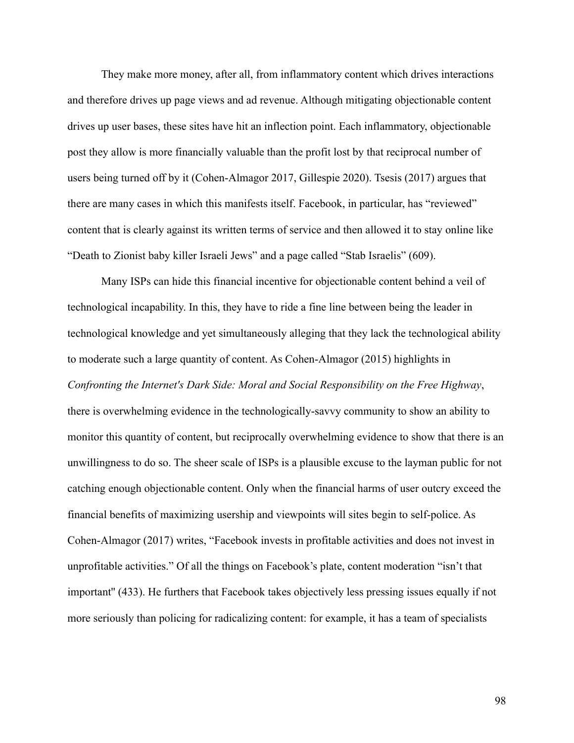They make more money, after all, from inflammatory content which drives interactions and therefore drives up page views and ad revenue. Although mitigating objectionable content drives up user bases, these sites have hit an inflection point. Each inflammatory, objectionable post they allow is more financially valuable than the profit lost by that reciprocal number of users being turned off by it (Cohen-Almagor 2017, Gillespie 2020). Tsesis (2017) argues that there are many cases in which this manifests itself. Facebook, in particular, has "reviewed" content that is clearly against its written terms of service and then allowed it to stay online like "Death to Zionist baby killer Israeli Jews" and a page called "Stab Israelis" (609).

Many ISPs can hide this financial incentive for objectionable content behind a veil of technological incapability. In this, they have to ride a fine line between being the leader in technological knowledge and yet simultaneously alleging that they lack the technological ability to moderate such a large quantity of content. As Cohen-Almagor (2015) highlights in *Confronting the Internet's Dark Side: Moral and Social Responsibility on the Free Highway*, there is overwhelming evidence in the technologically-savvy community to show an ability to monitor this quantity of content, but reciprocally overwhelming evidence to show that there is an unwillingness to do so. The sheer scale of ISPs is a plausible excuse to the layman public for not catching enough objectionable content. Only when the financial harms of user outcry exceed the financial benefits of maximizing usership and viewpoints will sites begin to self-police. As Cohen-Almagor (2017) writes, "Facebook invests in profitable activities and does not invest in unprofitable activities." Of all the things on Facebook's plate, content moderation "isn't that important'' (433). He furthers that Facebook takes objectively less pressing issues equally if not more seriously than policing for radicalizing content: for example, it has a team of specialists

98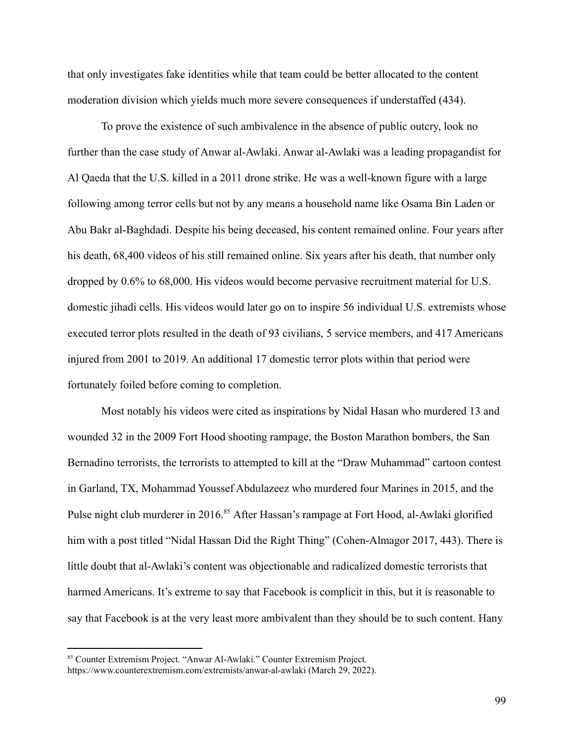that only investigates fake identities while that team could be better allocated to the content moderation division which yields much more severe consequences if understaffed (434).

To prove the existence of such ambivalence in the absence of public outcry, look no further than the case study of Anwar al-Awlaki. Anwar al-Awlaki was a leading propagandist for Al Qaeda that the U.S. killed in a 2011 drone strike. He was a well-known figure with a large following among terror cells but not by any means a household name like Osama Bin Laden or Abu Bakr al-Baghdadi. Despite his being deceased, his content remained online. Four years after his death, 68,400 videos of his still remained online. Six years after his death, that number only dropped by 0.6% to 68,000. His videos would become pervasive recruitment material for U.S. domestic jihadi cells. His videos would later go on to inspire 56 individual U.S. extremists whose executed terror plots resulted in the death of 93 civilians, 5 service members, and 417 Americans injured from 2001 to 2019. An additional 17 domestic terror plots within that period were fortunately foiled before coming to completion.

Most notably his videos were cited as inspirations by Nidal Hasan who murdered 13 and wounded 32 in the 2009 Fort Hood shooting rampage, the Boston Marathon bombers, the San Bernadino terrorists, the terrorists to attempted to kill at the "Draw Muhammad" cartoon contest in Garland, TX, Mohammad Youssef Abdulazeez who murdered four Marines in 2015, and the Pulse night club murderer in 2016.<sup>85</sup> After Hassan's rampage at Fort Hood, al-Awlaki glorified him with a post titled "Nidal Hassan Did the Right Thing" (Cohen-Almagor 2017, 443). There is little doubt that al-Awlaki's content was objectionable and radicalized domestic terrorists that harmed Americans. It's extreme to say that Facebook is complicit in this, but it is reasonable to say that Facebook is at the very least more ambivalent than they should be to such content. Hany

<sup>85</sup> Counter Extremism Project. "Anwar Al-Awlaki." Counter Extremism Project. https://www.counterextremism.com/extremists/anwar-al-awlaki (March 29, 2022).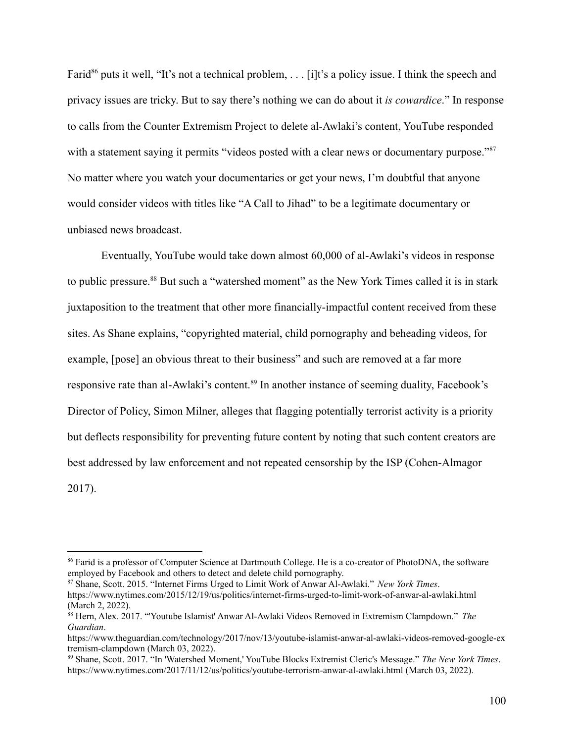Farid<sup>86</sup> puts it well, "It's not a technical problem, . . . [i]t's a policy issue. I think the speech and privacy issues are tricky. But to say there's nothing we can do about it *is cowardice*." In response to calls from the Counter Extremism Project to delete al-Awlaki's content, YouTube responded with a statement saying it permits "videos posted with a clear news or documentary purpose."<sup>87</sup> No matter where you watch your documentaries or get your news, I'm doubtful that anyone would consider videos with titles like "A Call to Jihad" to be a legitimate documentary or unbiased news broadcast.

Eventually, YouTube would take down almost 60,000 of al-Awlaki's videos in response to public pressure.<sup>88</sup> But such a "watershed moment" as the New York Times called it is in stark juxtaposition to the treatment that other more financially-impactful content received from these sites. As Shane explains, "copyrighted material, child pornography and beheading videos, for example, [pose] an obvious threat to their business" and such are removed at a far more responsive rate than al-Awlaki's content.<sup>89</sup> In another instance of seeming duality, Facebook's Director of Policy, Simon Milner, alleges that flagging potentially terrorist activity is a priority but deflects responsibility for preventing future content by noting that such content creators are best addressed by law enforcement and not repeated censorship by the ISP (Cohen-Almagor 2017).

<sup>&</sup>lt;sup>86</sup> Farid is a professor of Computer Science at Dartmouth College. He is a co-creator of PhotoDNA, the software employed by Facebook and others to detect and delete child pornography.

<sup>87</sup> Shane, Scott. 2015. "Internet Firms Urged to Limit Work of Anwar Al-Awlaki." *New York Times*. https://www.nytimes.com/2015/12/19/us/politics/internet-firms-urged-to-limit-work-of-anwar-al-awlaki.html (March 2, 2022).

<sup>88</sup> Hern, Alex. 2017. "'Youtube Islamist' Anwar Al-Awlaki Videos Removed in Extremism Clampdown." *The Guardian*.

https://www.theguardian.com/technology/2017/nov/13/youtube-islamist-anwar-al-awlaki-videos-removed-google-ex tremism-clampdown (March 03, 2022).

<sup>89</sup> Shane, Scott. 2017. "In 'Watershed Moment,' YouTube Blocks Extremist Cleric's Message." *The New York Times*. https://www.nytimes.com/2017/11/12/us/politics/youtube-terrorism-anwar-al-awlaki.html (March 03, 2022).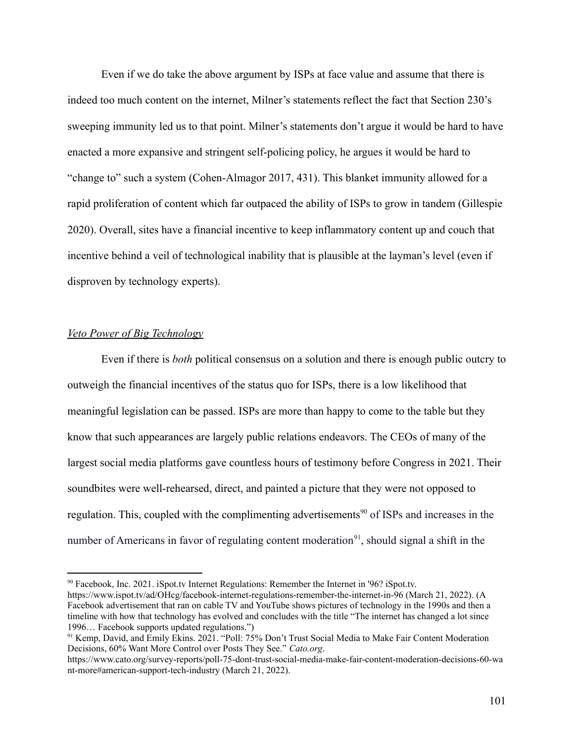Even if we do take the above argument by ISPs at face value and assume that there is indeed too much content on the internet, Milner's statements reflect the fact that Section 230's sweeping immunity led us to that point. Milner's statements don't argue it would be hard to have enacted a more expansive and stringent self-policing policy, he argues it would be hard to "change to" such a system (Cohen-Almagor 2017, 431). This blanket immunity allowed for a rapid proliferation of content which far outpaced the ability of ISPs to grow in tandem (Gillespie 2020). Overall, sites have a financial incentive to keep inflammatory content up and couch that incentive behind a veil of technological inability that is plausible at the layman's level (even if disproven by technology experts).

#### *Veto Power of Big Technology*

Even if there is *both* political consensus on a solution and there is enough public outcry to outweigh the financial incentives of the status quo for ISPs, there is a low likelihood that meaningful legislation can be passed. ISPs are more than happy to come to the table but they know that such appearances are largely public relations endeavors. The CEOs of many of the largest social media platforms gave countless hours of testimony before Congress in 2021. Their soundbites were well-rehearsed, direct, and painted a picture that they were not opposed to regulation. This, coupled with the complimenting advertisements<sup>90</sup> of ISPs and increases in the number of Americans in favor of regulating content moderation<sup>91</sup>, should signal a shift in the

<sup>90</sup> Facebook, Inc. 2021. iSpot.tv Internet Regulations: Remember the Internet in '96? iSpot.tv. https://www.ispot.tv/ad/OHcg/facebook-internet-regulations-remember-the-internet-in-96 (March 21, 2022). (A Facebook advertisement that ran on cable TV and YouTube shows pictures of technology in the 1990s and then a timeline with how that technology has evolved and concludes with the title "The internet has changed a lot since 1996… Facebook supports updated regulations.")

<sup>&</sup>lt;sup>91</sup> Kemp, David, and Emily Ekins. 2021. "Poll: 75% Don't Trust Social Media to Make Fair Content Moderation Decisions, 60% Want More Control over Posts They See." *Cato.org*.

https://www.cato.org/survey-reports/poll-75-dont-trust-social-media-make-fair-content-moderation-decisions-60-wa nt-more#american-support-tech-industry (March 21, 2022).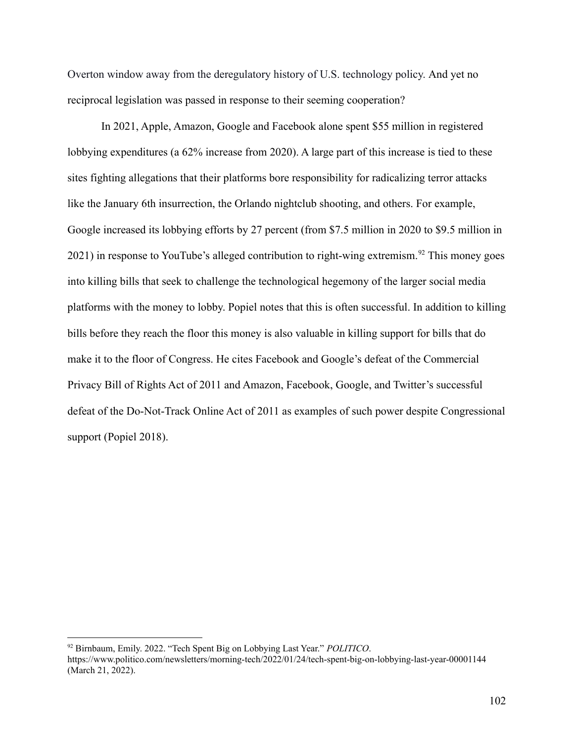Overton window away from the deregulatory history of U.S. technology policy. And yet no reciprocal legislation was passed in response to their seeming cooperation?

In 2021, Apple, Amazon, Google and Facebook alone spent \$55 million in registered lobbying expenditures (a 62% increase from 2020). A large part of this increase is tied to these sites fighting allegations that their platforms bore responsibility for radicalizing terror attacks like the January 6th insurrection, the Orlando nightclub shooting, and others. For example, Google increased its lobbying efforts by 27 percent (from \$7.5 million in 2020 to \$9.5 million in  $2021$ ) in response to YouTube's alleged contribution to right-wing extremism.<sup>92</sup> This money goes into killing bills that seek to challenge the technological hegemony of the larger social media platforms with the money to lobby. Popiel notes that this is often successful. In addition to killing bills before they reach the floor this money is also valuable in killing support for bills that do make it to the floor of Congress. He cites Facebook and Google's defeat of the Commercial Privacy Bill of Rights Act of 2011 and Amazon, Facebook, Google, and Twitter's successful defeat of the Do-Not-Track Online Act of 2011 as examples of such power despite Congressional support (Popiel 2018).

<sup>92</sup> Birnbaum, Emily. 2022. "Tech Spent Big on Lobbying Last Year." *POLITICO*. https://www.politico.com/newsletters/morning-tech/2022/01/24/tech-spent-big-on-lobbying-last-year-00001144 (March 21, 2022).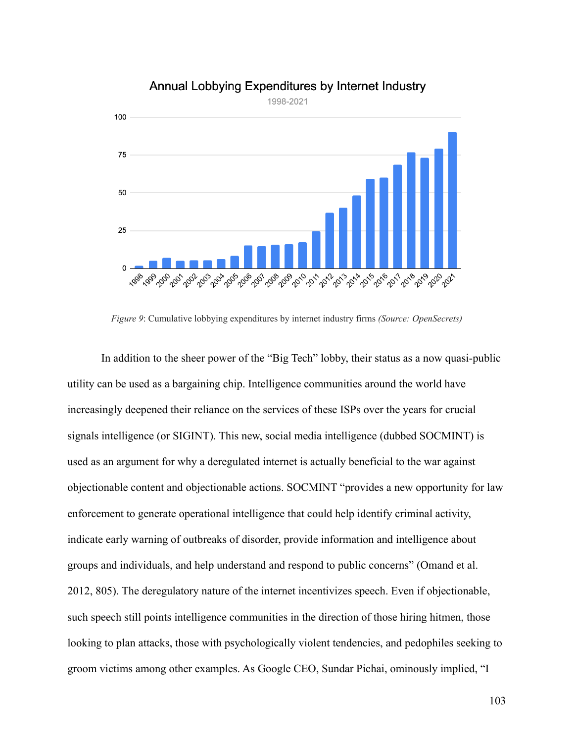

# Annual Lobbying Expenditures by Internet Industry

*Figure 9*: Cumulative lobbying expenditures by internet industry firms *(Source: OpenSecrets)*

In addition to the sheer power of the "Big Tech" lobby, their status as a now quasi-public utility can be used as a bargaining chip. Intelligence communities around the world have increasingly deepened their reliance on the services of these ISPs over the years for crucial signals intelligence (or SIGINT). This new, social media intelligence (dubbed SOCMINT) is used as an argument for why a deregulated internet is actually beneficial to the war against objectionable content and objectionable actions. SOCMINT "provides a new opportunity for law enforcement to generate operational intelligence that could help identify criminal activity, indicate early warning of outbreaks of disorder, provide information and intelligence about groups and individuals, and help understand and respond to public concerns" (Omand et al. 2012, 805). The deregulatory nature of the internet incentivizes speech. Even if objectionable, such speech still points intelligence communities in the direction of those hiring hitmen, those looking to plan attacks, those with psychologically violent tendencies, and pedophiles seeking to groom victims among other examples. As Google CEO, Sundar Pichai, ominously implied, "I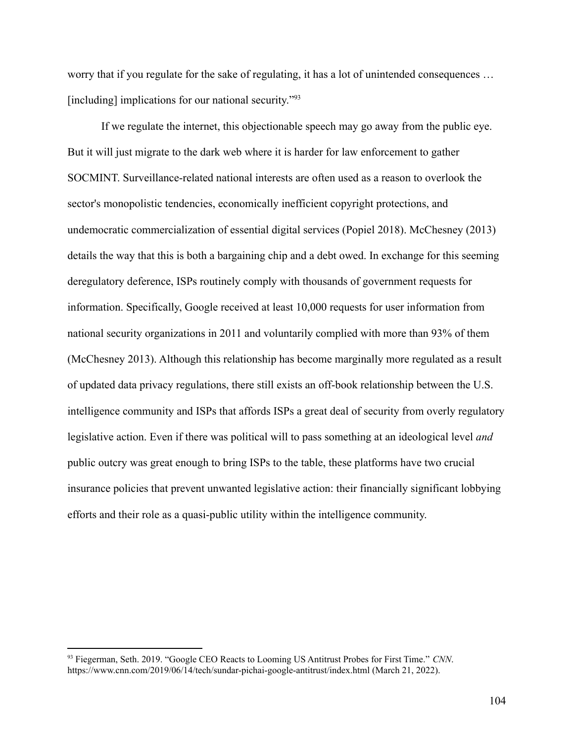worry that if you regulate for the sake of regulating, it has a lot of unintended consequences … [including] implications for our national security."<sup>93</sup>

If we regulate the internet, this objectionable speech may go away from the public eye. But it will just migrate to the dark web where it is harder for law enforcement to gather SOCMINT. Surveillance-related national interests are often used as a reason to overlook the sector's monopolistic tendencies, economically inefficient copyright protections, and undemocratic commercialization of essential digital services (Popiel 2018). McChesney (2013) details the way that this is both a bargaining chip and a debt owed. In exchange for this seeming deregulatory deference, ISPs routinely comply with thousands of government requests for information. Specifically, Google received at least 10,000 requests for user information from national security organizations in 2011 and voluntarily complied with more than 93% of them (McChesney 2013). Although this relationship has become marginally more regulated as a result of updated data privacy regulations, there still exists an off-book relationship between the U.S. intelligence community and ISPs that affords ISPs a great deal of security from overly regulatory legislative action. Even if there was political will to pass something at an ideological level *and* public outcry was great enough to bring ISPs to the table, these platforms have two crucial insurance policies that prevent unwanted legislative action: their financially significant lobbying efforts and their role as a quasi-public utility within the intelligence community.

<sup>93</sup> Fiegerman, Seth. 2019. "Google CEO Reacts to Looming US Antitrust Probes for First Time." *CNN*. https://www.cnn.com/2019/06/14/tech/sundar-pichai-google-antitrust/index.html (March 21, 2022).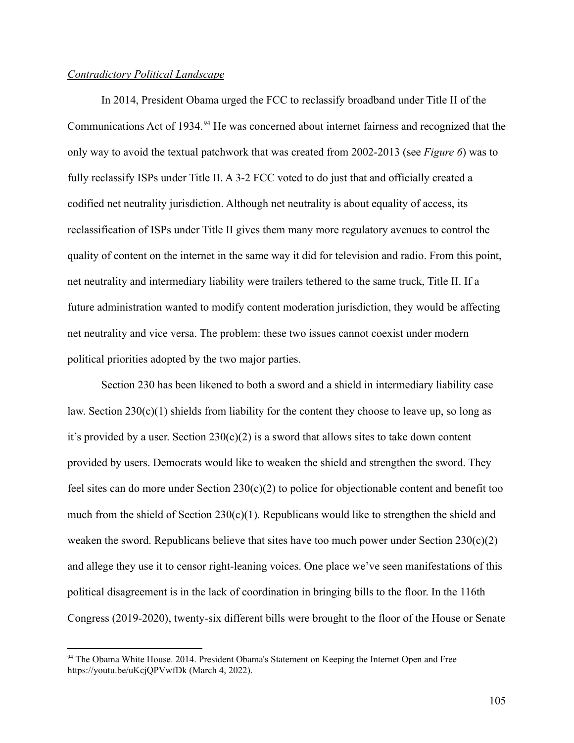### *Contradictory Political Landscape*

In 2014, President Obama urged the FCC to reclassify broadband under Title II of the Communications Act of 1934.<sup>94</sup> He was concerned about internet fairness and recognized that the only way to avoid the textual patchwork that was created from 2002-2013 (see *Figure 6*) was to fully reclassify ISPs under Title II. A 3-2 FCC voted to do just that and officially created a codified net neutrality jurisdiction. Although net neutrality is about equality of access, its reclassification of ISPs under Title II gives them many more regulatory avenues to control the quality of content on the internet in the same way it did for television and radio. From this point, net neutrality and intermediary liability were trailers tethered to the same truck, Title II. If a future administration wanted to modify content moderation jurisdiction, they would be affecting net neutrality and vice versa. The problem: these two issues cannot coexist under modern political priorities adopted by the two major parties.

Section 230 has been likened to both a sword and a shield in intermediary liability case law. Section  $230(c)(1)$  shields from liability for the content they choose to leave up, so long as it's provided by a user. Section  $230(c)(2)$  is a sword that allows sites to take down content provided by users. Democrats would like to weaken the shield and strengthen the sword. They feel sites can do more under Section  $230(c)(2)$  to police for objectionable content and benefit too much from the shield of Section  $230(c)(1)$ . Republicans would like to strengthen the shield and weaken the sword. Republicans believe that sites have too much power under Section  $230(c)(2)$ and allege they use it to censor right-leaning voices. One place we've seen manifestations of this political disagreement is in the lack of coordination in bringing bills to the floor. In the 116th Congress (2019-2020), twenty-six different bills were brought to the floor of the House or Senate

<sup>&</sup>lt;sup>94</sup> The Obama White House. 2014. President Obama's Statement on Keeping the Internet Open and Free https://youtu.be/uKcjQPVwfDk (March 4, 2022).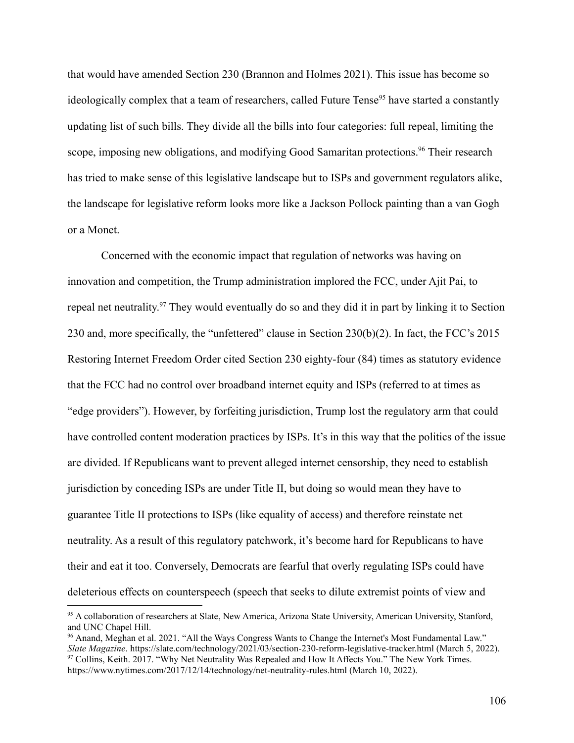that would have amended Section 230 (Brannon and Holmes 2021). This issue has become so ideologically complex that a team of researchers, called Future Tense<sup>95</sup> have started a constantly updating list of such bills. They divide all the bills into four categories: full repeal, limiting the scope, imposing new obligations, and modifying Good Samaritan protections.<sup>96</sup> Their research has tried to make sense of this legislative landscape but to ISPs and government regulators alike, the landscape for legislative reform looks more like a Jackson Pollock painting than a van Gogh or a Monet.

Concerned with the economic impact that regulation of networks was having on innovation and competition, the Trump administration implored the FCC, under Ajit Pai, to repeal net neutrality.<sup>97</sup> They would eventually do so and they did it in part by linking it to Section 230 and, more specifically, the "unfettered" clause in Section 230(b)(2). In fact, the FCC's 2015 Restoring Internet Freedom Order cited Section 230 eighty-four (84) times as statutory evidence that the FCC had no control over broadband internet equity and ISPs (referred to at times as "edge providers"). However, by forfeiting jurisdiction, Trump lost the regulatory arm that could have controlled content moderation practices by ISPs. It's in this way that the politics of the issue are divided. If Republicans want to prevent alleged internet censorship, they need to establish jurisdiction by conceding ISPs are under Title II, but doing so would mean they have to guarantee Title II protections to ISPs (like equality of access) and therefore reinstate net neutrality. As a result of this regulatory patchwork, it's become hard for Republicans to have their and eat it too. Conversely, Democrats are fearful that overly regulating ISPs could have deleterious effects on counterspeech (speech that seeks to dilute extremist points of view and

<sup>95</sup> A collaboration of researchers at Slate, New America, Arizona State University, American University, Stanford, and UNC Chapel Hill.

<sup>&</sup>lt;sup>97</sup> Collins, Keith. 2017. "Why Net Neutrality Was Repealed and How It Affects You." The New York Times. https://www.nytimes.com/2017/12/14/technology/net-neutrality-rules.html (March 10, 2022). <sup>96</sup> Anand, Meghan et al. 2021. "All the Ways Congress Wants to Change the Internet's Most Fundamental Law." *Slate Magazine*. https://slate.com/technology/2021/03/section-230-reform-legislative-tracker.html (March 5, 2022).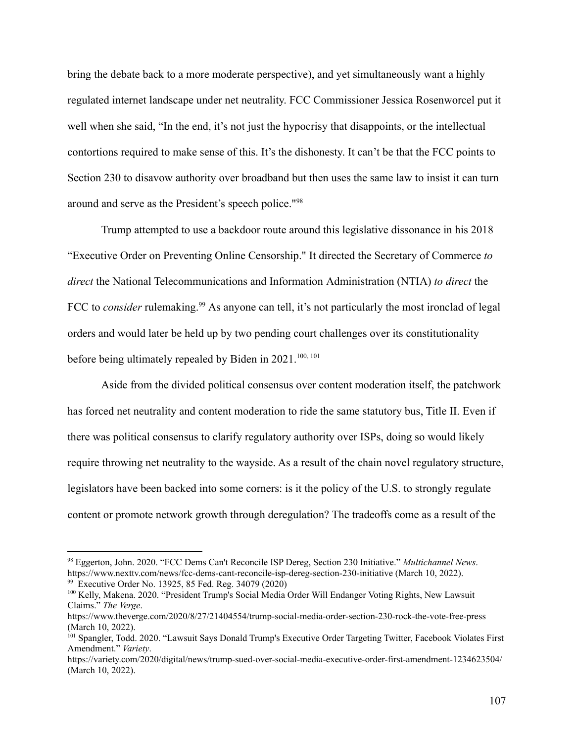bring the debate back to a more moderate perspective), and yet simultaneously want a highly regulated internet landscape under net neutrality. FCC Commissioner Jessica Rosenworcel put it well when she said, "In the end, it's not just the hypocrisy that disappoints, or the intellectual contortions required to make sense of this. It's the dishonesty. It can't be that the FCC points to Section 230 to disavow authority over broadband but then uses the same law to insist it can turn around and serve as the President's speech police."<sup>98</sup>

Trump attempted to use a backdoor route around this legislative dissonance in his 2018 "Executive Order on Preventing Online Censorship." It directed the Secretary of Commerce *to direct* the National Telecommunications and Information Administration (NTIA) *to direct* the FCC to *consider* rulemaking.<sup>99</sup> As anyone can tell, it's not particularly the most ironclad of legal orders and would later be held up by two pending court challenges over its constitutionality before being ultimately repealed by Biden in 2021.<sup>100, 101</sup>

Aside from the divided political consensus over content moderation itself, the patchwork has forced net neutrality and content moderation to ride the same statutory bus, Title II. Even if there was political consensus to clarify regulatory authority over ISPs, doing so would likely require throwing net neutrality to the wayside. As a result of the chain novel regulatory structure, legislators have been backed into some corners: is it the policy of the U.S. to strongly regulate content or promote network growth through deregulation? The tradeoffs come as a result of the

<sup>&</sup>lt;sup>99</sup> Executive Order No. 13925, 85 Fed. Reg. 34079 (2020) <sup>98</sup> Eggerton, John. 2020. "FCC Dems Can't Reconcile ISP Dereg, Section 230 Initiative." *Multichannel News*. https://www.nexttv.com/news/fcc-dems-cant-reconcile-isp-dereg-section-230-initiative (March 10, 2022).

<sup>&</sup>lt;sup>100</sup> Kelly, Makena. 2020. "President Trump's Social Media Order Will Endanger Voting Rights, New Lawsuit Claims." *The Verge*.

https://www.theverge.com/2020/8/27/21404554/trump-social-media-order-section-230-rock-the-vote-free-press (March 10, 2022).

<sup>&</sup>lt;sup>101</sup> Spangler, Todd. 2020. "Lawsuit Says Donald Trump's Executive Order Targeting Twitter, Facebook Violates First Amendment." *Variety*.

https://variety.com/2020/digital/news/trump-sued-over-social-media-executive-order-first-amendment-1234623504/ (March 10, 2022).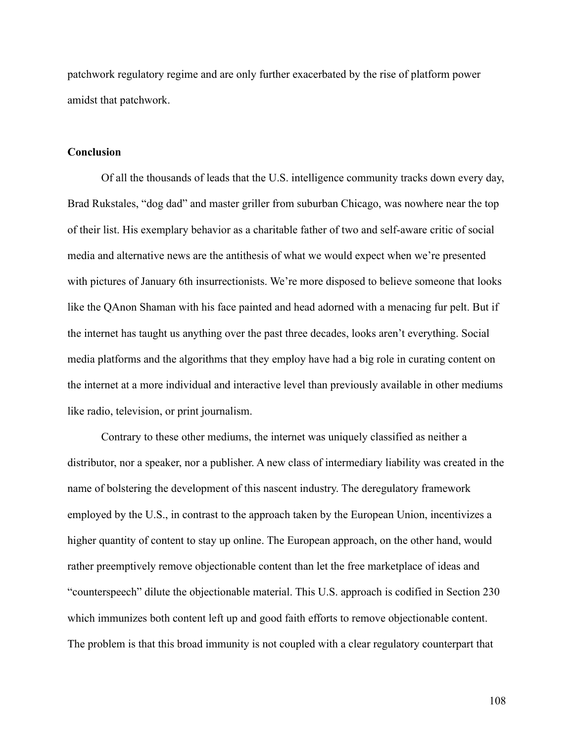patchwork regulatory regime and are only further exacerbated by the rise of platform power amidst that patchwork.

#### **Conclusion**

Of all the thousands of leads that the U.S. intelligence community tracks down every day, Brad Rukstales, "dog dad" and master griller from suburban Chicago, was nowhere near the top of their list. His exemplary behavior as a charitable father of two and self-aware critic of social media and alternative news are the antithesis of what we would expect when we're presented with pictures of January 6th insurrectionists. We're more disposed to believe someone that looks like the QAnon Shaman with his face painted and head adorned with a menacing fur pelt. But if the internet has taught us anything over the past three decades, looks aren't everything. Social media platforms and the algorithms that they employ have had a big role in curating content on the internet at a more individual and interactive level than previously available in other mediums like radio, television, or print journalism.

Contrary to these other mediums, the internet was uniquely classified as neither a distributor, nor a speaker, nor a publisher. A new class of intermediary liability was created in the name of bolstering the development of this nascent industry. The deregulatory framework employed by the U.S., in contrast to the approach taken by the European Union, incentivizes a higher quantity of content to stay up online. The European approach, on the other hand, would rather preemptively remove objectionable content than let the free marketplace of ideas and "counterspeech" dilute the objectionable material. This U.S. approach is codified in Section 230 which immunizes both content left up and good faith efforts to remove objectionable content. The problem is that this broad immunity is not coupled with a clear regulatory counterpart that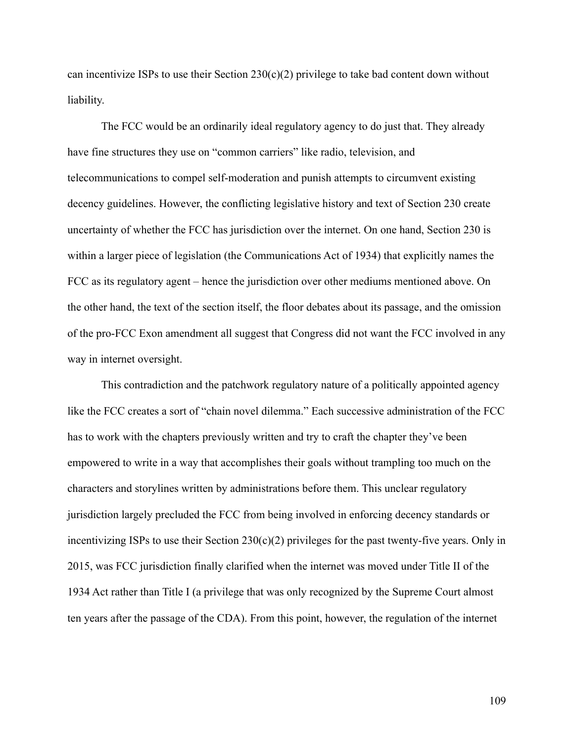can incentivize ISPs to use their Section  $230(c)(2)$  privilege to take bad content down without liability.

The FCC would be an ordinarily ideal regulatory agency to do just that. They already have fine structures they use on "common carriers" like radio, television, and telecommunications to compel self-moderation and punish attempts to circumvent existing decency guidelines. However, the conflicting legislative history and text of Section 230 create uncertainty of whether the FCC has jurisdiction over the internet. On one hand, Section 230 is within a larger piece of legislation (the Communications Act of 1934) that explicitly names the FCC as its regulatory agent – hence the jurisdiction over other mediums mentioned above. On the other hand, the text of the section itself, the floor debates about its passage, and the omission of the pro-FCC Exon amendment all suggest that Congress did not want the FCC involved in any way in internet oversight.

This contradiction and the patchwork regulatory nature of a politically appointed agency like the FCC creates a sort of "chain novel dilemma." Each successive administration of the FCC has to work with the chapters previously written and try to craft the chapter they've been empowered to write in a way that accomplishes their goals without trampling too much on the characters and storylines written by administrations before them. This unclear regulatory jurisdiction largely precluded the FCC from being involved in enforcing decency standards or incentivizing ISPs to use their Section  $230(c)(2)$  privileges for the past twenty-five years. Only in 2015, was FCC jurisdiction finally clarified when the internet was moved under Title II of the 1934 Act rather than Title I (a privilege that was only recognized by the Supreme Court almost ten years after the passage of the CDA). From this point, however, the regulation of the internet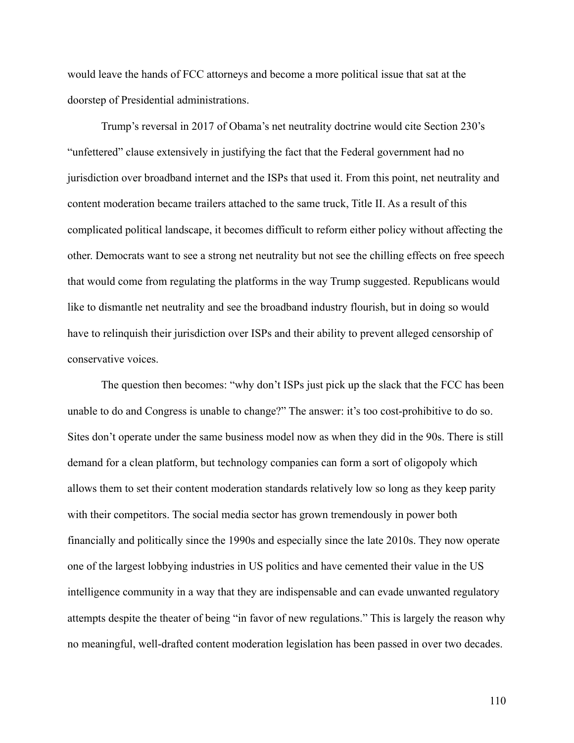would leave the hands of FCC attorneys and become a more political issue that sat at the doorstep of Presidential administrations.

Trump's reversal in 2017 of Obama's net neutrality doctrine would cite Section 230's "unfettered" clause extensively in justifying the fact that the Federal government had no jurisdiction over broadband internet and the ISPs that used it. From this point, net neutrality and content moderation became trailers attached to the same truck, Title II. As a result of this complicated political landscape, it becomes difficult to reform either policy without affecting the other. Democrats want to see a strong net neutrality but not see the chilling effects on free speech that would come from regulating the platforms in the way Trump suggested. Republicans would like to dismantle net neutrality and see the broadband industry flourish, but in doing so would have to relinquish their jurisdiction over ISPs and their ability to prevent alleged censorship of conservative voices.

The question then becomes: "why don't ISPs just pick up the slack that the FCC has been unable to do and Congress is unable to change?" The answer: it's too cost-prohibitive to do so. Sites don't operate under the same business model now as when they did in the 90s. There is still demand for a clean platform, but technology companies can form a sort of oligopoly which allows them to set their content moderation standards relatively low so long as they keep parity with their competitors. The social media sector has grown tremendously in power both financially and politically since the 1990s and especially since the late 2010s. They now operate one of the largest lobbying industries in US politics and have cemented their value in the US intelligence community in a way that they are indispensable and can evade unwanted regulatory attempts despite the theater of being "in favor of new regulations." This is largely the reason why no meaningful, well-drafted content moderation legislation has been passed in over two decades.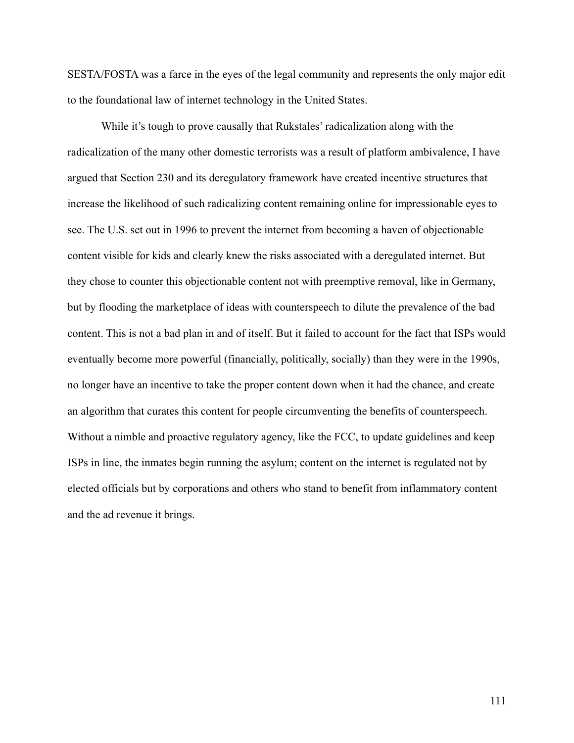SESTA/FOSTA was a farce in the eyes of the legal community and represents the only major edit to the foundational law of internet technology in the United States.

While it's tough to prove causally that Rukstales' radicalization along with the radicalization of the many other domestic terrorists was a result of platform ambivalence, I have argued that Section 230 and its deregulatory framework have created incentive structures that increase the likelihood of such radicalizing content remaining online for impressionable eyes to see. The U.S. set out in 1996 to prevent the internet from becoming a haven of objectionable content visible for kids and clearly knew the risks associated with a deregulated internet. But they chose to counter this objectionable content not with preemptive removal, like in Germany, but by flooding the marketplace of ideas with counterspeech to dilute the prevalence of the bad content. This is not a bad plan in and of itself. But it failed to account for the fact that ISPs would eventually become more powerful (financially, politically, socially) than they were in the 1990s, no longer have an incentive to take the proper content down when it had the chance, and create an algorithm that curates this content for people circumventing the benefits of counterspeech. Without a nimble and proactive regulatory agency, like the FCC, to update guidelines and keep ISPs in line, the inmates begin running the asylum; content on the internet is regulated not by elected officials but by corporations and others who stand to benefit from inflammatory content and the ad revenue it brings.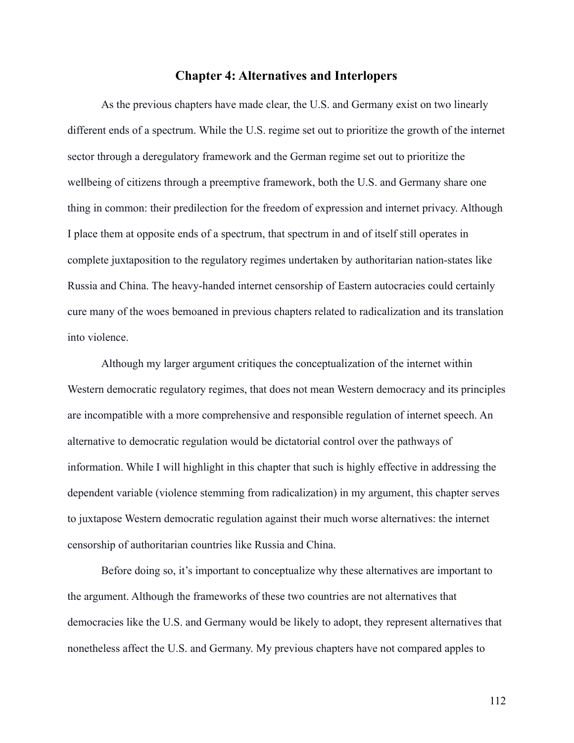### **Chapter 4: Alternatives and Interlopers**

As the previous chapters have made clear, the U.S. and Germany exist on two linearly different ends of a spectrum. While the U.S. regime set out to prioritize the growth of the internet sector through a deregulatory framework and the German regime set out to prioritize the wellbeing of citizens through a preemptive framework, both the U.S. and Germany share one thing in common: their predilection for the freedom of expression and internet privacy. Although I place them at opposite ends of a spectrum, that spectrum in and of itself still operates in complete juxtaposition to the regulatory regimes undertaken by authoritarian nation-states like Russia and China. The heavy-handed internet censorship of Eastern autocracies could certainly cure many of the woes bemoaned in previous chapters related to radicalization and its translation into violence.

Although my larger argument critiques the conceptualization of the internet within Western democratic regulatory regimes, that does not mean Western democracy and its principles are incompatible with a more comprehensive and responsible regulation of internet speech. An alternative to democratic regulation would be dictatorial control over the pathways of information. While I will highlight in this chapter that such is highly effective in addressing the dependent variable (violence stemming from radicalization) in my argument, this chapter serves to juxtapose Western democratic regulation against their much worse alternatives: the internet censorship of authoritarian countries like Russia and China.

Before doing so, it's important to conceptualize why these alternatives are important to the argument. Although the frameworks of these two countries are not alternatives that democracies like the U.S. and Germany would be likely to adopt, they represent alternatives that nonetheless affect the U.S. and Germany. My previous chapters have not compared apples to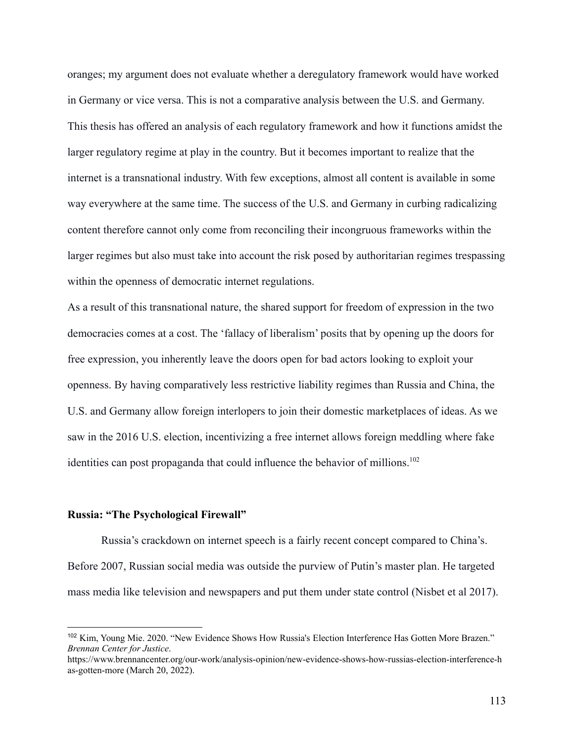oranges; my argument does not evaluate whether a deregulatory framework would have worked in Germany or vice versa. This is not a comparative analysis between the U.S. and Germany. This thesis has offered an analysis of each regulatory framework and how it functions amidst the larger regulatory regime at play in the country. But it becomes important to realize that the internet is a transnational industry. With few exceptions, almost all content is available in some way everywhere at the same time. The success of the U.S. and Germany in curbing radicalizing content therefore cannot only come from reconciling their incongruous frameworks within the larger regimes but also must take into account the risk posed by authoritarian regimes trespassing within the openness of democratic internet regulations.

As a result of this transnational nature, the shared support for freedom of expression in the two democracies comes at a cost. The 'fallacy of liberalism' posits that by opening up the doors for free expression, you inherently leave the doors open for bad actors looking to exploit your openness. By having comparatively less restrictive liability regimes than Russia and China, the U.S. and Germany allow foreign interlopers to join their domestic marketplaces of ideas. As we saw in the 2016 U.S. election, incentivizing a free internet allows foreign meddling where fake identities can post propaganda that could influence the behavior of millions.<sup>102</sup>

#### **Russia: "The Psychological Firewall"**

Russia's crackdown on internet speech is a fairly recent concept compared to China's. Before 2007, Russian social media was outside the purview of Putin's master plan. He targeted mass media like television and newspapers and put them under state control (Nisbet et al 2017).

<sup>102</sup> Kim, Young Mie. 2020. "New Evidence Shows How Russia's Election Interference Has Gotten More Brazen." *Brennan Center for Justice*.

https://www.brennancenter.org/our-work/analysis-opinion/new-evidence-shows-how-russias-election-interference-h as-gotten-more (March 20, 2022).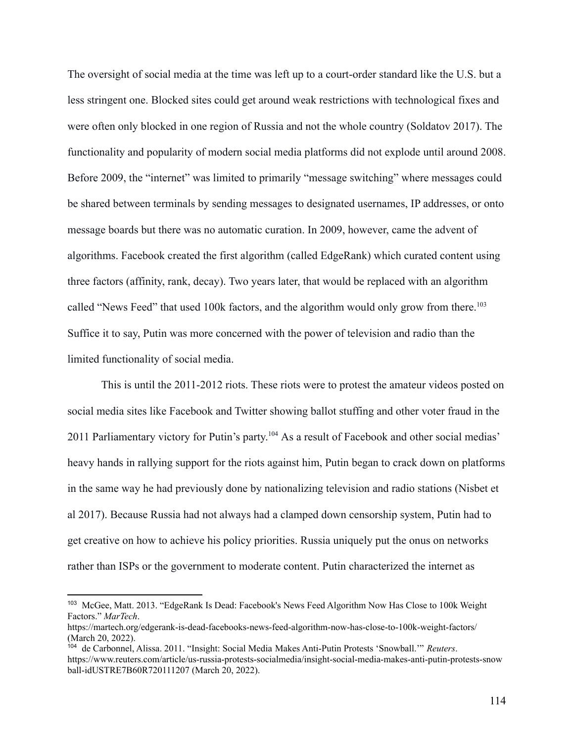The oversight of social media at the time was left up to a court-order standard like the U.S. but a less stringent one. Blocked sites could get around weak restrictions with technological fixes and were often only blocked in one region of Russia and not the whole country (Soldatov 2017). The functionality and popularity of modern social media platforms did not explode until around 2008. Before 2009, the "internet" was limited to primarily "message switching" where messages could be shared between terminals by sending messages to designated usernames, IP addresses, or onto message boards but there was no automatic curation. In 2009, however, came the advent of algorithms. Facebook created the first algorithm (called EdgeRank) which curated content using three factors (affinity, rank, decay). Two years later, that would be replaced with an algorithm called "News Feed" that used 100k factors, and the algorithm would only grow from there.<sup>103</sup> Suffice it to say, Putin was more concerned with the power of television and radio than the limited functionality of social media.

This is until the 2011-2012 riots. These riots were to protest the amateur videos posted on social media sites like Facebook and Twitter showing ballot stuffing and other voter fraud in the 2011 Parliamentary victory for Putin's party. <sup>104</sup> As a result of Facebook and other social medias' heavy hands in rallying support for the riots against him, Putin began to crack down on platforms in the same way he had previously done by nationalizing television and radio stations (Nisbet et al 2017). Because Russia had not always had a clamped down censorship system, Putin had to get creative on how to achieve his policy priorities. Russia uniquely put the onus on networks rather than ISPs or the government to moderate content. Putin characterized the internet as

<sup>103</sup> McGee, Matt. 2013. "EdgeRank Is Dead: Facebook's News Feed Algorithm Now Has Close to 100k Weight Factors." *MarTech*.

https://martech.org/edgerank-is-dead-facebooks-news-feed-algorithm-now-has-close-to-100k-weight-factors/ (March 20, 2022).

<sup>104</sup> de Carbonnel, Alissa. 2011. "Insight: Social Media Makes Anti-Putin Protests 'Snowball.'" *Reuters*. https://www.reuters.com/article/us-russia-protests-socialmedia/insight-social-media-makes-anti-putin-protests-snow ball-idUSTRE7B60R720111207 (March 20, 2022).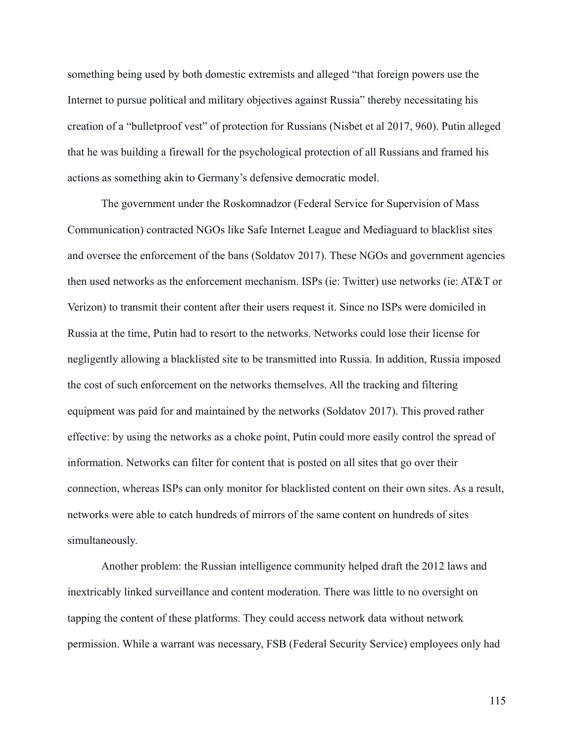something being used by both domestic extremists and alleged "that foreign powers use the Internet to pursue political and military objectives against Russia" thereby necessitating his creation of a "bulletproof vest" of protection for Russians (Nisbet et al 2017, 960). Putin alleged that he was building a firewall for the psychological protection of all Russians and framed his actions as something akin to Germany's defensive democratic model.

The government under the Roskomnadzor (Federal Service for Supervision of Mass Communication) contracted NGOs like Safe Internet League and Mediaguard to blacklist sites and oversee the enforcement of the bans (Soldatov 2017). These NGOs and government agencies then used networks as the enforcement mechanism. ISPs (ie: Twitter) use networks (ie: AT&T or Verizon) to transmit their content after their users request it. Since no ISPs were domiciled in Russia at the time, Putin had to resort to the networks. Networks could lose their license for negligently allowing a blacklisted site to be transmitted into Russia. In addition, Russia imposed the cost of such enforcement on the networks themselves. All the tracking and filtering equipment was paid for and maintained by the networks (Soldatov 2017). This proved rather effective: by using the networks as a choke point, Putin could more easily control the spread of information. Networks can filter for content that is posted on all sites that go over their connection, whereas ISPs can only monitor for blacklisted content on their own sites. As a result, networks were able to catch hundreds of mirrors of the same content on hundreds of sites simultaneously.

Another problem: the Russian intelligence community helped draft the 2012 laws and inextricably linked surveillance and content moderation. There was little to no oversight on tapping the content of these platforms. They could access network data without network permission. While a warrant was necessary, FSB (Federal Security Service) employees only had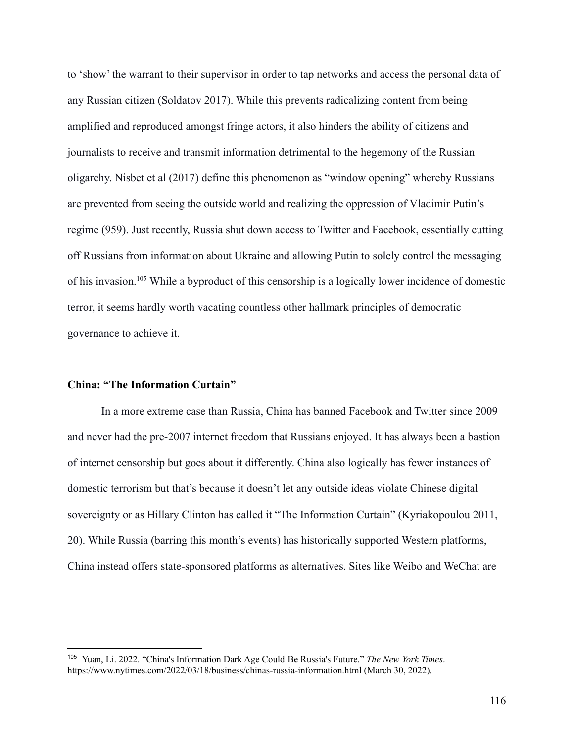to 'show' the warrant to their supervisor in order to tap networks and access the personal data of any Russian citizen (Soldatov 2017). While this prevents radicalizing content from being amplified and reproduced amongst fringe actors, it also hinders the ability of citizens and journalists to receive and transmit information detrimental to the hegemony of the Russian oligarchy. Nisbet et al (2017) define this phenomenon as "window opening" whereby Russians are prevented from seeing the outside world and realizing the oppression of Vladimir Putin's regime (959). Just recently, Russia shut down access to Twitter and Facebook, essentially cutting off Russians from information about Ukraine and allowing Putin to solely control the messaging of his invasion.<sup>105</sup> While a byproduct of this censorship is a logically lower incidence of domestic terror, it seems hardly worth vacating countless other hallmark principles of democratic governance to achieve it.

### **China: "The Information Curtain"**

In a more extreme case than Russia, China has banned Facebook and Twitter since 2009 and never had the pre-2007 internet freedom that Russians enjoyed. It has always been a bastion of internet censorship but goes about it differently. China also logically has fewer instances of domestic terrorism but that's because it doesn't let any outside ideas violate Chinese digital sovereignty or as Hillary Clinton has called it "The Information Curtain" (Kyriakopoulou 2011, 20). While Russia (barring this month's events) has historically supported Western platforms, China instead offers state-sponsored platforms as alternatives. Sites like Weibo and WeChat are

<sup>105</sup> Yuan, Li. 2022. "China's Information Dark Age Could Be Russia's Future." *The New York Times*. https://www.nytimes.com/2022/03/18/business/chinas-russia-information.html (March 30, 2022).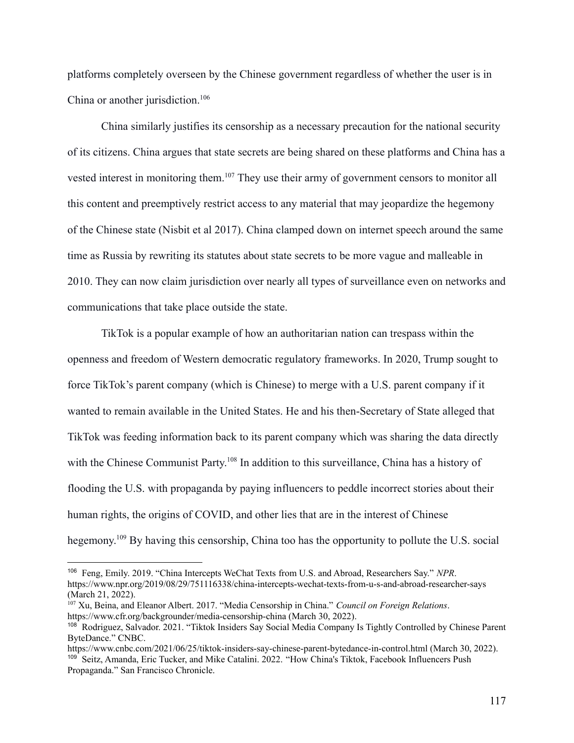platforms completely overseen by the Chinese government regardless of whether the user is in China or another jurisdiction.<sup>106</sup>

China similarly justifies its censorship as a necessary precaution for the national security of its citizens. China argues that state secrets are being shared on these platforms and China has a vested interest in monitoring them.<sup>107</sup> They use their army of government censors to monitor all this content and preemptively restrict access to any material that may jeopardize the hegemony of the Chinese state (Nisbit et al 2017). China clamped down on internet speech around the same time as Russia by rewriting its statutes about state secrets to be more vague and malleable in 2010. They can now claim jurisdiction over nearly all types of surveillance even on networks and communications that take place outside the state.

TikTok is a popular example of how an authoritarian nation can trespass within the openness and freedom of Western democratic regulatory frameworks. In 2020, Trump sought to force TikTok's parent company (which is Chinese) to merge with a U.S. parent company if it wanted to remain available in the United States. He and his then-Secretary of State alleged that TikTok was feeding information back to its parent company which was sharing the data directly with the Chinese Communist Party.<sup>108</sup> In addition to this surveillance, China has a history of flooding the U.S. with propaganda by paying influencers to peddle incorrect stories about their human rights, the origins of COVID, and other lies that are in the interest of Chinese hegemony.<sup>109</sup> By having this censorship, China too has the opportunity to pollute the U.S. social

<sup>106</sup> Feng, Emily. 2019. "China Intercepts WeChat Texts from U.S. and Abroad, Researchers Say." *NPR*. https://www.npr.org/2019/08/29/751116338/china-intercepts-wechat-texts-from-u-s-and-abroad-researcher-says (March 21, 2022).

<sup>107</sup> Xu, Beina, and Eleanor Albert. 2017. "Media Censorship in China." *Council on Foreign Relations*. https://www.cfr.org/backgrounder/media-censorship-china (March 30, 2022).

<sup>108</sup> Rodriguez, Salvador. 2021. "Tiktok Insiders Say Social Media Company Is Tightly Controlled by Chinese Parent ByteDance." CNBC.

<sup>&</sup>lt;sup>109</sup> Seitz, Amanda, Eric Tucker, and Mike Catalini. 2022. "How China's Tiktok, Facebook Influencers Push Propaganda." San Francisco Chronicle. https://www.cnbc.com/2021/06/25/tiktok-insiders-say-chinese-parent-bytedance-in-control.html (March 30, 2022).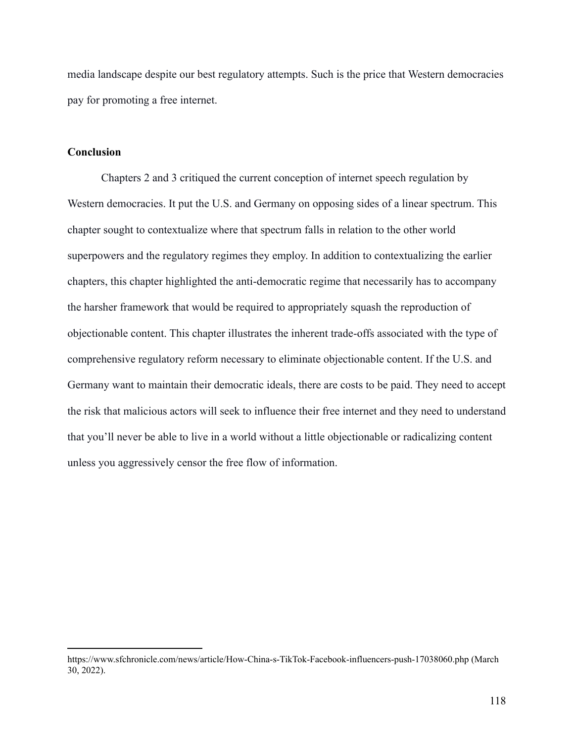media landscape despite our best regulatory attempts. Such is the price that Western democracies pay for promoting a free internet.

#### **Conclusion**

Chapters 2 and 3 critiqued the current conception of internet speech regulation by Western democracies. It put the U.S. and Germany on opposing sides of a linear spectrum. This chapter sought to contextualize where that spectrum falls in relation to the other world superpowers and the regulatory regimes they employ. In addition to contextualizing the earlier chapters, this chapter highlighted the anti-democratic regime that necessarily has to accompany the harsher framework that would be required to appropriately squash the reproduction of objectionable content. This chapter illustrates the inherent trade-offs associated with the type of comprehensive regulatory reform necessary to eliminate objectionable content. If the U.S. and Germany want to maintain their democratic ideals, there are costs to be paid. They need to accept the risk that malicious actors will seek to influence their free internet and they need to understand that you'll never be able to live in a world without a little objectionable or radicalizing content unless you aggressively censor the free flow of information.

https://www.sfchronicle.com/news/article/How-China-s-TikTok-Facebook-influencers-push-17038060.php (March 30, 2022).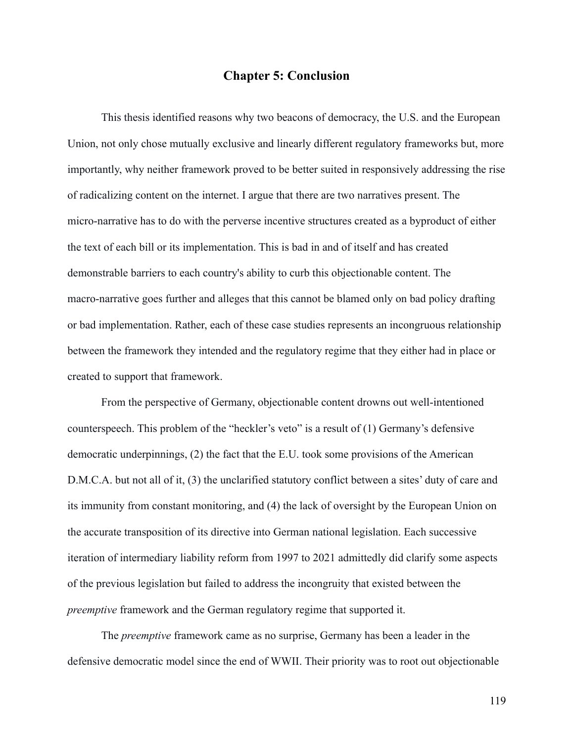### **Chapter 5: Conclusion**

This thesis identified reasons why two beacons of democracy, the U.S. and the European Union, not only chose mutually exclusive and linearly different regulatory frameworks but, more importantly, why neither framework proved to be better suited in responsively addressing the rise of radicalizing content on the internet. I argue that there are two narratives present. The micro-narrative has to do with the perverse incentive structures created as a byproduct of either the text of each bill or its implementation. This is bad in and of itself and has created demonstrable barriers to each country's ability to curb this objectionable content. The macro-narrative goes further and alleges that this cannot be blamed only on bad policy drafting or bad implementation. Rather, each of these case studies represents an incongruous relationship between the framework they intended and the regulatory regime that they either had in place or created to support that framework.

From the perspective of Germany, objectionable content drowns out well-intentioned counterspeech. This problem of the "heckler's veto" is a result of (1) Germany's defensive democratic underpinnings, (2) the fact that the E.U. took some provisions of the American D.M.C.A. but not all of it, (3) the unclarified statutory conflict between a sites' duty of care and its immunity from constant monitoring, and (4) the lack of oversight by the European Union on the accurate transposition of its directive into German national legislation. Each successive iteration of intermediary liability reform from 1997 to 2021 admittedly did clarify some aspects of the previous legislation but failed to address the incongruity that existed between the *preemptive* framework and the German regulatory regime that supported it.

The *preemptive* framework came as no surprise, Germany has been a leader in the defensive democratic model since the end of WWII. Their priority was to root out objectionable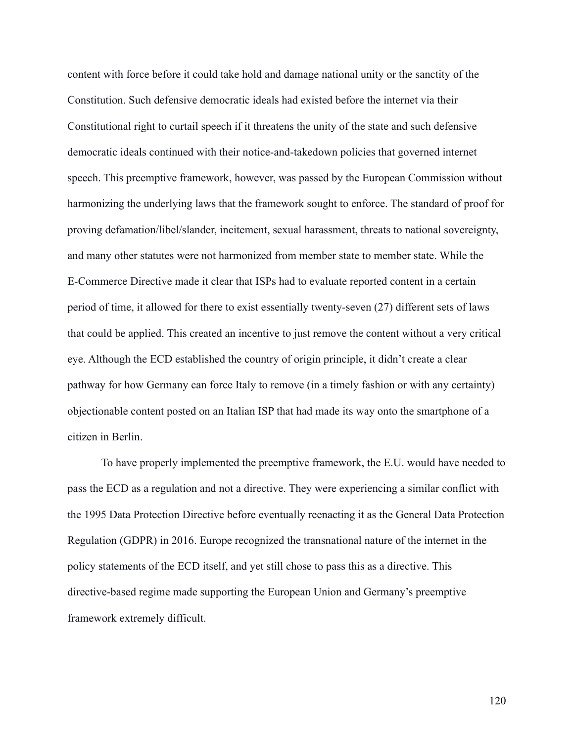content with force before it could take hold and damage national unity or the sanctity of the Constitution. Such defensive democratic ideals had existed before the internet via their Constitutional right to curtail speech if it threatens the unity of the state and such defensive democratic ideals continued with their notice-and-takedown policies that governed internet speech. This preemptive framework, however, was passed by the European Commission without harmonizing the underlying laws that the framework sought to enforce. The standard of proof for proving defamation/libel/slander, incitement, sexual harassment, threats to national sovereignty, and many other statutes were not harmonized from member state to member state. While the E-Commerce Directive made it clear that ISPs had to evaluate reported content in a certain period of time, it allowed for there to exist essentially twenty-seven (27) different sets of laws that could be applied. This created an incentive to just remove the content without a very critical eye. Although the ECD established the country of origin principle, it didn't create a clear pathway for how Germany can force Italy to remove (in a timely fashion or with any certainty) objectionable content posted on an Italian ISP that had made its way onto the smartphone of a citizen in Berlin.

To have properly implemented the preemptive framework, the E.U. would have needed to pass the ECD as a regulation and not a directive. They were experiencing a similar conflict with the 1995 Data Protection Directive before eventually reenacting it as the General Data Protection Regulation (GDPR) in 2016. Europe recognized the transnational nature of the internet in the policy statements of the ECD itself, and yet still chose to pass this as a directive. This directive-based regime made supporting the European Union and Germany's preemptive framework extremely difficult.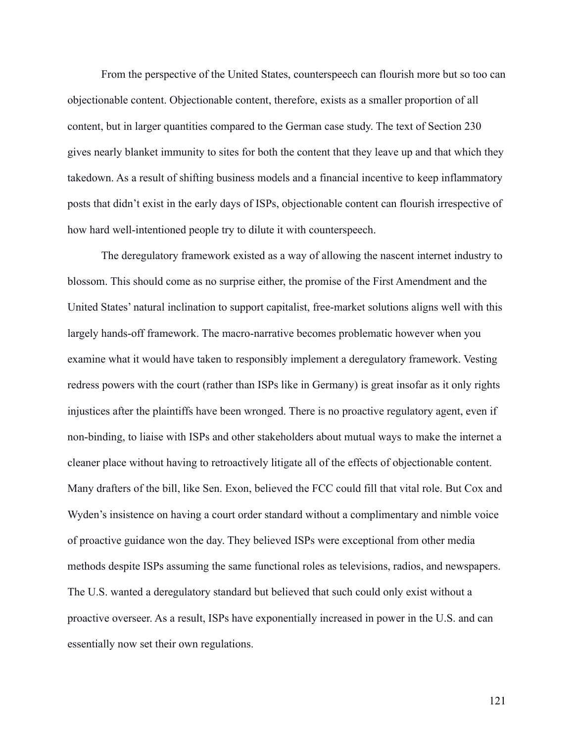From the perspective of the United States, counterspeech can flourish more but so too can objectionable content. Objectionable content, therefore, exists as a smaller proportion of all content, but in larger quantities compared to the German case study. The text of Section 230 gives nearly blanket immunity to sites for both the content that they leave up and that which they takedown. As a result of shifting business models and a financial incentive to keep inflammatory posts that didn't exist in the early days of ISPs, objectionable content can flourish irrespective of how hard well-intentioned people try to dilute it with counterspeech.

The deregulatory framework existed as a way of allowing the nascent internet industry to blossom. This should come as no surprise either, the promise of the First Amendment and the United States' natural inclination to support capitalist, free-market solutions aligns well with this largely hands-off framework. The macro-narrative becomes problematic however when you examine what it would have taken to responsibly implement a deregulatory framework. Vesting redress powers with the court (rather than ISPs like in Germany) is great insofar as it only rights injustices after the plaintiffs have been wronged. There is no proactive regulatory agent, even if non-binding, to liaise with ISPs and other stakeholders about mutual ways to make the internet a cleaner place without having to retroactively litigate all of the effects of objectionable content. Many drafters of the bill, like Sen. Exon, believed the FCC could fill that vital role. But Cox and Wyden's insistence on having a court order standard without a complimentary and nimble voice of proactive guidance won the day. They believed ISPs were exceptional from other media methods despite ISPs assuming the same functional roles as televisions, radios, and newspapers. The U.S. wanted a deregulatory standard but believed that such could only exist without a proactive overseer. As a result, ISPs have exponentially increased in power in the U.S. and can essentially now set their own regulations.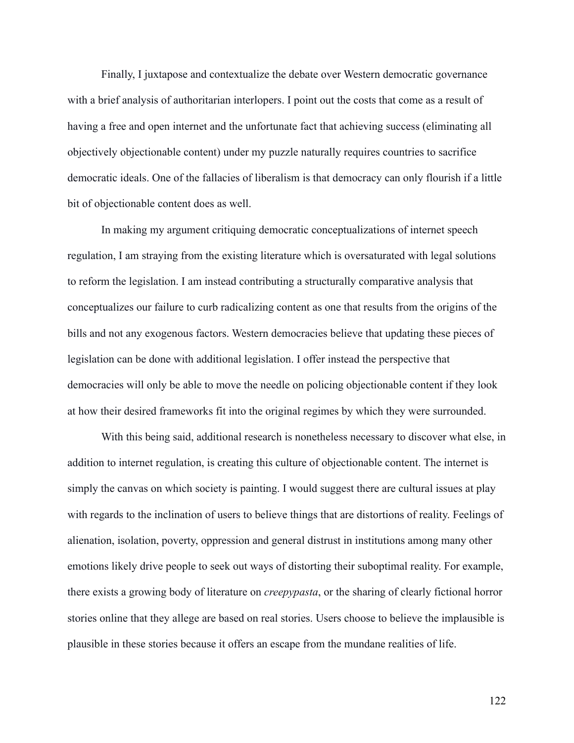Finally, I juxtapose and contextualize the debate over Western democratic governance with a brief analysis of authoritarian interlopers. I point out the costs that come as a result of having a free and open internet and the unfortunate fact that achieving success (eliminating all objectively objectionable content) under my puzzle naturally requires countries to sacrifice democratic ideals. One of the fallacies of liberalism is that democracy can only flourish if a little bit of objectionable content does as well.

In making my argument critiquing democratic conceptualizations of internet speech regulation, I am straying from the existing literature which is oversaturated with legal solutions to reform the legislation. I am instead contributing a structurally comparative analysis that conceptualizes our failure to curb radicalizing content as one that results from the origins of the bills and not any exogenous factors. Western democracies believe that updating these pieces of legislation can be done with additional legislation. I offer instead the perspective that democracies will only be able to move the needle on policing objectionable content if they look at how their desired frameworks fit into the original regimes by which they were surrounded.

With this being said, additional research is nonetheless necessary to discover what else, in addition to internet regulation, is creating this culture of objectionable content. The internet is simply the canvas on which society is painting. I would suggest there are cultural issues at play with regards to the inclination of users to believe things that are distortions of reality. Feelings of alienation, isolation, poverty, oppression and general distrust in institutions among many other emotions likely drive people to seek out ways of distorting their suboptimal reality. For example, there exists a growing body of literature on *creepypasta*, or the sharing of clearly fictional horror stories online that they allege are based on real stories. Users choose to believe the implausible is plausible in these stories because it offers an escape from the mundane realities of life.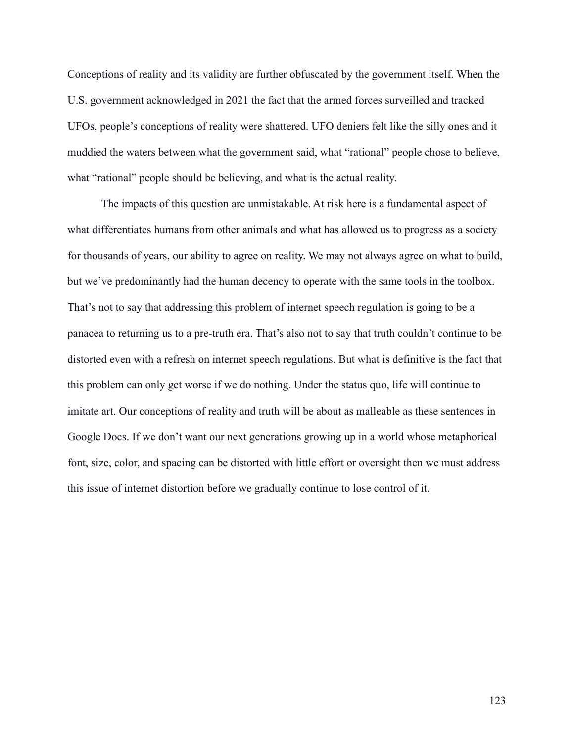Conceptions of reality and its validity are further obfuscated by the government itself. When the U.S. government acknowledged in 2021 the fact that the armed forces surveilled and tracked UFOs, people's conceptions of reality were shattered. UFO deniers felt like the silly ones and it muddied the waters between what the government said, what "rational" people chose to believe, what "rational" people should be believing, and what is the actual reality.

The impacts of this question are unmistakable. At risk here is a fundamental aspect of what differentiates humans from other animals and what has allowed us to progress as a society for thousands of years, our ability to agree on reality. We may not always agree on what to build, but we've predominantly had the human decency to operate with the same tools in the toolbox. That's not to say that addressing this problem of internet speech regulation is going to be a panacea to returning us to a pre-truth era. That's also not to say that truth couldn't continue to be distorted even with a refresh on internet speech regulations. But what is definitive is the fact that this problem can only get worse if we do nothing. Under the status quo, life will continue to imitate art. Our conceptions of reality and truth will be about as malleable as these sentences in Google Docs. If we don't want our next generations growing up in a world whose metaphorical font, size, color, and spacing can be distorted with little effort or oversight then we must address this issue of internet distortion before we gradually continue to lose control of it.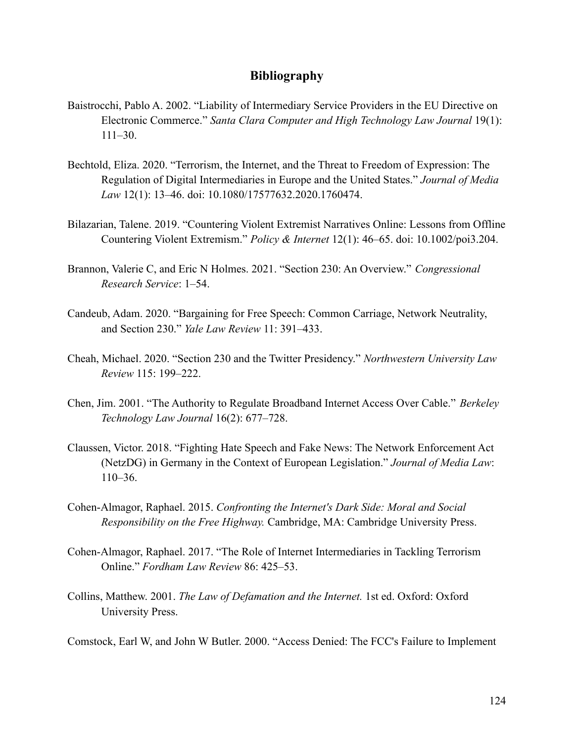## **Bibliography**

- Baistrocchi, Pablo A. 2002. "Liability of Intermediary Service Providers in the EU Directive on Electronic Commerce." *Santa Clara Computer and High Technology Law Journal* 19(1): 111–30.
- Bechtold, Eliza. 2020. "Terrorism, the Internet, and the Threat to Freedom of Expression: The Regulation of Digital Intermediaries in Europe and the United States." *Journal of Media Law* 12(1): 13–46. doi: 10.1080/17577632.2020.1760474.
- Bilazarian, Talene. 2019. "Countering Violent Extremist Narratives Online: Lessons from Offline Countering Violent Extremism." *Policy & Internet* 12(1): 46–65. doi: 10.1002/poi3.204.
- Brannon, Valerie C, and Eric N Holmes. 2021. "Section 230: An Overview." *Congressional Research Service*: 1–54.
- Candeub, Adam. 2020. "Bargaining for Free Speech: Common Carriage, Network Neutrality, and Section 230." *Yale Law Review* 11: 391–433.
- Cheah, Michael. 2020. "Section 230 and the Twitter Presidency." *Northwestern University Law Review* 115: 199–222.
- Chen, Jim. 2001. "The Authority to Regulate Broadband Internet Access Over Cable." *Berkeley Technology Law Journal* 16(2): 677–728.
- Claussen, Victor. 2018. "Fighting Hate Speech and Fake News: The Network Enforcement Act (NetzDG) in Germany in the Context of European Legislation." *Journal of Media Law*: 110–36.
- Cohen-Almagor, Raphael. 2015. *Confronting the Internet's Dark Side: Moral and Social Responsibility on the Free Highway.* Cambridge, MA: Cambridge University Press.
- Cohen-Almagor, Raphael. 2017. "The Role of Internet Intermediaries in Tackling Terrorism Online." *Fordham Law Review* 86: 425–53.
- Collins, Matthew. 2001. *The Law of Defamation and the Internet.* 1st ed. Oxford: Oxford University Press.
- Comstock, Earl W, and John W Butler. 2000. "Access Denied: The FCC's Failure to Implement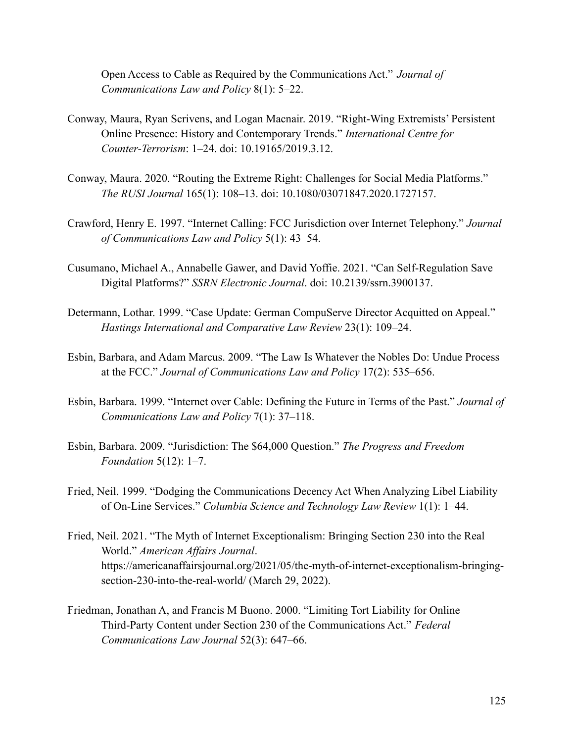Open Access to Cable as Required by the Communications Act." *Journal of Communications Law and Policy* 8(1): 5–22.

- Conway, Maura, Ryan Scrivens, and Logan Macnair. 2019. "Right-Wing Extremists' Persistent Online Presence: History and Contemporary Trends." *International Centre for Counter-Terrorism*: 1–24. doi: 10.19165/2019.3.12.
- Conway, Maura. 2020. "Routing the Extreme Right: Challenges for Social Media Platforms." *The RUSI Journal* 165(1): 108–13. doi: 10.1080/03071847.2020.1727157.
- Crawford, Henry E. 1997. "Internet Calling: FCC Jurisdiction over Internet Telephony." *Journal of Communications Law and Policy* 5(1): 43–54.
- Cusumano, Michael A., Annabelle Gawer, and David Yoffie. 2021. "Can Self-Regulation Save Digital Platforms?" *SSRN Electronic Journal*. doi: 10.2139/ssrn.3900137.
- Determann, Lothar. 1999. "Case Update: German CompuServe Director Acquitted on Appeal." *Hastings International and Comparative Law Review* 23(1): 109–24.
- Esbin, Barbara, and Adam Marcus. 2009. "The Law Is Whatever the Nobles Do: Undue Process at the FCC." *Journal of Communications Law and Policy* 17(2): 535–656.
- Esbin, Barbara. 1999. "Internet over Cable: Defining the Future in Terms of the Past." *Journal of Communications Law and Policy* 7(1): 37–118.
- Esbin, Barbara. 2009. "Jurisdiction: The \$64,000 Question." *The Progress and Freedom Foundation* 5(12): 1–7.
- Fried, Neil. 1999. "Dodging the Communications Decency Act When Analyzing Libel Liability of On-Line Services." *Columbia Science and Technology Law Review* 1(1): 1–44.
- Fried, Neil. 2021. "The Myth of Internet Exceptionalism: Bringing Section 230 into the Real World." *American Affairs Journal*. https://americanaffairsjournal.org/2021/05/the-myth-of-internet-exceptionalism-bringingsection-230-into-the-real-world/ (March 29, 2022).
- Friedman, Jonathan A, and Francis M Buono. 2000. "Limiting Tort Liability for Online Third-Party Content under Section 230 of the Communications Act." *Federal Communications Law Journal* 52(3): 647–66.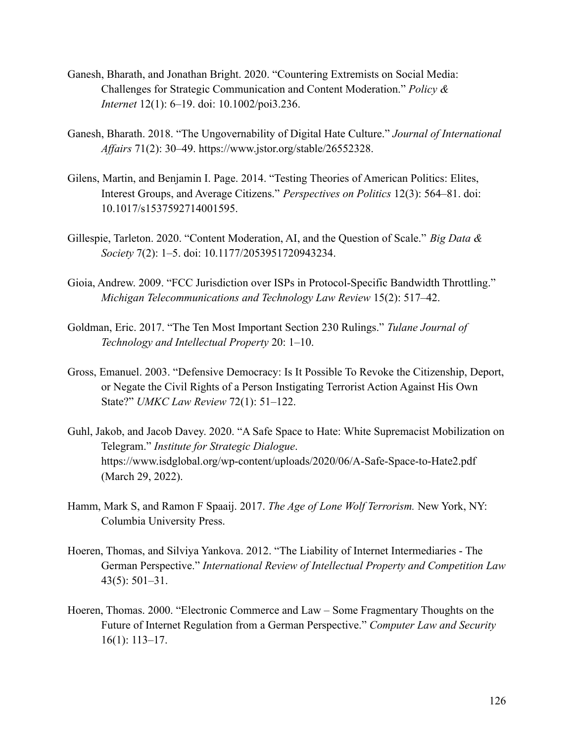- Ganesh, Bharath, and Jonathan Bright. 2020. "Countering Extremists on Social Media: Challenges for Strategic Communication and Content Moderation." *Policy & Internet* 12(1): 6–19. doi: 10.1002/poi3.236.
- Ganesh, Bharath. 2018. "The Ungovernability of Digital Hate Culture." *Journal of International Affairs* 71(2): 30–49. https://www.jstor.org/stable/26552328.
- Gilens, Martin, and Benjamin I. Page. 2014. "Testing Theories of American Politics: Elites, Interest Groups, and Average Citizens." *Perspectives on Politics* 12(3): 564–81. doi: 10.1017/s1537592714001595.
- Gillespie, Tarleton. 2020. "Content Moderation, AI, and the Question of Scale." *Big Data & Society* 7(2): 1–5. doi: 10.1177/2053951720943234.
- Gioia, Andrew. 2009. "FCC Jurisdiction over ISPs in Protocol-Specific Bandwidth Throttling." *Michigan Telecommunications and Technology Law Review* 15(2): 517–42.
- Goldman, Eric. 2017. "The Ten Most Important Section 230 Rulings." *Tulane Journal of Technology and Intellectual Property* 20: 1–10.
- Gross, Emanuel. 2003. "Defensive Democracy: Is It Possible To Revoke the Citizenship, Deport, or Negate the Civil Rights of a Person Instigating Terrorist Action Against His Own State?" *UMKC Law Review* 72(1): 51–122.
- Guhl, Jakob, and Jacob Davey. 2020. "A Safe Space to Hate: White Supremacist Mobilization on Telegram." *Institute for Strategic Dialogue*. https://www.isdglobal.org/wp-content/uploads/2020/06/A-Safe-Space-to-Hate2.pdf (March 29, 2022).
- Hamm, Mark S, and Ramon F Spaaij. 2017. *The Age of Lone Wolf Terrorism.* New York, NY: Columbia University Press.
- Hoeren, Thomas, and Silviya Yankova. 2012. "The Liability of Internet Intermediaries The German Perspective." *International Review of Intellectual Property and Competition Law* 43(5): 501–31.
- Hoeren, Thomas. 2000. "Electronic Commerce and Law Some Fragmentary Thoughts on the Future of Internet Regulation from a German Perspective." *Computer Law and Security* 16(1): 113–17.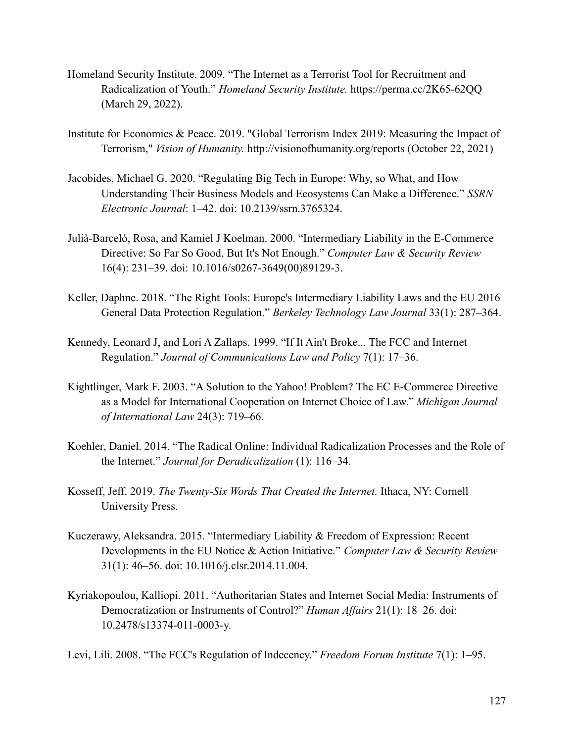- Homeland Security Institute. 2009. "The Internet as a Terrorist Tool for Recruitment and Radicalization of Youth." *Homeland Security Institute.* https://perma.cc/2K65-62QQ (March 29, 2022).
- Institute for Economics & Peace. 2019. "Global Terrorism Index 2019: Measuring the Impact of Terrorism," *Vision of Humanity.* http://visionofhumanity.org/reports (October 22, 2021)
- Jacobides, Michael G. 2020. "Regulating Big Tech in Europe: Why, so What, and How Understanding Their Business Models and Ecosystems Can Make a Difference." *SSRN Electronic Journal*: 1–42. doi: 10.2139/ssrn.3765324.
- Julià-Barceló, Rosa, and Kamiel J Koelman. 2000. "Intermediary Liability in the E-Commerce Directive: So Far So Good, But It's Not Enough." *Computer Law & Security Review* 16(4): 231–39. doi: 10.1016/s0267-3649(00)89129-3.
- Keller, Daphne. 2018. "The Right Tools: Europe's Intermediary Liability Laws and the EU 2016 General Data Protection Regulation." *Berkeley Technology Law Journal* 33(1): 287–364.
- Kennedy, Leonard J, and Lori A Zallaps. 1999. "If It Ain't Broke... The FCC and Internet Regulation." *Journal of Communications Law and Policy* 7(1): 17–36.
- Kightlinger, Mark F. 2003. "A Solution to the Yahoo! Problem? The EC E-Commerce Directive as a Model for International Cooperation on Internet Choice of Law." *Michigan Journal of International Law* 24(3): 719–66.
- Koehler, Daniel. 2014. "The Radical Online: Individual Radicalization Processes and the Role of the Internet." *Journal for Deradicalization* (1): 116–34.
- Kosseff, Jeff. 2019. *The Twenty-Six Words That Created the Internet.* Ithaca, NY: Cornell University Press.
- Kuczerawy, Aleksandra. 2015. "Intermediary Liability & Freedom of Expression: Recent Developments in the EU Notice & Action Initiative." *Computer Law & Security Review* 31(1): 46–56. doi: 10.1016/j.clsr.2014.11.004.
- Kyriakopoulou, Kalliopi. 2011. "Authoritarian States and Internet Social Media: Instruments of Democratization or Instruments of Control?" *Human Affairs* 21(1): 18–26. doi: 10.2478/s13374-011-0003-y.

Levi, Lili. 2008. "The FCC's Regulation of Indecency." *Freedom Forum Institute* 7(1): 1–95.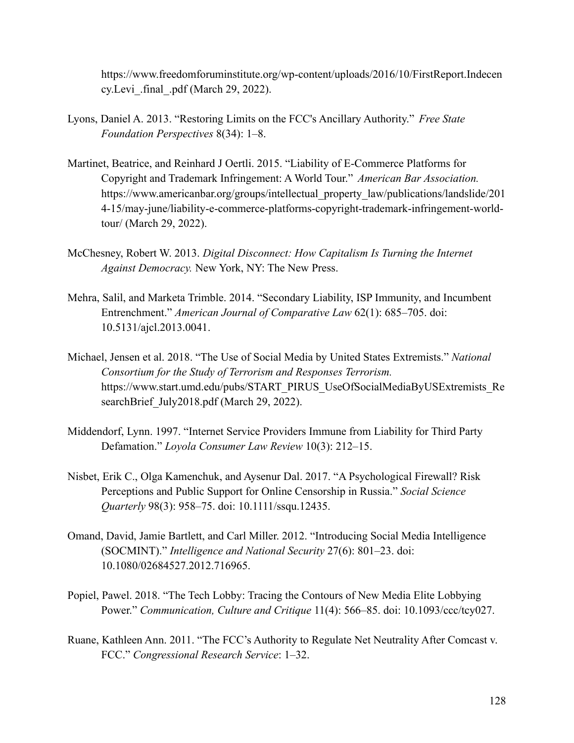https://www.freedomforuminstitute.org/wp-content/uploads/2016/10/FirstReport.Indecen cy.Levi\_.final\_.pdf (March 29, 2022).

- Lyons, Daniel A. 2013. "Restoring Limits on the FCC's Ancillary Authority." *Free State Foundation Perspectives* 8(34): 1–8.
- Martinet, Beatrice, and Reinhard J Oertli. 2015. "Liability of E-Commerce Platforms for Copyright and Trademark Infringement: A World Tour." *American Bar Association.* https://www.americanbar.org/groups/intellectual\_property\_law/publications/landslide/201 4-15/may-june/liability-e-commerce-platforms-copyright-trademark-infringement-worldtour/ (March 29, 2022).
- McChesney, Robert W. 2013. *Digital Disconnect: How Capitalism Is Turning the Internet Against Democracy.* New York, NY: The New Press.
- Mehra, Salil, and Marketa Trimble. 2014. "Secondary Liability, ISP Immunity, and Incumbent Entrenchment." *American Journal of Comparative Law* 62(1): 685–705. doi: 10.5131/ajcl.2013.0041.
- Michael, Jensen et al. 2018. "The Use of Social Media by United States Extremists." *National Consortium for the Study of Terrorism and Responses Terrorism.* https://www.start.umd.edu/pubs/START\_PIRUS\_UseOfSocialMediaByUSExtremists\_Re searchBrief July2018.pdf (March 29, 2022).
- Middendorf, Lynn. 1997. "Internet Service Providers Immune from Liability for Third Party Defamation." *Loyola Consumer Law Review* 10(3): 212–15.
- Nisbet, Erik C., Olga Kamenchuk, and Aysenur Dal. 2017. "A Psychological Firewall? Risk Perceptions and Public Support for Online Censorship in Russia." *Social Science Quarterly* 98(3): 958–75. doi: 10.1111/ssqu.12435.
- Omand, David, Jamie Bartlett, and Carl Miller. 2012. "Introducing Social Media Intelligence (SOCMINT)." *Intelligence and National Security* 27(6): 801–23. doi: 10.1080/02684527.2012.716965.
- Popiel, Pawel. 2018. "The Tech Lobby: Tracing the Contours of New Media Elite Lobbying Power." *Communication, Culture and Critique* 11(4): 566–85. doi: 10.1093/ccc/tcy027.
- Ruane, Kathleen Ann. 2011. "The FCC's Authority to Regulate Net Neutrality After Comcast v. FCC." *Congressional Research Service*: 1–32.